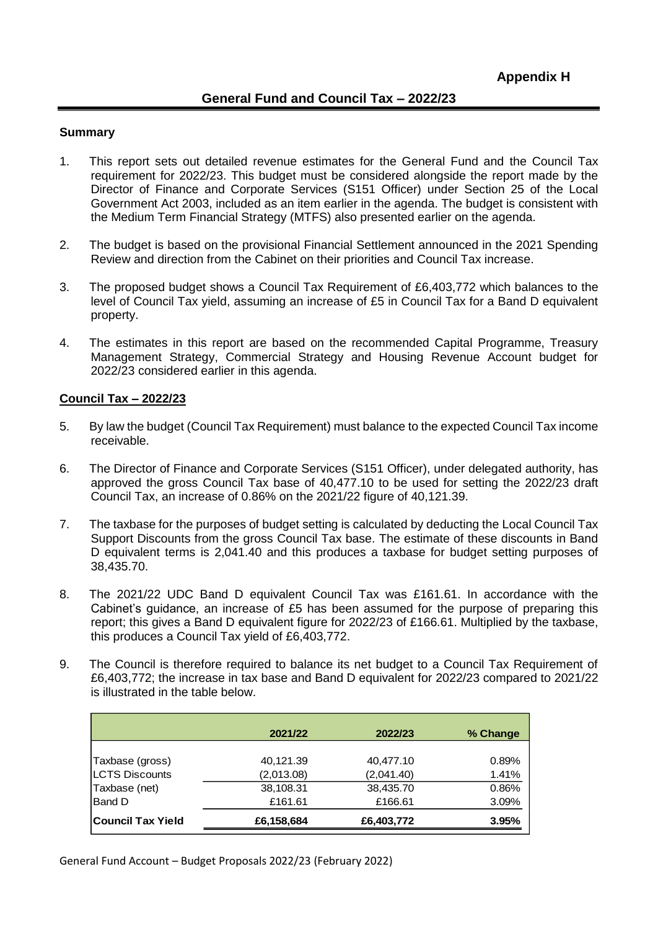## **General Fund and Council Tax – 2022/23**

### **Summary**

- 1. This report sets out detailed revenue estimates for the General Fund and the Council Tax requirement for 2022/23. This budget must be considered alongside the report made by the Director of Finance and Corporate Services (S151 Officer) under Section 25 of the Local Government Act 2003, included as an item earlier in the agenda. The budget is consistent with the Medium Term Financial Strategy (MTFS) also presented earlier on the agenda.
- 2. The budget is based on the provisional Financial Settlement announced in the 2021 Spending Review and direction from the Cabinet on their priorities and Council Tax increase.
- 3. The proposed budget shows a Council Tax Requirement of £6,403,772 which balances to the level of Council Tax yield, assuming an increase of £5 in Council Tax for a Band D equivalent property.
- 4. The estimates in this report are based on the recommended Capital Programme, Treasury Management Strategy, Commercial Strategy and Housing Revenue Account budget for 2022/23 considered earlier in this agenda.

### **Council Tax – 2022/23**

- 5. By law the budget (Council Tax Requirement) must balance to the expected Council Tax income receivable.
- 6. The Director of Finance and Corporate Services (S151 Officer), under delegated authority, has approved the gross Council Tax base of 40,477.10 to be used for setting the 2022/23 draft Council Tax, an increase of 0.86% on the 2021/22 figure of 40,121.39.
- 7. The taxbase for the purposes of budget setting is calculated by deducting the Local Council Tax Support Discounts from the gross Council Tax base. The estimate of these discounts in Band D equivalent terms is 2,041.40 and this produces a taxbase for budget setting purposes of 38,435.70.
- 8. The 2021/22 UDC Band D equivalent Council Tax was £161.61. In accordance with the Cabinet's guidance, an increase of £5 has been assumed for the purpose of preparing this report; this gives a Band D equivalent figure for 2022/23 of £166.61. Multiplied by the taxbase, this produces a Council Tax yield of £6,403,772.
- 9. The Council is therefore required to balance its net budget to a Council Tax Requirement of £6,403,772; the increase in tax base and Band D equivalent for 2022/23 compared to 2021/22 is illustrated in the table below.

|                        | 2021/22    | 2022/23    | % Change |
|------------------------|------------|------------|----------|
|                        |            |            |          |
| Taxbase (gross)        | 40,121.39  | 40,477.10  | 0.89%    |
| <b>ILCTS Discounts</b> | (2,013.08) | (2,041.40) | 1.41%    |
| Taxbase (net)          | 38,108.31  | 38,435.70  | 0.86%    |
| <b>Band D</b>          | £161.61    | £166.61    | 3.09%    |
| Council Tax Yield      | £6,158,684 | £6,403,772 | 3.95%    |

General Fund Account – Budget Proposals 2022/23 (February 2022)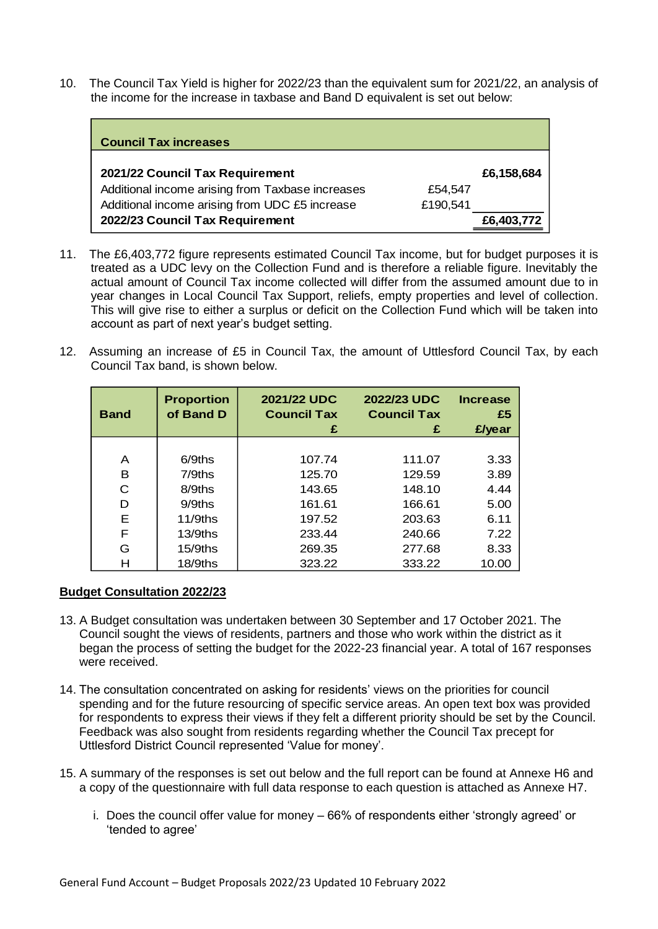10. The Council Tax Yield is higher for 2022/23 than the equivalent sum for 2021/22, an analysis of the income for the increase in taxbase and Band D equivalent is set out below:

| <b>Council Tax increases</b>                     |          |            |
|--------------------------------------------------|----------|------------|
| 2021/22 Council Tax Requirement                  |          | £6,158,684 |
| Additional income arising from Taxbase increases | £54.547  |            |
| Additional income arising from UDC £5 increase   | £190,541 |            |
| 2022/23 Council Tax Requirement                  |          | £6,403,772 |

- 11. The £6,403,772 figure represents estimated Council Tax income, but for budget purposes it is treated as a UDC levy on the Collection Fund and is therefore a reliable figure. Inevitably the actual amount of Council Tax income collected will differ from the assumed amount due to in year changes in Local Council Tax Support, reliefs, empty properties and level of collection. This will give rise to either a surplus or deficit on the Collection Fund which will be taken into account as part of next year's budget setting.
- 12. Assuming an increase of £5 in Council Tax, the amount of Uttlesford Council Tax, by each Council Tax band, is shown below.

| <b>Band</b> | <b>Proportion</b><br>of Band D | 2021/22 UDC<br><b>Council Tax</b><br>£ | 2022/23 UDC<br><b>Council Tax</b><br>£ | <b>Increase</b><br>£5<br>£/year |
|-------------|--------------------------------|----------------------------------------|----------------------------------------|---------------------------------|
|             |                                |                                        |                                        |                                 |
| A           | $6/9$ ths                      | 107.74                                 | 111.07                                 | 3.33                            |
| в           | $7/9$ ths                      | 125.70                                 | 129.59                                 | 3.89                            |
| С           | 8/9ths                         | 143.65                                 | 148.10                                 | 4.44                            |
| D           | $9/9$ ths                      | 161.61                                 | 166.61                                 | 5.00                            |
| Е           | $11/9$ ths                     | 197.52                                 | 203.63                                 | 6.11                            |
| F           | $13/9$ ths                     | 233.44                                 | 240.66                                 | 7.22                            |
| G           | $15/9$ ths                     | 269.35                                 | 277.68                                 | 8.33                            |
| н           | 18/9ths                        | 323.22                                 | 333.22                                 | 10.00                           |

### **Budget Consultation 2022/23**

- 13. A Budget consultation was undertaken between 30 September and 17 October 2021. The Council sought the views of residents, partners and those who work within the district as it began the process of setting the budget for the 2022-23 financial year. A total of 167 responses were received.
- 14. The consultation concentrated on asking for residents' views on the priorities for council spending and for the future resourcing of specific service areas. An open text box was provided for respondents to express their views if they felt a different priority should be set by the Council. Feedback was also sought from residents regarding whether the Council Tax precept for Uttlesford District Council represented 'Value for money'.
- 15. A summary of the responses is set out below and the full report can be found at Annexe H6 and a copy of the questionnaire with full data response to each question is attached as Annexe H7.
	- i. Does the council offer value for money 66% of respondents either 'strongly agreed' or 'tended to agree'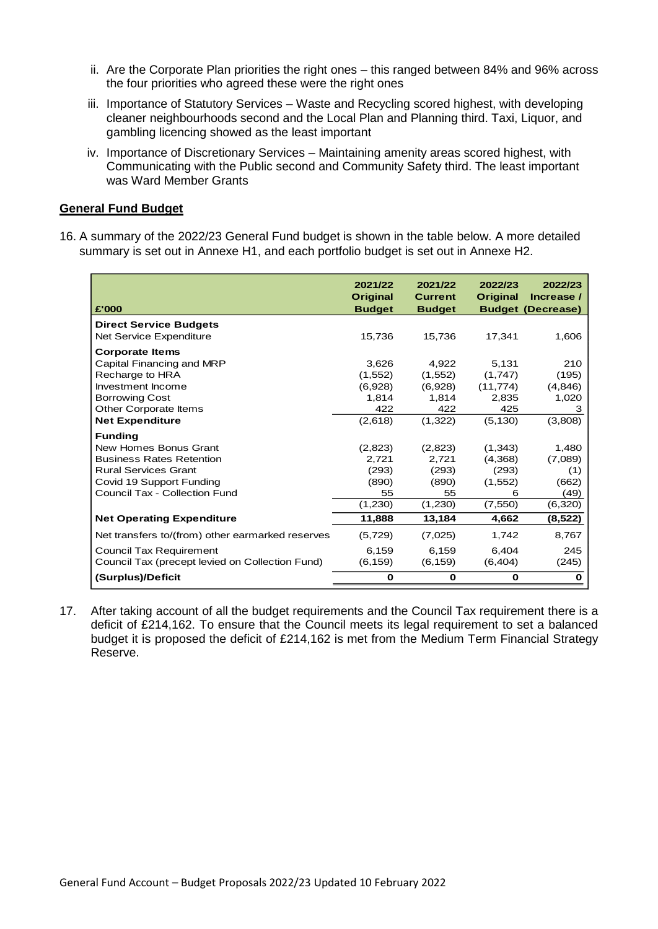- ii. Are the Corporate Plan priorities the right ones this ranged between 84% and 96% across the four priorities who agreed these were the right ones
- iii. Importance of Statutory Services Waste and Recycling scored highest, with developing cleaner neighbourhoods second and the Local Plan and Planning third. Taxi, Liquor, and gambling licencing showed as the least important
- iv. Importance of Discretionary Services Maintaining amenity areas scored highest, with Communicating with the Public second and Community Safety third. The least important was Ward Member Grants

### **General Fund Budget**

16. A summary of the 2022/23 General Fund budget is shown in the table below. A more detailed summary is set out in Annexe H1, and each portfolio budget is set out in Annexe H2.

| £'000                                            | 2021/22<br><b>Original</b><br><b>Budget</b> | 2021/22<br><b>Current</b><br><b>Budget</b> | 2022/23<br><b>Original</b> | 2022/23<br>Increase /<br><b>Budget (Decrease)</b> |
|--------------------------------------------------|---------------------------------------------|--------------------------------------------|----------------------------|---------------------------------------------------|
| <b>Direct Service Budgets</b>                    |                                             |                                            |                            |                                                   |
| Net Service Expenditure                          | 15,736                                      | 15,736                                     | 17,341                     | 1,606                                             |
| <b>Corporate Items</b>                           |                                             |                                            |                            |                                                   |
| Capital Financing and MRP                        | 3,626                                       | 4.922                                      | 5,131                      | 210                                               |
| Recharge to HRA                                  | (1,552)                                     | (1,552)                                    | (1,747)                    | (195)                                             |
| Investment Income                                | (6,928)                                     | (6,928)                                    | (11, 774)                  | (4,846)                                           |
| <b>Borrowing Cost</b>                            | 1,814                                       | 1,814                                      | 2,835                      | 1,020                                             |
| Other Corporate Items                            | 422                                         | 422                                        | 425                        | 3                                                 |
| <b>Net Expenditure</b>                           | (2,618)                                     | (1,322)                                    | (5, 130)                   | (3,808)                                           |
| <b>Funding</b>                                   |                                             |                                            |                            |                                                   |
| New Homes Bonus Grant                            | (2,823)                                     | (2,823)                                    | (1,343)                    | 1,480                                             |
| <b>Business Rates Retention</b>                  | 2,721                                       | 2,721                                      | (4,368)                    | (7,089)                                           |
| <b>Rural Services Grant</b>                      | (293)                                       | (293)                                      | (293)                      | (1)                                               |
| Covid 19 Support Funding                         | (890)                                       | (890)                                      | (1,552)                    | (662)                                             |
| Council Tax - Collection Fund                    | 55                                          | 55                                         | 6                          | (49)                                              |
|                                                  | (1,230)                                     | (1,230)                                    | (7, 550)                   | (6,320)                                           |
| <b>Net Operating Expenditure</b>                 | 11,888                                      | 13,184                                     | 4.662                      | (8, 522)                                          |
| Net transfers to/(from) other earmarked reserves | (5,729)                                     | (7,025)                                    | 1,742                      | 8,767                                             |
| Council Tax Requirement                          | 6,159                                       | 6.159                                      | 6.404                      | 245                                               |
| Council Tax (precept levied on Collection Fund)  | (6, 159)                                    | (6, 159)                                   | (6, 404)                   | (245)                                             |
| (Surplus)/Deficit                                | 0                                           | 0                                          | 0                          | 0                                                 |

17. After taking account of all the budget requirements and the Council Tax requirement there is a deficit of £214,162. To ensure that the Council meets its legal requirement to set a balanced budget it is proposed the deficit of £214,162 is met from the Medium Term Financial Strategy Reserve.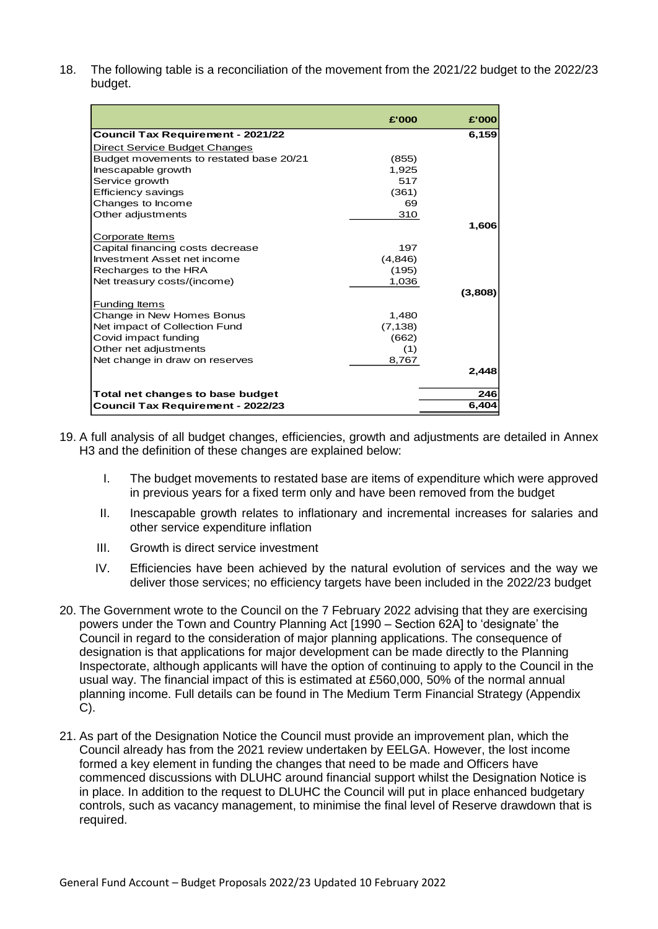18. The following table is a reconciliation of the movement from the 2021/22 budget to the 2022/23 budget.

|                                          | £'000    | £'000   |
|------------------------------------------|----------|---------|
| <b>Council Tax Requirement - 2021/22</b> |          | 6,159   |
|                                          |          |         |
| Direct Service Budget Changes            |          |         |
| Budget movements to restated base 20/21  | (855)    |         |
| Inescapable growth                       | 1,925    |         |
| Service growth                           | 517      |         |
| Efficiency savings                       | (361)    |         |
| Changes to Income                        | 69       |         |
| Other adjustments                        | 310      |         |
|                                          |          | 1,606   |
| Corporate Items                          |          |         |
| Capital financing costs decrease         | 197      |         |
| Investment Asset net income              | (4,846)  |         |
| Recharges to the HRA                     | (195)    |         |
| Net treasury costs/(income)              | 1,036    |         |
|                                          |          | (3,808) |
| Funding Items                            |          |         |
| Change in New Homes Bonus                | 1,480    |         |
| Net impact of Collection Fund            | (7, 138) |         |
| Covid impact funding                     | (662)    |         |
| Other net adjustments                    | (1)      |         |
| Net change in draw on reserves           | 8,767    |         |
|                                          |          | 2,448   |
| Total net changes to base budget         |          | 246     |
| <b>Council Tax Requirement - 2022/23</b> |          | 6,404   |

- 19. A full analysis of all budget changes, efficiencies, growth and adjustments are detailed in Annex H3 and the definition of these changes are explained below:
	- I. The budget movements to restated base are items of expenditure which were approved in previous years for a fixed term only and have been removed from the budget
	- II. Inescapable growth relates to inflationary and incremental increases for salaries and other service expenditure inflation
	- III. Growth is direct service investment
	- IV. Efficiencies have been achieved by the natural evolution of services and the way we deliver those services; no efficiency targets have been included in the 2022/23 budget
- 20. The Government wrote to the Council on the 7 February 2022 advising that they are exercising powers under the Town and Country Planning Act [1990 – Section 62A] to 'designate' the Council in regard to the consideration of major planning applications. The consequence of designation is that applications for major development can be made directly to the Planning Inspectorate, although applicants will have the option of continuing to apply to the Council in the usual way. The financial impact of this is estimated at £560,000, 50% of the normal annual planning income. Full details can be found in The Medium Term Financial Strategy (Appendix C).
- 21. As part of the Designation Notice the Council must provide an improvement plan, which the Council already has from the 2021 review undertaken by EELGA. However, the lost income formed a key element in funding the changes that need to be made and Officers have commenced discussions with DLUHC around financial support whilst the Designation Notice is in place. In addition to the request to DLUHC the Council will put in place enhanced budgetary controls, such as vacancy management, to minimise the final level of Reserve drawdown that is required.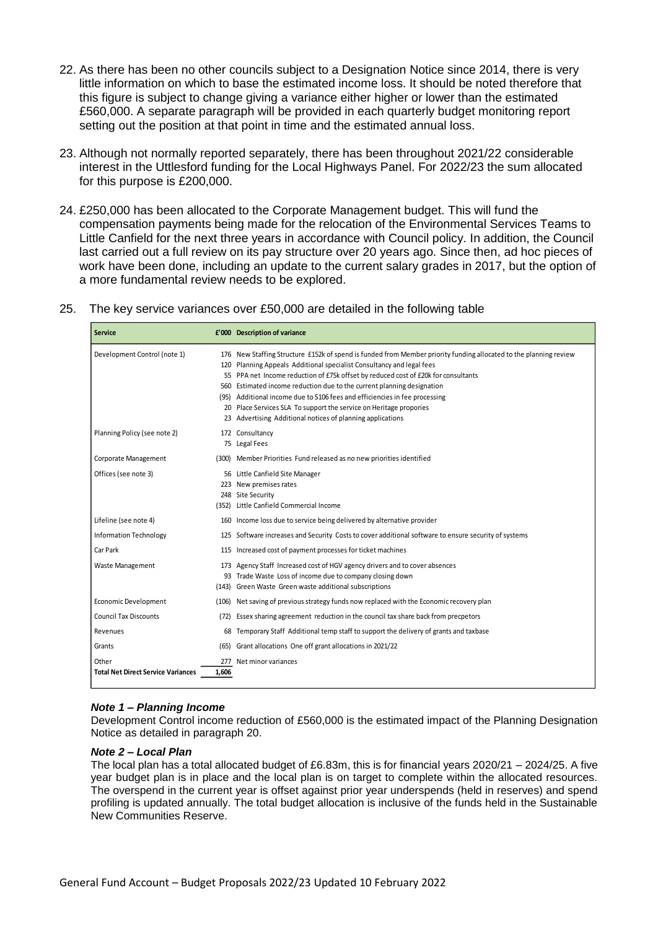- 22. As there has been no other councils subject to a Designation Notice since 2014, there is very little information on which to base the estimated income loss. It should be noted therefore that this figure is subject to change giving a variance either higher or lower than the estimated £560,000. A separate paragraph will be provided in each quarterly budget monitoring report setting out the position at that point in time and the estimated annual loss.
- 23. Although not normally reported separately, there has been throughout 2021/22 considerable interest in the Uttlesford funding for the Local Highways Panel. For 2022/23 the sum allocated for this purpose is £200,000.
- 24. £250,000 has been allocated to the Corporate Management budget. This will fund the compensation payments being made for the relocation of the Environmental Services Teams to Little Canfield for the next three years in accordance with Council policy. In addition, the Council last carried out a full review on its pay structure over 20 years ago. Since then, ad hoc pieces of work have been done, including an update to the current salary grades in 2017, but the option of a more fundamental review needs to be explored.
- 25. The key service variances over £50,000 are detailed in the following table

| <b>Service</b>                                     |              | £'000 Description of variance                                                                                                                                                                                                                                                                                                                                                                                                                                                                                                                                                |
|----------------------------------------------------|--------------|------------------------------------------------------------------------------------------------------------------------------------------------------------------------------------------------------------------------------------------------------------------------------------------------------------------------------------------------------------------------------------------------------------------------------------------------------------------------------------------------------------------------------------------------------------------------------|
| Development Control (note 1)                       |              | 176 New Staffing Structure £152k of spend is funded from Member priority funding allocated to the planning review<br>120 Planning Appeals Additional specialist Consultancy and legal fees<br>55 PPA net Income reduction of £75k offset by reduced cost of £20k for consultants<br>560 Estimated income reduction due to the current planning designation<br>(95) Additional income due to S106 fees and efficiencies in fee processing<br>20 Place Services SLA To support the service on Heritage propories<br>23 Advertising Additional notices of planning applications |
| Planning Policy (see note 2)                       |              | 172 Consultancy<br>75 Legal Fees                                                                                                                                                                                                                                                                                                                                                                                                                                                                                                                                             |
| Corporate Management                               |              | (300) Member Priorities Fund released as no new priorities identified                                                                                                                                                                                                                                                                                                                                                                                                                                                                                                        |
| Offices (see note 3)                               |              | 56 Little Canfield Site Manager<br>223 New premises rates<br>248 Site Security<br>(352) Little Canfield Commercial Income                                                                                                                                                                                                                                                                                                                                                                                                                                                    |
| Lifeline (see note 4)                              |              | 160 Income loss due to service being delivered by alternative provider                                                                                                                                                                                                                                                                                                                                                                                                                                                                                                       |
| <b>Information Technology</b>                      |              | 125 Software increases and Security Costs to cover additional software to ensure security of systems                                                                                                                                                                                                                                                                                                                                                                                                                                                                         |
| Car Park                                           |              | 115 Increased cost of payment processes for ticket machines                                                                                                                                                                                                                                                                                                                                                                                                                                                                                                                  |
| Waste Management                                   |              | 173 Agency Staff Increased cost of HGV agency drivers and to cover absences<br>93 Trade Waste Loss of income due to company closing down<br>(143) Green Waste Green waste additional subscriptions                                                                                                                                                                                                                                                                                                                                                                           |
| <b>Economic Development</b>                        |              | (106) Net saving of previous strategy funds now replaced with the Economic recovery plan                                                                                                                                                                                                                                                                                                                                                                                                                                                                                     |
| <b>Council Tax Discounts</b>                       | (72)         | Essex sharing agreement reduction in the council tax share back from precpetors                                                                                                                                                                                                                                                                                                                                                                                                                                                                                              |
| Revenues                                           |              | 68 Temporary Staff Additional temp staff to support the delivery of grants and taxbase                                                                                                                                                                                                                                                                                                                                                                                                                                                                                       |
| Grants                                             | (65)         | Grant allocations One off grant allocations in 2021/22                                                                                                                                                                                                                                                                                                                                                                                                                                                                                                                       |
| Other<br><b>Total Net Direct Service Variances</b> | 277<br>1,606 | Net minor variances                                                                                                                                                                                                                                                                                                                                                                                                                                                                                                                                                          |

### *Note 1 – Planning Income*

Development Control income reduction of £560,000 is the estimated impact of the Planning Designation Notice as detailed in paragraph 20.

#### *Note 2 – Local Plan*

The local plan has a total allocated budget of £6.83m, this is for financial years 2020/21 – 2024/25. A five year budget plan is in place and the local plan is on target to complete within the allocated resources. The overspend in the current year is offset against prior year underspends (held in reserves) and spend profiling is updated annually. The total budget allocation is inclusive of the funds held in the Sustainable New Communities Reserve.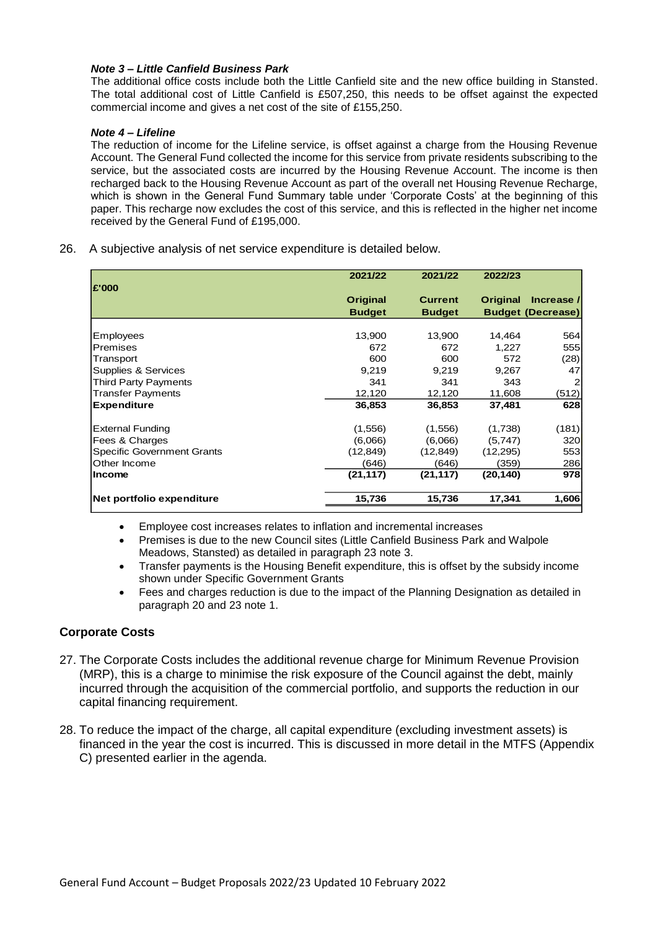### *Note 3 – Little Canfield Business Park*

The additional office costs include both the Little Canfield site and the new office building in Stansted. The total additional cost of Little Canfield is £507,250, this needs to be offset against the expected commercial income and gives a net cost of the site of £155,250.

#### *Note 4 – Lifeline*

The reduction of income for the Lifeline service, is offset against a charge from the Housing Revenue Account. The General Fund collected the income for this service from private residents subscribing to the service, but the associated costs are incurred by the Housing Revenue Account. The income is then recharged back to the Housing Revenue Account as part of the overall net Housing Revenue Recharge, which is shown in the General Fund Summary table under 'Corporate Costs' at the beginning of this paper. This recharge now excludes the cost of this service, and this is reflected in the higher net income received by the General Fund of £195,000.

26. A subjective analysis of net service expenditure is detailed below.

|                                   | 2021/22         | 2021/22        | 2022/23         |                          |
|-----------------------------------|-----------------|----------------|-----------------|--------------------------|
| £'000                             | <b>Original</b> | <b>Current</b> | <b>Original</b> | Increase /               |
|                                   | <b>Budget</b>   | <b>Budget</b>  |                 | <b>Budget (Decrease)</b> |
|                                   |                 |                |                 |                          |
| <b>Employees</b>                  | 13,900          | 13,900         | 14,464          | 564                      |
| Premises                          | 672             | 672            | 1,227           | 5551                     |
| Transport                         | 600             | 600            | 572             | (28)                     |
| Supplies & Services               | 9,219           | 9,219          | 9,267           | 47                       |
| Third Party Payments              | 341             | 341            | 343             | 2                        |
| Transfer Payments                 | 12,120          | 12,120         | 11,608          | (512)                    |
| <b>Expenditure</b>                | 36,853          | 36,853         | 37,481          | 628                      |
| <b>External Funding</b>           | (1,556)         | (1,556)        | (1,738)         | (181)                    |
| Fees & Charges                    | (6,066)         | (6,066)        | (5,747)         | 320                      |
| <b>Specific Government Grants</b> | (12, 849)       | (12, 849)      | (12, 295)       | 553                      |
| Other Income                      | (646)           | (646)          | (359)           | 286                      |
| <b>Income</b>                     | (21, 117)       | (21, 117)      | (20, 140)       | 978                      |
| Net portfolio expenditure         | 15,736          | 15,736         | 17,341          | 1,606                    |

- Employee cost increases relates to inflation and incremental increases
- Premises is due to the new Council sites (Little Canfield Business Park and Walpole Meadows, Stansted) as detailed in paragraph 23 note 3.
- Transfer payments is the Housing Benefit expenditure, this is offset by the subsidy income shown under Specific Government Grants
- Fees and charges reduction is due to the impact of the Planning Designation as detailed in paragraph 20 and 23 note 1.

### **Corporate Costs**

- 27. The Corporate Costs includes the additional revenue charge for Minimum Revenue Provision (MRP), this is a charge to minimise the risk exposure of the Council against the debt, mainly incurred through the acquisition of the commercial portfolio, and supports the reduction in our capital financing requirement.
- 28. To reduce the impact of the charge, all capital expenditure (excluding investment assets) is financed in the year the cost is incurred. This is discussed in more detail in the MTFS (Appendix C) presented earlier in the agenda.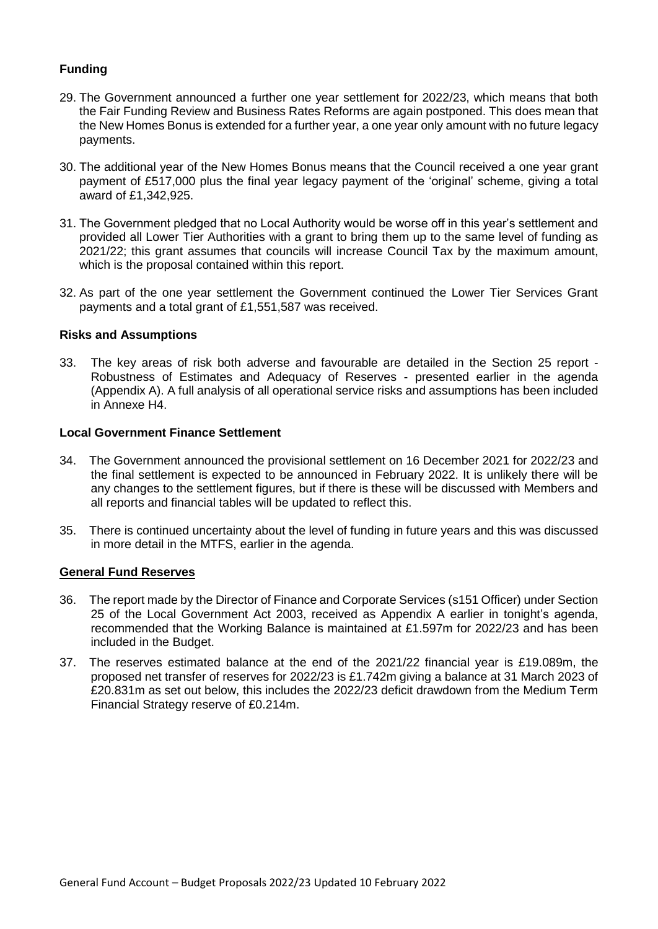## **Funding**

- 29. The Government announced a further one year settlement for 2022/23, which means that both the Fair Funding Review and Business Rates Reforms are again postponed. This does mean that the New Homes Bonus is extended for a further year, a one year only amount with no future legacy payments.
- 30. The additional year of the New Homes Bonus means that the Council received a one year grant payment of £517,000 plus the final year legacy payment of the 'original' scheme, giving a total award of £1,342,925.
- 31. The Government pledged that no Local Authority would be worse off in this year's settlement and provided all Lower Tier Authorities with a grant to bring them up to the same level of funding as 2021/22; this grant assumes that councils will increase Council Tax by the maximum amount, which is the proposal contained within this report.
- 32. As part of the one year settlement the Government continued the Lower Tier Services Grant payments and a total grant of £1,551,587 was received.

### **Risks and Assumptions**

33. The key areas of risk both adverse and favourable are detailed in the Section 25 report - Robustness of Estimates and Adequacy of Reserves - presented earlier in the agenda (Appendix A). A full analysis of all operational service risks and assumptions has been included in Annexe H4.

### **Local Government Finance Settlement**

- 34. The Government announced the provisional settlement on 16 December 2021 for 2022/23 and the final settlement is expected to be announced in February 2022. It is unlikely there will be any changes to the settlement figures, but if there is these will be discussed with Members and all reports and financial tables will be updated to reflect this.
- 35. There is continued uncertainty about the level of funding in future years and this was discussed in more detail in the MTFS, earlier in the agenda.

### **General Fund Reserves**

- 36. The report made by the Director of Finance and Corporate Services (s151 Officer) under Section 25 of the Local Government Act 2003, received as Appendix A earlier in tonight's agenda, recommended that the Working Balance is maintained at £1.597m for 2022/23 and has been included in the Budget.
- 37. The reserves estimated balance at the end of the 2021/22 financial year is £19.089m, the proposed net transfer of reserves for 2022/23 is £1.742m giving a balance at 31 March 2023 of £20.831m as set out below, this includes the 2022/23 deficit drawdown from the Medium Term Financial Strategy reserve of £0.214m.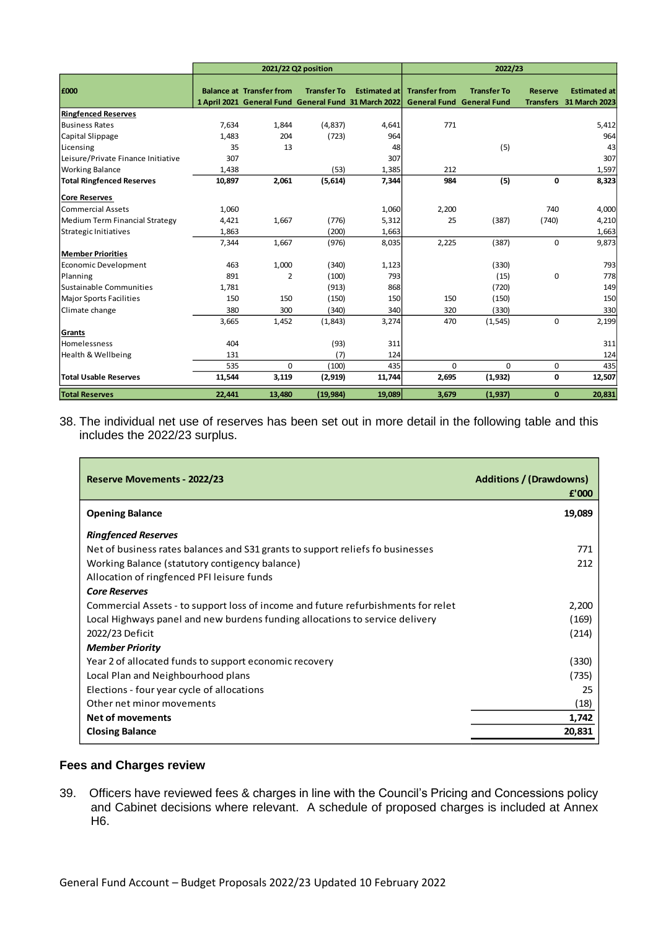|                                    | 2021/22 Q2 position |                                 |                    |                                                                              | 2022/23                                                  |                    |                                    |                                      |
|------------------------------------|---------------------|---------------------------------|--------------------|------------------------------------------------------------------------------|----------------------------------------------------------|--------------------|------------------------------------|--------------------------------------|
| £000                               |                     | <b>Balance at Transfer from</b> | <b>Transfer To</b> | <b>Estimated atl</b><br>1 April 2021 General Fund General Fund 31 March 2022 | <b>Transfer from</b><br><b>General Fund General Fund</b> | <b>Transfer To</b> | <b>Reserve</b><br><b>Transfers</b> | <b>Estimated at</b><br>31 March 2023 |
| <b>Ringfenced Reserves</b>         |                     |                                 |                    |                                                                              |                                                          |                    |                                    |                                      |
| <b>Business Rates</b>              | 7,634               | 1,844                           | (4,837)            | 4,641                                                                        | 771                                                      |                    |                                    | 5,412                                |
| Capital Slippage                   | 1,483               | 204                             | (723)              | 964                                                                          |                                                          |                    |                                    | 964                                  |
| Licensing                          | 35                  | 13                              |                    | 48                                                                           |                                                          | (5)                |                                    | 43                                   |
| Leisure/Private Finance Initiative | 307                 |                                 |                    | 307                                                                          |                                                          |                    |                                    | 307                                  |
| <b>Working Balance</b>             | 1,438               |                                 | (53)               | 1,385                                                                        | 212                                                      |                    |                                    | 1,597                                |
| <b>Total Ringfenced Reserves</b>   | 10,897              | 2,061                           | (5,614)            | 7,344                                                                        | 984                                                      | (5)                | $\mathbf 0$                        | 8,323                                |
| <b>Core Reserves</b>               |                     |                                 |                    |                                                                              |                                                          |                    |                                    |                                      |
| Commercial Assets                  | 1,060               |                                 |                    | 1,060                                                                        | 2,200                                                    |                    | 740                                | 4,000                                |
| Medium Term Financial Strategy     | 4,421               | 1,667                           | (776)              | 5,312                                                                        | 25                                                       | (387)              | (740)                              | 4,210                                |
| Strategic Initiatives              | 1,863               |                                 | (200)              | 1,663                                                                        |                                                          |                    |                                    | 1,663                                |
|                                    | 7,344               | 1,667                           | (976)              | 8,035                                                                        | 2,225                                                    | (387)              | $\mathbf 0$                        | 9,873                                |
| <b>Member Priorities</b>           |                     |                                 |                    |                                                                              |                                                          |                    |                                    |                                      |
| Economic Development               | 463                 | 1,000                           | (340)              | 1,123                                                                        |                                                          | (330)              |                                    | 793                                  |
| Planning                           | 891                 | 2                               | (100)              | 793                                                                          |                                                          | (15)               | $\mathbf 0$                        | 778                                  |
| Sustainable Communities            | 1,781               |                                 | (913)              | 868                                                                          |                                                          | (720)              |                                    | 149                                  |
| <b>Major Sports Facilities</b>     | 150                 | 150                             | (150)              | 150                                                                          | 150                                                      | (150)              |                                    | 150                                  |
| Climate change                     | 380                 | 300                             | (340)              | 340                                                                          | 320                                                      | (330)              |                                    | 330                                  |
|                                    | 3,665               | 1,452                           | (1,843)            | 3,274                                                                        | 470                                                      | (1, 545)           | $\mathbf 0$                        | 2,199                                |
| Grants                             |                     |                                 |                    |                                                                              |                                                          |                    |                                    |                                      |
| Homelessness                       | 404                 |                                 | (93)               | 311                                                                          |                                                          |                    |                                    | 311                                  |
| Health & Wellbeing                 | 131                 |                                 | (7)                | 124                                                                          |                                                          |                    |                                    | 124                                  |
|                                    | 535                 | 0                               | (100)              | 435                                                                          | $\mathbf 0$                                              | 0                  | 0                                  | 435                                  |
| <b>Total Usable Reserves</b>       | 11,544              | 3,119                           | (2,919)            | 11,744                                                                       | 2,695                                                    | (1,932)            | 0                                  | 12,507                               |
| <b>Total Reserves</b>              | 22,441              | 13,480                          | (19, 984)          | 19,089                                                                       | 3,679                                                    | (1, 937)           | $\bf{0}$                           | 20,831                               |

38. The individual net use of reserves has been set out in more detail in the following table and this includes the 2022/23 surplus.

| Reserve Movements - 2022/23                                                       | <b>Additions / (Drawdowns)</b><br>£'000 |
|-----------------------------------------------------------------------------------|-----------------------------------------|
| <b>Opening Balance</b>                                                            | 19,089                                  |
| <b>Ringfenced Reserves</b>                                                        |                                         |
| Net of business rates balances and S31 grants to support reliefs fo businesses    | 771                                     |
| Working Balance (statutory contigency balance)                                    | 212                                     |
| Allocation of ringfenced PFI leisure funds                                        |                                         |
| <b>Core Reserves</b>                                                              |                                         |
| Commercial Assets - to support loss of income and future refurbishments for relet | 2,200                                   |
| Local Highways panel and new burdens funding allocations to service delivery      | (169)                                   |
| 2022/23 Deficit                                                                   | (214)                                   |
| <b>Member Priority</b>                                                            |                                         |
| Year 2 of allocated funds to support economic recovery                            | (330)                                   |
| Local Plan and Neighbourhood plans                                                | (735)                                   |
| Elections - four year cycle of allocations                                        | 25                                      |
| Other net minor movements                                                         | (18)                                    |
| <b>Net of movements</b>                                                           | 1,742                                   |
| <b>Closing Balance</b>                                                            | 20,831                                  |

### **Fees and Charges review**

 $\overline{a}$ 

39. Officers have reviewed fees & charges in line with the Council's Pricing and Concessions policy and Cabinet decisions where relevant. A schedule of proposed charges is included at Annex H6.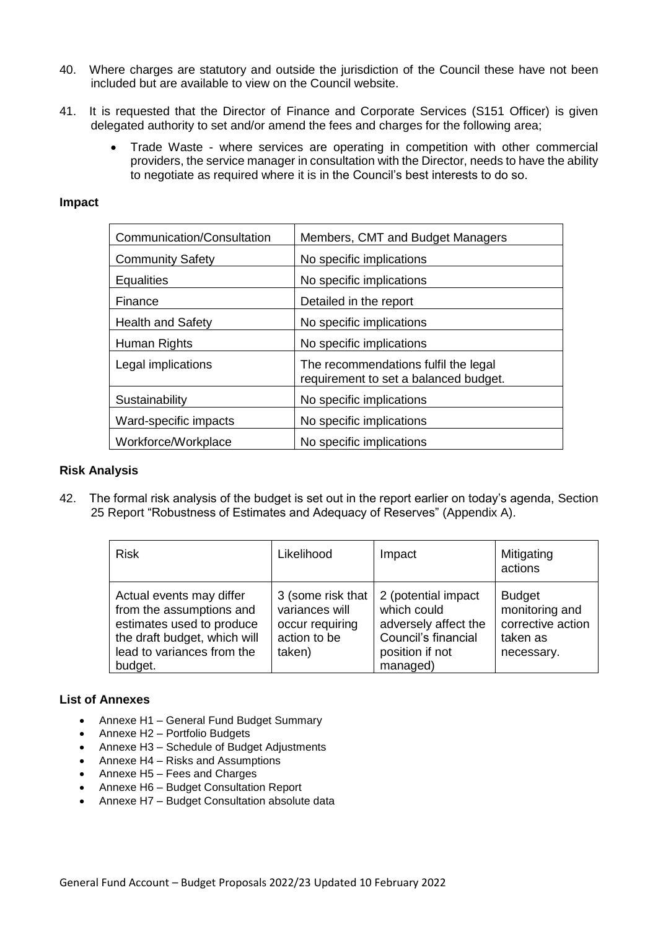- 40. Where charges are statutory and outside the jurisdiction of the Council these have not been included but are available to view on the Council website.
- 41. It is requested that the Director of Finance and Corporate Services (S151 Officer) is given delegated authority to set and/or amend the fees and charges for the following area;
	- Trade Waste where services are operating in competition with other commercial providers, the service manager in consultation with the Director, needs to have the ability to negotiate as required where it is in the Council's best interests to do so.

### **Impact**

| Communication/Consultation | Members, CMT and Budget Managers                                              |
|----------------------------|-------------------------------------------------------------------------------|
| <b>Community Safety</b>    | No specific implications                                                      |
| Equalities                 | No specific implications                                                      |
| Finance                    | Detailed in the report                                                        |
| <b>Health and Safety</b>   | No specific implications                                                      |
| Human Rights               | No specific implications                                                      |
| Legal implications         | The recommendations fulfil the legal<br>requirement to set a balanced budget. |
| Sustainability             | No specific implications                                                      |
| Ward-specific impacts      | No specific implications                                                      |
| Workforce/Workplace        | No specific implications                                                      |

### **Risk Analysis**

42. The formal risk analysis of the budget is set out in the report earlier on today's agenda, Section 25 Report "Robustness of Estimates and Adequacy of Reserves" (Appendix A).

| <b>Risk</b>                                                                                                                                                | Likelihood                                                                       | Impact                                                                                                           | Mitigating<br>actions                                                          |
|------------------------------------------------------------------------------------------------------------------------------------------------------------|----------------------------------------------------------------------------------|------------------------------------------------------------------------------------------------------------------|--------------------------------------------------------------------------------|
| Actual events may differ<br>from the assumptions and<br>estimates used to produce<br>the draft budget, which will<br>lead to variances from the<br>budget. | 3 (some risk that<br>variances will<br>occur requiring<br>action to be<br>taken) | 2 (potential impact<br>which could<br>adversely affect the<br>Council's financial<br>position if not<br>managed) | <b>Budget</b><br>monitoring and<br>corrective action<br>taken as<br>necessary. |

### **List of Annexes**

- Annexe H1 General Fund Budget Summary
- Annexe H2 Portfolio Budgets
- Annexe H3 Schedule of Budget Adjustments
- Annexe H4 Risks and Assumptions
- Annexe H5 Fees and Charges
- Annexe H6 Budget Consultation Report
- Annexe H7 Budget Consultation absolute data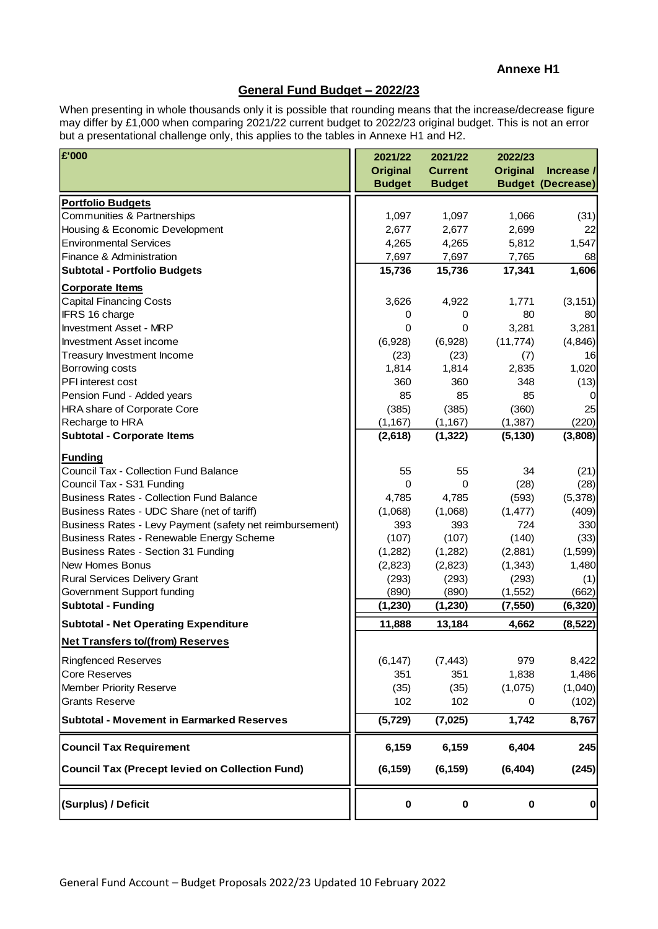### **Annexe H1**

### **General Fund Budget – 2022/23**

When presenting in whole thousands only it is possible that rounding means that the increase/decrease figure may differ by £1,000 when comparing 2021/22 current budget to 2022/23 original budget. This is not an error but a presentational challenge only, this applies to the tables in Annexe H1 and H2.

| £'000                                                    | 2021/22<br><b>Original</b><br><b>Budget</b> | 2021/22<br><b>Current</b><br><b>Budget</b> | 2022/23<br><b>Original</b> | Increase /<br><b>Budget (Decrease)</b> |
|----------------------------------------------------------|---------------------------------------------|--------------------------------------------|----------------------------|----------------------------------------|
| <b>Portfolio Budgets</b>                                 |                                             |                                            |                            |                                        |
| Communities & Partnerships                               | 1,097                                       | 1,097                                      | 1,066                      | (31)                                   |
| Housing & Economic Development                           | 2,677                                       | 2,677                                      | 2,699                      | 22                                     |
| <b>Environmental Services</b>                            | 4,265                                       | 4,265                                      | 5,812                      | 1,547                                  |
| Finance & Administration                                 | 7,697                                       | 7,697                                      | 7,765                      | 68                                     |
| <b>Subtotal - Portfolio Budgets</b>                      | 15,736                                      | 15,736                                     | 17,341                     | 1,606                                  |
| <b>Corporate Items</b>                                   |                                             |                                            |                            |                                        |
| <b>Capital Financing Costs</b>                           | 3,626                                       | 4,922                                      | 1,771                      | (3, 151)                               |
| IFRS 16 charge                                           | 0                                           | 0                                          | 80                         | 80                                     |
| <b>Investment Asset - MRP</b>                            | 0                                           | 0                                          | 3,281                      | 3,281                                  |
| <b>Investment Asset income</b>                           | (6,928)                                     | (6,928)                                    | (11, 774)                  | (4,846)                                |
| Treasury Investment Income                               | (23)                                        | (23)                                       | (7)                        | 16                                     |
| Borrowing costs                                          | 1,814                                       | 1,814                                      | 2,835                      | 1,020                                  |
| PFI interest cost                                        | 360                                         | 360                                        | 348                        | (13)                                   |
| Pension Fund - Added years                               | 85                                          | 85                                         | 85                         | 0                                      |
| HRA share of Corporate Core                              | (385)                                       | (385)                                      | (360)                      | 25                                     |
| Recharge to HRA                                          | (1, 167)                                    | (1, 167)                                   | (1, 387)                   | (220)                                  |
| <b>Subtotal - Corporate Items</b>                        | (2,618)                                     | (1, 322)                                   | (5, 130)                   | (3,808)                                |
| <b>Funding</b>                                           |                                             |                                            |                            |                                        |
| <b>Council Tax - Collection Fund Balance</b>             | 55                                          | 55                                         | 34                         | (21)                                   |
| Council Tax - S31 Funding                                | $\mathbf 0$                                 | 0                                          | (28)                       | (28)                                   |
| <b>Business Rates - Collection Fund Balance</b>          | 4,785                                       | 4,785                                      | (593)                      | (5,378)                                |
| Business Rates - UDC Share (net of tariff)               | (1,068)                                     | (1,068)                                    | (1, 477)                   | (409)                                  |
| Business Rates - Levy Payment (safety net reimbursement) | 393                                         | 393                                        | 724                        | 330                                    |
| Business Rates - Renewable Energy Scheme                 | (107)                                       | (107)                                      | (140)                      | (33)                                   |
| Business Rates - Section 31 Funding                      | (1,282)                                     | (1,282)                                    | (2,881)                    | (1,599)                                |
| New Homes Bonus                                          | (2,823)                                     | (2,823)                                    | (1, 343)                   | 1,480                                  |
| Rural Services Delivery Grant                            | (293)                                       | (293)                                      | (293)                      | (1)                                    |
| Government Support funding                               | (890)                                       | (890)                                      | (1, 552)                   | (662)                                  |
| <b>Subtotal - Funding</b>                                | (1, 230)                                    | (1, 230)                                   | (7, 550)                   | (6, 320)                               |
| <b>Subtotal - Net Operating Expenditure</b>              | 11,888                                      | 13,184                                     | 4,662                      | (8, 522)                               |
| <b>Net Transfers to/(from) Reserves</b>                  |                                             |                                            |                            |                                        |
| <b>Ringfenced Reserves</b>                               | (6, 147)                                    | (7, 443)                                   | 979                        | 8,422                                  |
| <b>Core Reserves</b>                                     | 351                                         | 351                                        | 1,838                      | 1,486                                  |
| <b>Member Priority Reserve</b>                           | (35)                                        | (35)                                       | (1,075)                    | (1,040)                                |
| <b>Grants Reserve</b>                                    | 102                                         | 102                                        | 0                          | (102)                                  |
| <b>Subtotal - Movement in Earmarked Reserves</b>         | (5, 729)                                    | (7,025)                                    | 1,742                      | 8,767                                  |
|                                                          |                                             |                                            |                            |                                        |
| <b>Council Tax Requirement</b>                           | 6,159                                       | 6,159                                      | 6,404                      | 245                                    |
| <b>Council Tax (Precept levied on Collection Fund)</b>   | (6, 159)                                    | (6, 159)                                   | (6, 404)                   | (245)                                  |
| (Surplus) / Deficit                                      | $\pmb{0}$                                   | $\pmb{0}$                                  | $\mathbf 0$                | $\mathbf 0$                            |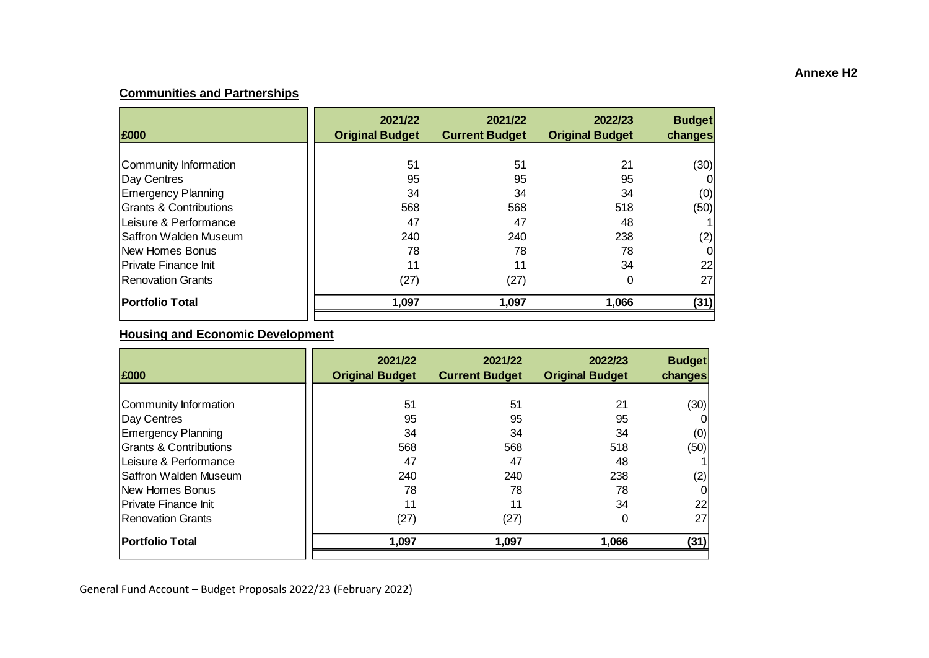# **Communities and Partnerships**

| £000                              | 2021/22<br><b>Original Budget</b> | 2021/22<br><b>Current Budget</b> | 2022/23<br><b>Original Budget</b> | <b>Budget</b><br>changes |
|-----------------------------------|-----------------------------------|----------------------------------|-----------------------------------|--------------------------|
|                                   |                                   |                                  |                                   |                          |
| Community Information             | 51                                | 51                               | 21                                | (30)                     |
| Day Centres                       | 95                                | 95                               | 95                                |                          |
| <b>Emergency Planning</b>         | 34                                | 34                               | 34                                | (0)                      |
| <b>Grants &amp; Contributions</b> | 568                               | 568                              | 518                               | (50)                     |
| Leisure & Performance             | 47                                | 47                               | 48                                |                          |
| Saffron Walden Museum             | 240                               | 240                              | 238                               | (2)                      |
| <b>New Homes Bonus</b>            | 78                                | 78                               | 78                                |                          |
| Private Finance Init              | 11                                | 11                               | 34                                | 22                       |
| <b>IRenovation Grants</b>         | (27)                              | (27)                             | 0                                 | 27                       |
| <b>Portfolio Total</b>            | 1,097                             | 1,097                            | 1,066                             | (31)                     |

## **Housing and Economic Development**

| 2021/22<br><b>Original Budget</b> | 2021/22<br><b>Current Budget</b> | 2022/23<br><b>Original Budget</b> | <b>Budget</b><br>changes |
|-----------------------------------|----------------------------------|-----------------------------------|--------------------------|
|                                   |                                  |                                   |                          |
| 51                                | 51                               | 21                                | (30)                     |
| 95                                | 95                               | 95                                |                          |
| 34                                | 34                               | 34                                | (0)                      |
| 568                               | 568                              | 518                               | (50)                     |
| 47                                | 47                               | 48                                |                          |
| 240                               | 240                              | 238                               | (2)                      |
| 78                                | 78                               | 78                                | 0                        |
| 11                                | 11                               | 34                                | 22                       |
| (27)                              | (27)                             | 0                                 | 27                       |
| 1,097                             | 1,097                            | 1,066                             | (31)                     |
|                                   |                                  |                                   |                          |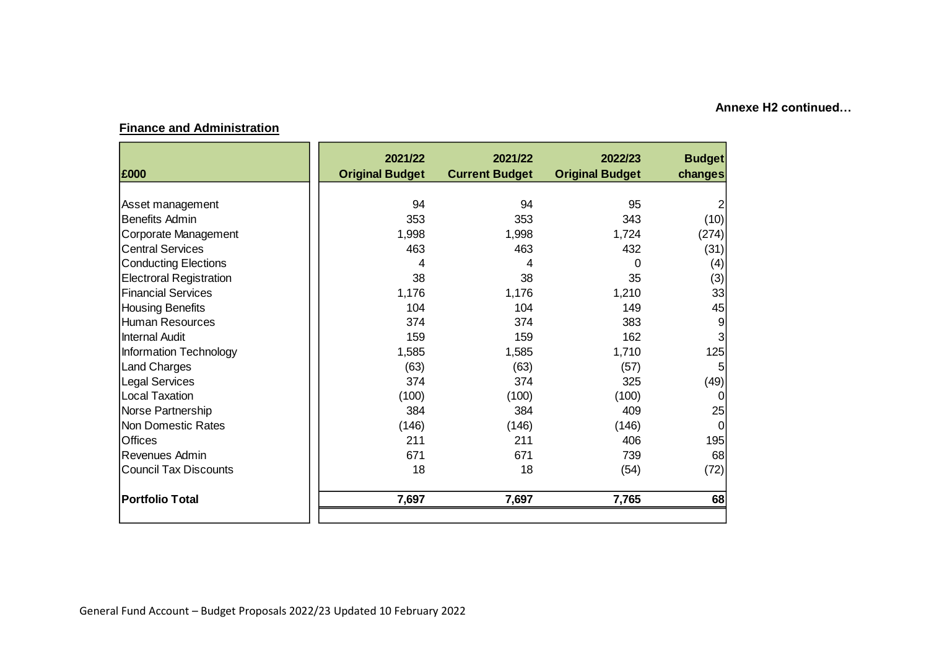### **Finance and Administration**

| <b>Original Budget</b> | <b>Current Budget</b> | 2022/23<br><b>Original Budget</b> | <b>Budget</b><br>changes |
|------------------------|-----------------------|-----------------------------------|--------------------------|
|                        |                       |                                   |                          |
| 94                     | 94                    | 95                                |                          |
| 353                    | 353                   | 343                               | (10)                     |
| 1,998                  | 1,998                 | 1,724                             | (274)                    |
| 463                    | 463                   | 432                               | (31)                     |
| 4                      | 4                     | 0                                 | (4)                      |
| 38                     | 38                    | 35                                | (3)                      |
| 1,176                  | 1,176                 | 1,210                             | 33                       |
| 104                    | 104                   | 149                               | 45                       |
| 374                    | 374                   | 383                               | 9                        |
| 159                    | 159                   | 162                               | 3                        |
| 1,585                  | 1,585                 | 1,710                             | 125                      |
| (63)                   | (63)                  |                                   | 5                        |
| 374                    | 374                   | 325                               | (49)                     |
| (100)                  | (100)                 |                                   | 0                        |
| 384                    | 384                   | 409                               | 25                       |
| (146)                  | (146)                 | (146)                             | $\Omega$                 |
| 211                    | 211                   | 406                               | 195                      |
| 671                    | 671                   | 739                               | 68                       |
| 18                     | 18                    | (54)                              | (72)                     |
| 7,697                  | 7,697                 | 7,765                             | 68                       |
|                        |                       |                                   | (57)<br>(100)            |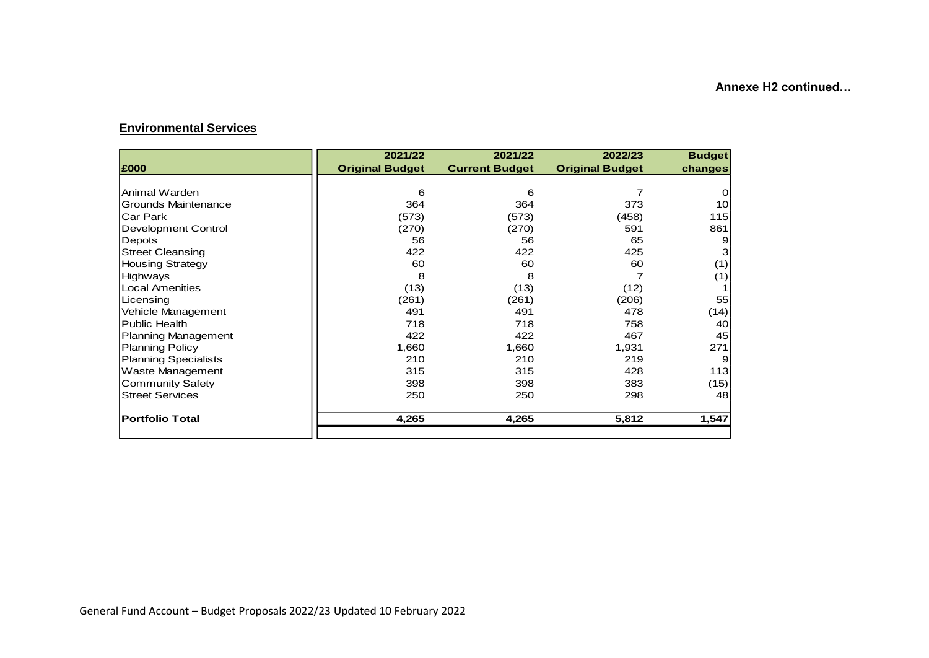### **Environmental Services**

|                             | 2021/22                | 2021/22               | 2022/23                | <b>Budget</b> |
|-----------------------------|------------------------|-----------------------|------------------------|---------------|
| £000                        | <b>Original Budget</b> | <b>Current Budget</b> | <b>Original Budget</b> | changes       |
|                             |                        |                       |                        |               |
| Animal Warden               | 6                      | 6                     |                        | 0             |
| Grounds Maintenance         | 364                    | 364                   | 373                    | 10            |
| Car Park                    | (573)                  | (573)                 | (458)                  | 115           |
| <b>Development Control</b>  | (270)                  | (270)                 | 591                    | 861           |
| Depots                      | 56                     | 56                    | 65                     | 9             |
| <b>Street Cleansing</b>     | 422                    | 422                   | 425                    | 3             |
| <b>Housing Strategy</b>     | 60                     | 60                    | 60                     | (1)           |
| Highways                    | 8                      | 8                     |                        | (1)           |
| <b>Local Amenities</b>      | (13)                   | (13)                  | (12)                   | 1             |
| Licensing                   | (261)                  | (261)                 | (206)                  | 55            |
| Vehicle Management          | 491                    | 491                   | 478                    | (14)          |
| <b>Public Health</b>        | 718                    | 718                   | 758                    | 40            |
| <b>Planning Management</b>  | 422                    | 422                   | 467                    | 45            |
| <b>Planning Policy</b>      | 1,660                  | 1,660                 | 1,931                  | 271           |
| <b>Planning Specialists</b> | 210                    | 210                   | 219                    | 9             |
| Waste Management            | 315                    | 315                   | 428                    | 113           |
| <b>Community Safety</b>     | 398                    | 398                   | 383                    | (15)          |
| <b>Street Services</b>      | 250                    | 250                   | 298                    | 48            |
| <b>Portfolio Total</b>      | 4,265                  | 4,265                 | 5,812                  | 1,547         |
|                             |                        |                       |                        |               |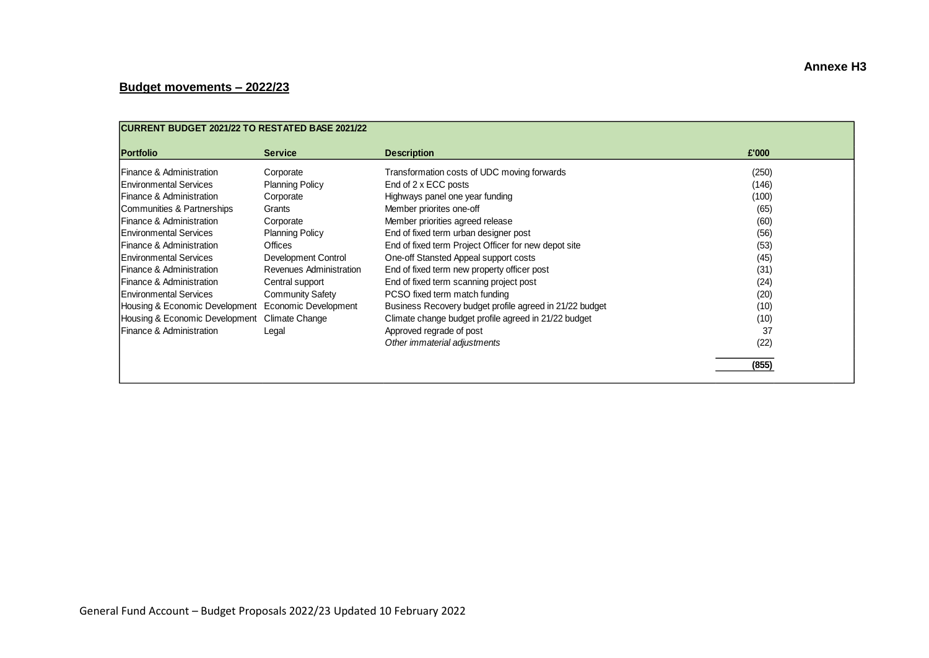# **Budget movements – 2022/23**

| <b>CURRENT BUDGET 2021/22 TO RESTATED BASE 2021/22</b> |                         |                                                         |       |  |  |
|--------------------------------------------------------|-------------------------|---------------------------------------------------------|-------|--|--|
| <b>Portfolio</b>                                       | <b>Service</b>          | <b>Description</b>                                      | £'000 |  |  |
| Finance & Administration                               | Corporate               | Transformation costs of UDC moving forwards             | (250) |  |  |
| Environmental Services                                 | <b>Planning Policy</b>  | End of 2 x ECC posts                                    | (146) |  |  |
| <b>IFinance &amp; Administration</b>                   | Corporate               | Highways panel one year funding                         | (100) |  |  |
| Communities & Partnerships                             | Grants                  | Member priorites one-off                                | (65)  |  |  |
| Finance & Administration                               | Corporate               | Member priorities agreed release                        | (60)  |  |  |
| Environmental Services                                 | <b>Planning Policy</b>  | End of fixed term urban designer post                   | (56)  |  |  |
| Finance & Administration                               | Offices                 | End of fixed term Project Officer for new depot site    | (53)  |  |  |
| Environmental Services                                 | Development Control     | One-off Stansted Appeal support costs                   | (45)  |  |  |
| Finance & Administration                               | Revenues Administration | End of fixed term new property officer post             | (31)  |  |  |
| Finance & Administration                               | Central support         | End of fixed term scanning project post                 | (24)  |  |  |
| <b>IEnvironmental Services</b>                         | <b>Community Safety</b> | PCSO fixed term match funding                           | (20)  |  |  |
| Housing & Economic Development                         | Economic Development    | Business Recovery budget profile agreed in 21/22 budget | (10)  |  |  |
| Housing & Economic Development                         | Climate Change          | Climate change budget profile agreed in 21/22 budget    | (10)  |  |  |
| Finance & Administration                               | Legal                   | Approved regrade of post                                | 37    |  |  |
|                                                        |                         | Other immaterial adjustments                            | (22)  |  |  |
|                                                        |                         |                                                         | (855) |  |  |
|                                                        |                         |                                                         |       |  |  |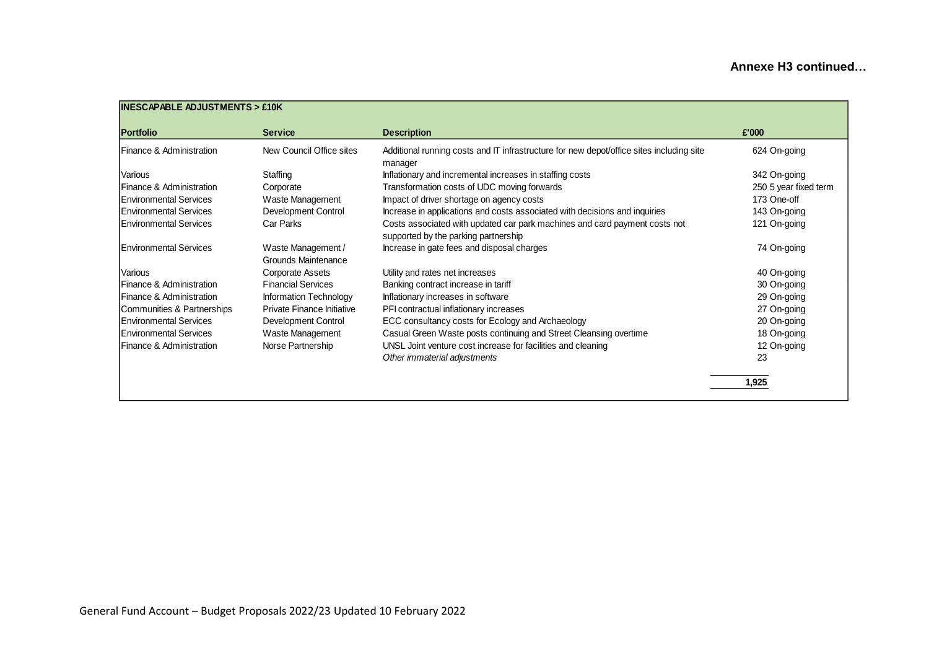| <b>Portfolio</b>           | <b>Service</b>                            | <b>Description</b>                                                                                                 | £'000                 |
|----------------------------|-------------------------------------------|--------------------------------------------------------------------------------------------------------------------|-----------------------|
| Finance & Administration   | New Council Office sites                  | Additional running costs and IT infrastructure for new depot/office sites including site<br>manager                | 624 On-going          |
| Various                    | Staffing                                  | Inflationary and incremental increases in staffing costs                                                           | 342 On-going          |
| Finance & Administration   | Corporate                                 | Transformation costs of UDC moving forwards                                                                        | 250 5 year fixed term |
| Environmental Services     | Waste Management                          | Impact of driver shortage on agency costs                                                                          | 173 One-off           |
| Environmental Services     | Development Control                       | Increase in applications and costs associated with decisions and inquiries                                         | 143 On-going          |
| lEnvironmental Services    | Car Parks                                 | Costs associated with updated car park machines and card payment costs not<br>supported by the parking partnership | 121 On-going          |
| Environmental Services     | Waste Management /<br>Grounds Maintenance | Increase in gate fees and disposal charges                                                                         | 74 On-going           |
| Various                    | Corporate Assets                          | Utility and rates net increases                                                                                    | 40 On-going           |
| Finance & Administration   | <b>Financial Services</b>                 | Banking contract increase in tariff                                                                                | 30 On-going           |
| Finance & Administration   | Information Technology                    | Inflationary increases in software                                                                                 | 29 On-going           |
| Communities & Partnerships | Private Finance Initiative                | PFI contractual inflationary increases                                                                             | 27 On-going           |
| Environmental Services     | Development Control                       | ECC consultancy costs for Ecology and Archaeology                                                                  | 20 On-going           |
| Environmental Services     | Waste Management                          | Casual Green Waste posts continuing and Street Cleansing overtime                                                  | 18 On-going           |
| Finance & Administration   | Norse Partnership                         | UNSL Joint venture cost increase for facilities and cleaning                                                       | 12 On-going           |
|                            |                                           | Other immaterial adjustments                                                                                       | 23                    |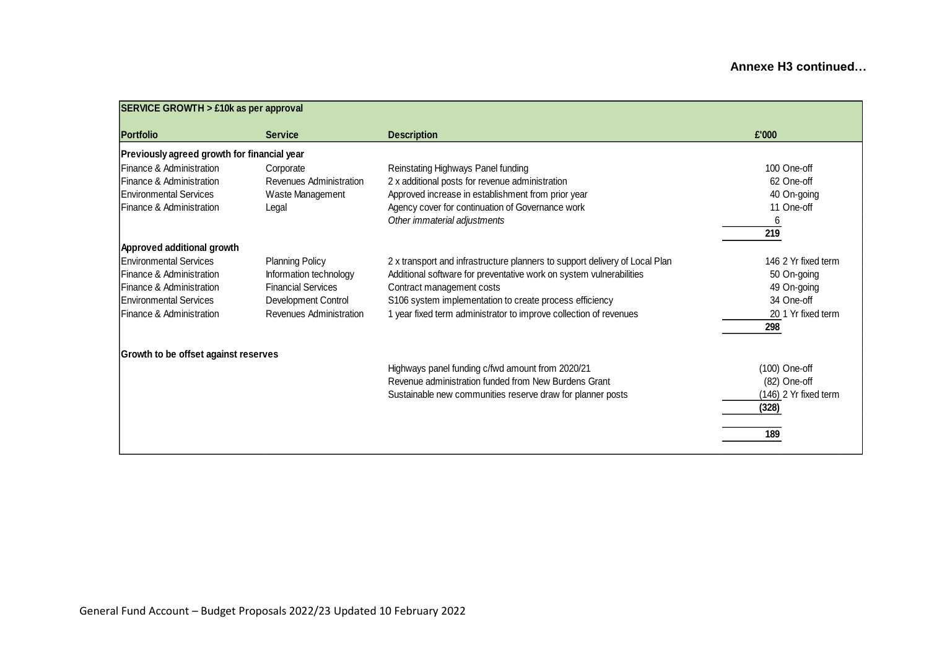| <b>SERVICE GROWTH &gt; £10k as per approval</b> |                           |                                                                             |                       |
|-------------------------------------------------|---------------------------|-----------------------------------------------------------------------------|-----------------------|
| <b>Portfolio</b>                                | <b>Service</b>            | <b>Description</b>                                                          | £'000                 |
| Previously agreed growth for financial year     |                           |                                                                             |                       |
| Finance & Administration                        | Corporate                 | Reinstating Highways Panel funding                                          | 100 One-off           |
| <b>IFinance &amp; Administration</b>            | Revenues Administration   | 2 x additional posts for revenue administration                             | 62 One-off            |
| <b>Environmental Services</b>                   | Waste Management          | Approved increase in establishment from prior year                          | 40 On-going           |
| <b>IFinance &amp; Administration</b>            | Legal                     | Agency cover for continuation of Governance work                            | 11 One-off            |
|                                                 |                           | Other immaterial adjustments                                                | 6                     |
|                                                 |                           |                                                                             | 219                   |
| Approved additional growth                      |                           |                                                                             |                       |
| Environmental Services                          | <b>Planning Policy</b>    | 2 x transport and infrastructure planners to support delivery of Local Plan | 146 2 Yr fixed term   |
| Finance & Administration                        | Information technology    | Additional software for preventative work on system vulnerabilities         | 50 On-going           |
| <b>IFinance &amp; Administration</b>            | <b>Financial Services</b> | Contract management costs                                                   | 49 On-going           |
| Environmental Services                          | Development Control       | S106 system implementation to create process efficiency                     | 34 One-off            |
| <b>IFinance &amp; Administration</b>            | Revenues Administration   | 1 year fixed term administrator to improve collection of revenues           | 20 1 Yr fixed term    |
|                                                 |                           |                                                                             | 298                   |
| Growth to be offset against reserves            |                           |                                                                             |                       |
|                                                 |                           | Highways panel funding c/fwd amount from 2020/21                            | (100) One-off         |
|                                                 |                           | Revenue administration funded from New Burdens Grant                        | (82) One-off          |
|                                                 |                           | Sustainable new communities reserve draw for planner posts                  | (146) 2 Yr fixed term |
|                                                 |                           |                                                                             | (328)                 |
|                                                 |                           |                                                                             | 189                   |
|                                                 |                           |                                                                             |                       |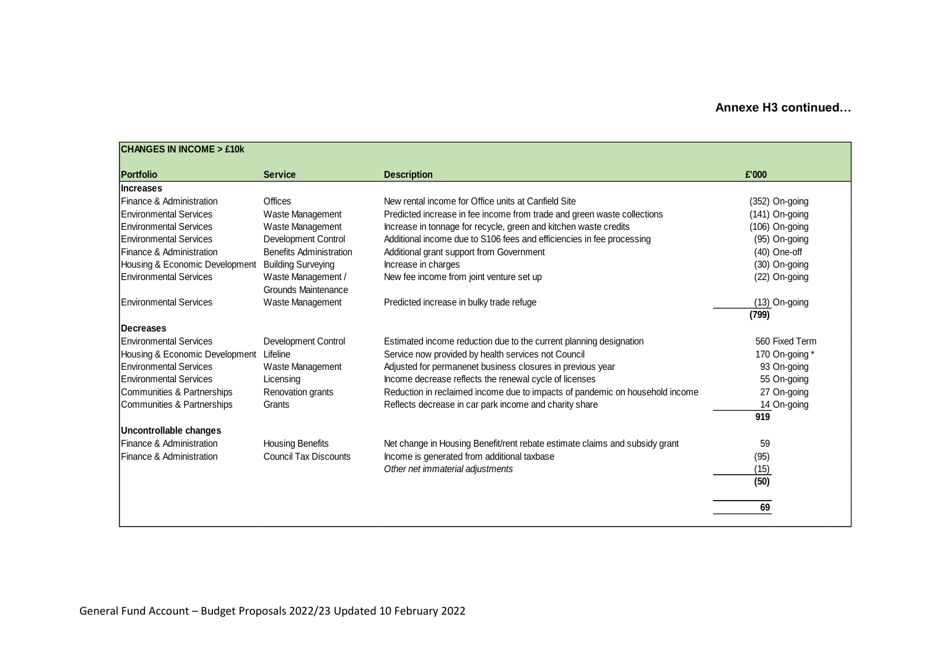| <b>Portfolio</b>               | <b>Service</b>                            | <b>Description</b>                                                           | £'000            |
|--------------------------------|-------------------------------------------|------------------------------------------------------------------------------|------------------|
| <b>Increases</b>               |                                           |                                                                              |                  |
| Finance & Administration       | Offices                                   | New rental income for Office units at Canfield Site                          | (352) On-going   |
| Environmental Services         | Waste Management                          | Predicted increase in fee income from trade and green waste collections      | (141) On-going   |
| Environmental Services         | Waste Management                          | Increase in tonnage for recycle, green and kitchen waste credits             | $(106)$ On-going |
| Environmental Services         | Development Control                       | Additional income due to S106 fees and efficiencies in fee processing        | (95) On-going    |
| Finance & Administration       | <b>Benefits Administration</b>            | Additional grant support from Government                                     | $(40)$ One-off   |
| Housing & Economic Development | <b>Building Surveying</b>                 | Increase in charges                                                          | (30) On-going    |
| <b>Environmental Services</b>  | Waste Management /<br>Grounds Maintenance | New fee income from joint venture set up                                     | (22) On-going    |
| <b>Environmental Services</b>  | Waste Management                          | Predicted increase in bulky trade refuge                                     | $(13)$ On-going  |
|                                |                                           |                                                                              | (799)            |
| <b>IDecreases</b>              |                                           |                                                                              |                  |
| <b>Environmental Services</b>  | Development Control                       | Estimated income reduction due to the current planning designation           | 560 Fixed Term   |
| Housing & Economic Development | Lifeline                                  | Service now provided by health services not Council                          | 170 On-going *   |
| <b>Environmental Services</b>  | Waste Management                          | Adjusted for permanenet business closures in previous year                   | 93 On-going      |
| Environmental Services         | Licensing                                 | Income decrease reflects the renewal cycle of licenses                       | 55 On-going      |
| Communities & Partnerships     | Renovation grants                         | Reduction in reclaimed income due to impacts of pandemic on household income | 27 On-going      |
| Communities & Partnerships     | Grants                                    | Reflects decrease in car park income and charity share                       | 14 On-going      |
|                                |                                           |                                                                              | 919              |
| Uncontrollable changes         |                                           |                                                                              |                  |
| Finance & Administration       | <b>Housing Benefits</b>                   | Net change in Housing Benefit/rent rebate estimate claims and subsidy grant  | 59               |
| Finance & Administration       | <b>Council Tax Discounts</b>              | Income is generated from additional taxbase                                  | (95)             |
|                                |                                           | Other net immaterial adjustments                                             | (15)             |
|                                |                                           |                                                                              | (50)             |
|                                |                                           |                                                                              |                  |
|                                |                                           |                                                                              | 69               |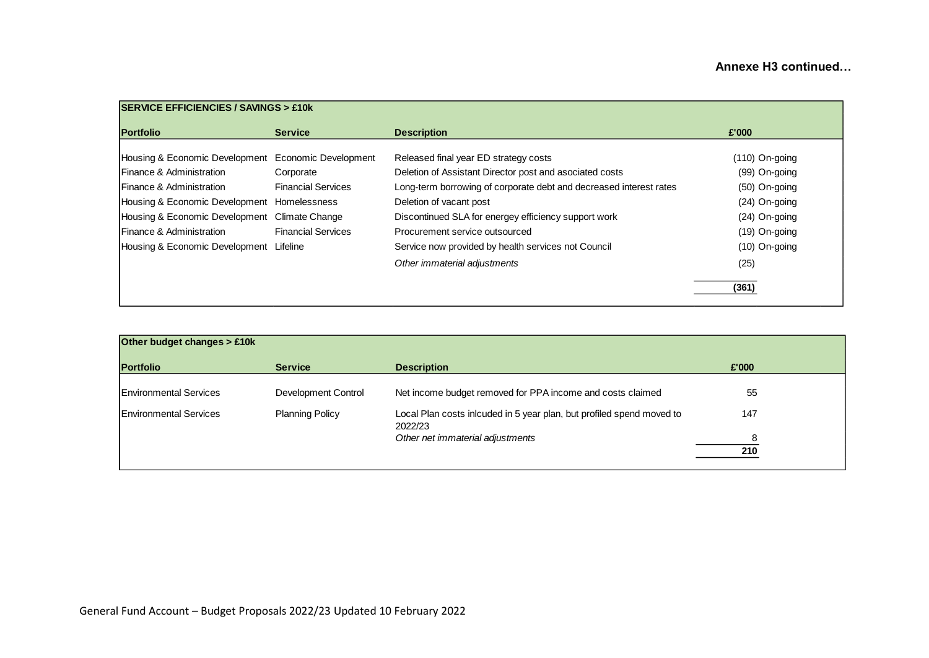| <b>SERVICE EFFICIENCIES / SAVINGS &gt; £10k</b>     |                           |                                                                    |                  |  |  |  |
|-----------------------------------------------------|---------------------------|--------------------------------------------------------------------|------------------|--|--|--|
| <b>Portfolio</b>                                    | <b>Service</b>            | <b>Description</b>                                                 | £'000            |  |  |  |
| Housing & Economic Development Economic Development |                           | Released final year ED strategy costs                              | $(110)$ On-going |  |  |  |
| <b>Finance &amp; Administration</b>                 | Corporate                 | Deletion of Assistant Director post and asociated costs            | (99) On-going    |  |  |  |
| <b>IFinance &amp; Administration</b>                | <b>Financial Services</b> | Long-term borrowing of corporate debt and decreased interest rates | (50) On-going    |  |  |  |
| Housing & Economic Development Homelessness         |                           | Deletion of vacant post                                            | (24) On-going    |  |  |  |
| Housing & Economic Development                      | Climate Change            | Discontinued SLA for energey efficiency support work               | (24) On-going    |  |  |  |
| <b>Finance &amp; Administration</b>                 | <b>Financial Services</b> | Procurement service outsourced                                     | (19) On-going    |  |  |  |
| Housing & Economic Development Lifeline             |                           | Service now provided by health services not Council                | (10) On-going    |  |  |  |
|                                                     |                           | Other immaterial adjustments                                       | (25)             |  |  |  |
|                                                     |                           |                                                                    | (361)            |  |  |  |

| Other budget changes > £10k   |                        |                                                                                  |          |
|-------------------------------|------------------------|----------------------------------------------------------------------------------|----------|
| <b>Portfolio</b>              | <b>Service</b>         | <b>Description</b>                                                               | £'000    |
| <b>Environmental Services</b> | Development Control    | Net income budget removed for PPA income and costs claimed                       | 55       |
| <b>Environmental Services</b> | <b>Planning Policy</b> | Local Plan costs inlcuded in 5 year plan, but profiled spend moved to<br>2022/23 | 147      |
|                               |                        | Other net immaterial adjustments                                                 | 8<br>210 |
|                               |                        |                                                                                  |          |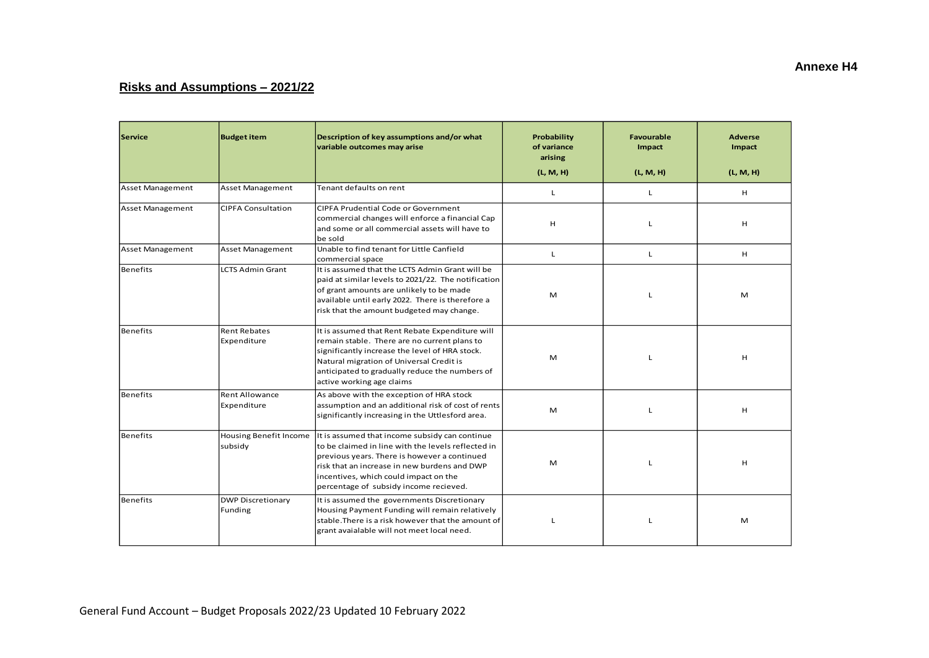# **Risks and Assumptions – 2021/22**

| Service                 | <b>Budget item</b>                   | Description of key assumptions and/or what<br>variable outcomes may arise                                                                                                                                                                                                               | Probability<br>of variance<br>arising<br>(L, M, H) | Favourable<br>Impact<br>(L, M, H) | <b>Adverse</b><br>Impact<br>(L, M, H) |
|-------------------------|--------------------------------------|-----------------------------------------------------------------------------------------------------------------------------------------------------------------------------------------------------------------------------------------------------------------------------------------|----------------------------------------------------|-----------------------------------|---------------------------------------|
| <b>Asset Management</b> | Asset Management                     | Tenant defaults on rent                                                                                                                                                                                                                                                                 | L                                                  | L                                 | н                                     |
| Asset Management        | <b>CIPFA Consultation</b>            | CIPFA Prudential Code or Government<br>commercial changes will enforce a financial Cap<br>and some or all commercial assets will have to<br>be sold                                                                                                                                     | H                                                  | L                                 | H                                     |
| Asset Management        | <b>Asset Management</b>              | Unable to find tenant for Little Canfield<br>commercial space                                                                                                                                                                                                                           | Г                                                  | L                                 | н                                     |
| Benefits                | <b>LCTS Admin Grant</b>              | It is assumed that the LCTS Admin Grant will be<br>paid at similar levels to 2021/22. The notification<br>of grant amounts are unlikely to be made<br>available until early 2022. There is therefore a<br>risk that the amount budgeted may change.                                     | M                                                  | L                                 | M                                     |
| Benefits                | <b>Rent Rebates</b><br>Expenditure   | It is assumed that Rent Rebate Expenditure will<br>remain stable. There are no current plans to<br>significantly increase the level of HRA stock.<br>Natural migration of Universal Credit is<br>anticipated to gradually reduce the numbers of<br>active working age claims            | M                                                  |                                   | H                                     |
| Benefits                | <b>Rent Allowance</b><br>Expenditure | As above with the exception of HRA stock<br>assumption and an additional risk of cost of rents<br>significantly increasing in the Uttlesford area.                                                                                                                                      | M                                                  | L                                 | H                                     |
| Benefits                | Housing Benefit Income<br>subsidy    | It is assumed that income subsidy can continue<br>to be claimed in line with the levels reflected in<br>previous years. There is however a continued<br>risk that an increase in new burdens and DWP<br>incentives, which could impact on the<br>percentage of subsidy income recieved. | M                                                  | L                                 | H                                     |
| Benefits                | <b>DWP Discretionary</b><br>Funding  | It is assumed the governments Discretionary<br>Housing Payment Funding will remain relatively<br>stable. There is a risk however that the amount of<br>grant avaialable will not meet local need.                                                                                       | L                                                  | L                                 | M                                     |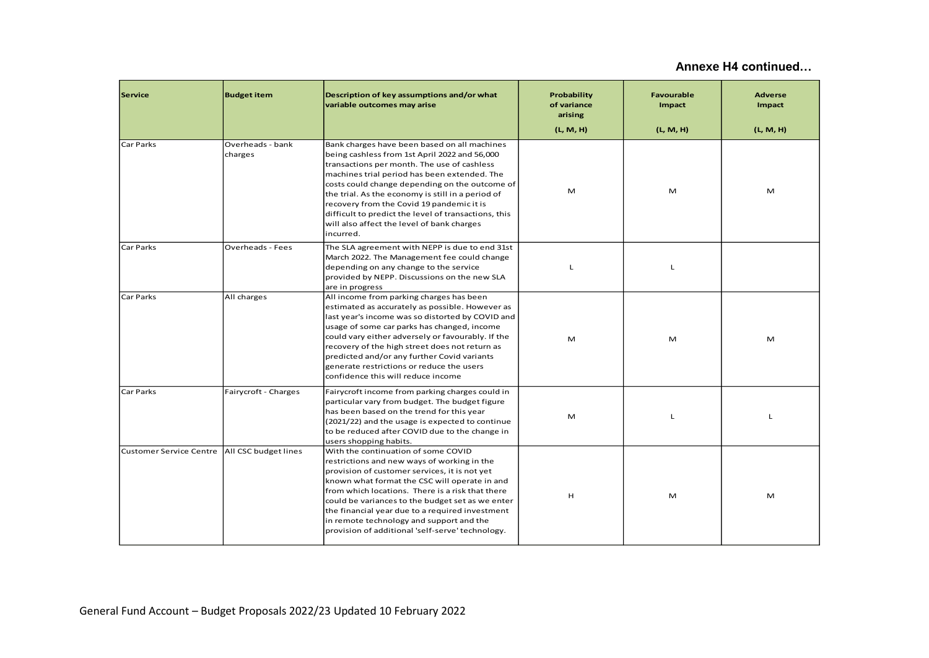| <b>Service</b>                                 | <b>Budget item</b>          | Description of key assumptions and/or what<br>variable outcomes may arise                                                                                                                                                                                                                                                                                                                                                                                           | Probability<br>of variance<br>arising | <b>Favourable</b><br>Impact | <b>Adverse</b><br>Impact |
|------------------------------------------------|-----------------------------|---------------------------------------------------------------------------------------------------------------------------------------------------------------------------------------------------------------------------------------------------------------------------------------------------------------------------------------------------------------------------------------------------------------------------------------------------------------------|---------------------------------------|-----------------------------|--------------------------|
|                                                |                             |                                                                                                                                                                                                                                                                                                                                                                                                                                                                     | (L, M, H)                             | (L, M, H)                   | (L, M, H)                |
| Car Parks                                      | Overheads - bank<br>charges | Bank charges have been based on all machines<br>being cashless from 1st April 2022 and 56,000<br>transactions per month. The use of cashless<br>machines trial period has been extended. The<br>costs could change depending on the outcome of<br>the trial. As the economy is still in a period of<br>recovery from the Covid 19 pandemic it is<br>difficult to predict the level of transactions, this<br>will also affect the level of bank charges<br>incurred. | M                                     | M                           | M                        |
| Car Parks                                      | Overheads - Fees            | The SLA agreement with NEPP is due to end 31st<br>March 2022. The Management fee could change<br>depending on any change to the service<br>provided by NEPP. Discussions on the new SLA<br>are in progress                                                                                                                                                                                                                                                          | L                                     | L                           |                          |
| Car Parks                                      | All charges                 | All income from parking charges has been<br>estimated as accurately as possible. However as<br>last year's income was so distorted by COVID and<br>usage of some car parks has changed, income<br>could vary either adversely or favourably. If the<br>recovery of the high street does not return as<br>predicted and/or any further Covid variants<br>generate restrictions or reduce the users<br>confidence this will reduce income                             | M                                     | M                           | M                        |
| Car Parks                                      | Fairycroft - Charges        | Fairycroft income from parking charges could in<br>particular vary from budget. The budget figure<br>has been based on the trend for this year<br>(2021/22) and the usage is expected to continue<br>to be reduced after COVID due to the change in<br>users shopping habits.                                                                                                                                                                                       | M                                     | L                           | L                        |
| Customer Service Centre   All CSC budget lines |                             | With the continuation of some COVID<br>restrictions and new ways of working in the<br>provision of customer services, it is not yet<br>known what format the CSC will operate in and<br>from which locations. There is a risk that there<br>could be variances to the budget set as we enter<br>the financial year due to a required investment<br>in remote technology and support and the<br>provision of additional 'self-serve' technology.                     | Н                                     | M                           | M                        |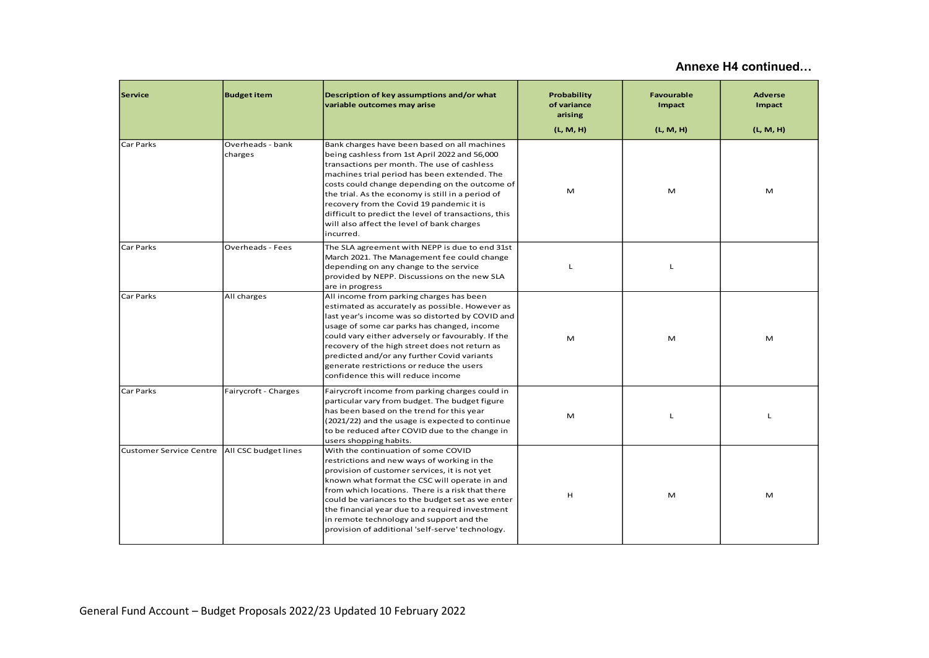| <b>Service</b> | <b>Budget item</b>                                                                                                                                                                                                                                                                                                                                                                                                                                                                                | Description of key assumptions and/or what<br>variable outcomes may arise                                                                                                                                                                                                                                                                                                                                                                                           | Probability<br>of variance<br>arising | Favourable<br>Impact | <b>Adverse</b><br>Impact |
|----------------|---------------------------------------------------------------------------------------------------------------------------------------------------------------------------------------------------------------------------------------------------------------------------------------------------------------------------------------------------------------------------------------------------------------------------------------------------------------------------------------------------|---------------------------------------------------------------------------------------------------------------------------------------------------------------------------------------------------------------------------------------------------------------------------------------------------------------------------------------------------------------------------------------------------------------------------------------------------------------------|---------------------------------------|----------------------|--------------------------|
| Car Parks      | Overheads - bank<br>charges                                                                                                                                                                                                                                                                                                                                                                                                                                                                       | Bank charges have been based on all machines<br>being cashless from 1st April 2022 and 56,000<br>transactions per month. The use of cashless<br>machines trial period has been extended. The<br>costs could change depending on the outcome of<br>the trial. As the economy is still in a period of<br>recovery from the Covid 19 pandemic it is<br>difficult to predict the level of transactions, this<br>will also affect the level of bank charges<br>incurred. | (L, M, H)<br>M                        | (L, M, H)<br>M       | (L, M, H)<br>M           |
| Car Parks      | <b>Overheads - Fees</b>                                                                                                                                                                                                                                                                                                                                                                                                                                                                           | The SLA agreement with NEPP is due to end 31st<br>March 2021. The Management fee could change<br>depending on any change to the service<br>provided by NEPP. Discussions on the new SLA<br>are in progress                                                                                                                                                                                                                                                          | L                                     | L                    |                          |
| Car Parks      | All charges                                                                                                                                                                                                                                                                                                                                                                                                                                                                                       | All income from parking charges has been<br>estimated as accurately as possible. However as<br>last year's income was so distorted by COVID and<br>usage of some car parks has changed, income<br>could vary either adversely or favourably. If the<br>recovery of the high street does not return as<br>predicted and/or any further Covid variants<br>generate restrictions or reduce the users<br>confidence this will reduce income                             | M                                     | M                    | M                        |
| Car Parks      | Fairycroft - Charges                                                                                                                                                                                                                                                                                                                                                                                                                                                                              | Fairycroft income from parking charges could in<br>particular vary from budget. The budget figure<br>has been based on the trend for this year<br>(2021/22) and the usage is expected to continue<br>to be reduced after COVID due to the change in<br>users shopping habits.                                                                                                                                                                                       | M                                     | L                    | L                        |
|                | Customer Service Centre   All CSC budget lines<br>With the continuation of some COVID<br>restrictions and new ways of working in the<br>provision of customer services, it is not yet<br>known what format the CSC will operate in and<br>from which locations. There is a risk that there<br>could be variances to the budget set as we enter<br>the financial year due to a required investment<br>in remote technology and support and the<br>provision of additional 'self-serve' technology. |                                                                                                                                                                                                                                                                                                                                                                                                                                                                     | н                                     | M                    | M                        |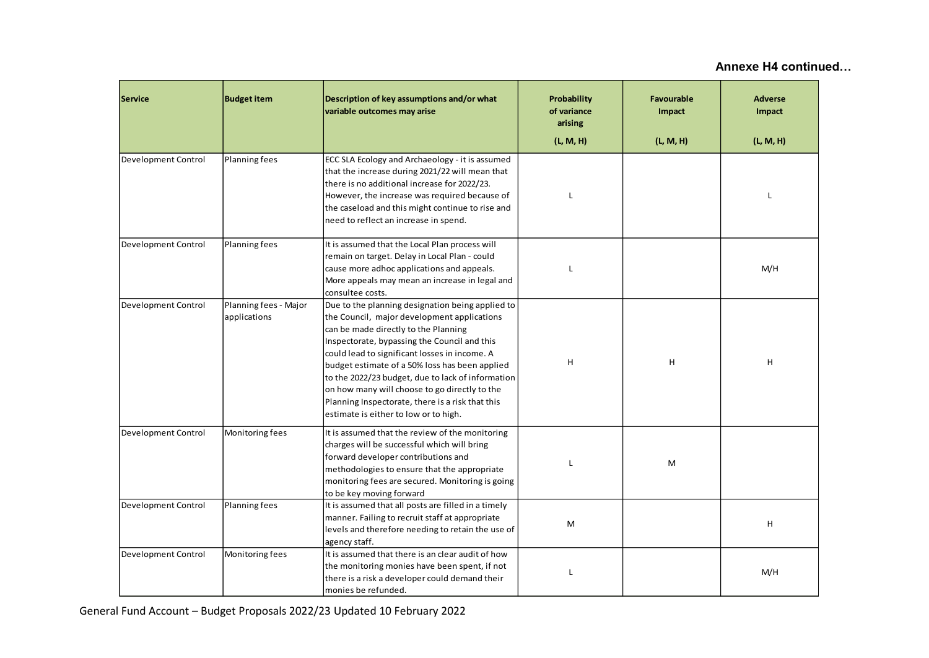| <b>Service</b>                                               | <b>Budget item</b>                                                                                                                                                                                                                                                                       | Description of key assumptions and/or what<br>variable outcomes may arise                                                                                                                                                                                                                                                                                                                                                                                                                     | <b>Probability</b><br>of variance<br>arising<br>(L, M, H) | <b>Favourable</b><br>Impact<br>(L, M, H) | <b>Adverse</b><br>Impact<br>(L, M, H) |
|--------------------------------------------------------------|------------------------------------------------------------------------------------------------------------------------------------------------------------------------------------------------------------------------------------------------------------------------------------------|-----------------------------------------------------------------------------------------------------------------------------------------------------------------------------------------------------------------------------------------------------------------------------------------------------------------------------------------------------------------------------------------------------------------------------------------------------------------------------------------------|-----------------------------------------------------------|------------------------------------------|---------------------------------------|
| Development Control                                          | Planning fees                                                                                                                                                                                                                                                                            | ECC SLA Ecology and Archaeology - it is assumed<br>that the increase during 2021/22 will mean that<br>there is no additional increase for 2022/23.<br>However, the increase was required because of<br>the caseload and this might continue to rise and<br>need to reflect an increase in spend.                                                                                                                                                                                              |                                                           |                                          | L                                     |
| Development Control                                          | It is assumed that the Local Plan process will<br>Planning fees<br>remain on target. Delay in Local Plan - could<br>cause more adhoc applications and appeals.<br>More appeals may mean an increase in legal and<br>consultee costs.                                                     |                                                                                                                                                                                                                                                                                                                                                                                                                                                                                               |                                                           |                                          | M/H                                   |
| Development Control<br>Planning fees - Major<br>applications |                                                                                                                                                                                                                                                                                          | Due to the planning designation being applied to<br>the Council, major development applications<br>can be made directly to the Planning<br>Inspectorate, bypassing the Council and this<br>could lead to significant losses in income. A<br>budget estimate of a 50% loss has been applied<br>to the 2022/23 budget, due to lack of information<br>on how many will choose to go directly to the<br>Planning Inspectorate, there is a risk that this<br>estimate is either to low or to high. | н                                                         | H                                        | н                                     |
| Development Control                                          | Monitoring fees<br>It is assumed that the review of the monitoring<br>charges will be successful which will bring<br>forward developer contributions and<br>methodologies to ensure that the appropriate<br>monitoring fees are secured. Monitoring is going<br>to be key moving forward |                                                                                                                                                                                                                                                                                                                                                                                                                                                                                               |                                                           | M                                        |                                       |
| Development Control                                          | Planning fees                                                                                                                                                                                                                                                                            | It is assumed that all posts are filled in a timely<br>manner. Failing to recruit staff at appropriate<br>levels and therefore needing to retain the use of<br>agency staff.                                                                                                                                                                                                                                                                                                                  | М                                                         |                                          | н                                     |
| Development Control                                          | Monitoring fees                                                                                                                                                                                                                                                                          | It is assumed that there is an clear audit of how<br>the monitoring monies have been spent, if not<br>there is a risk a developer could demand their<br>monies be refunded.                                                                                                                                                                                                                                                                                                                   | L                                                         |                                          | M/H                                   |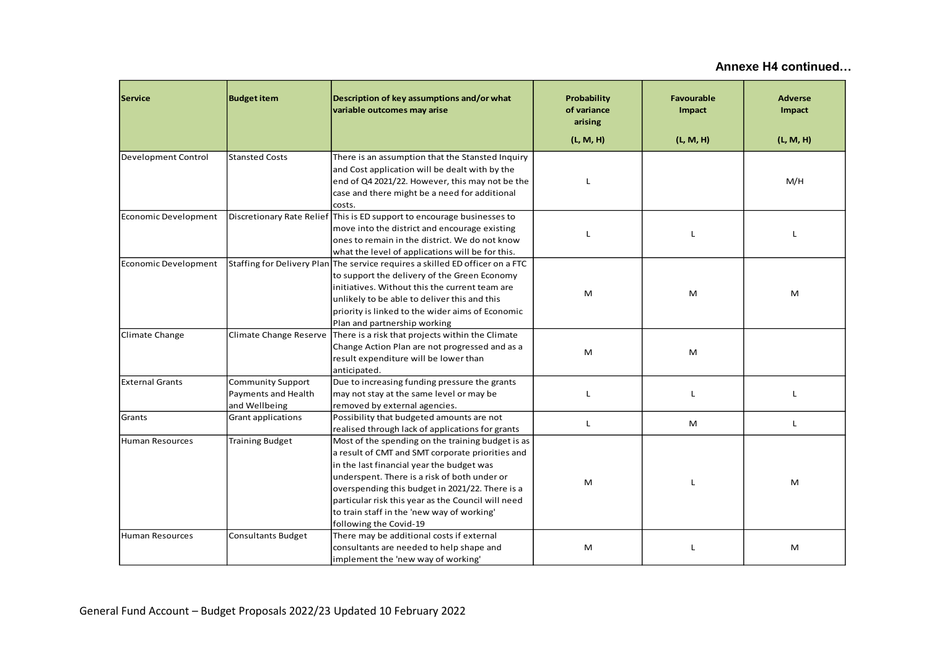| <b>Service</b>                                   | <b>Budget item</b>                                               | Description of key assumptions and/or what<br>variable outcomes may arise                                                                                                                                                                                                                                                                                                           |   | <b>Favourable</b><br>Impact<br>(L, M, H) | <b>Adverse</b><br>Impact<br>(L, M, H) |
|--------------------------------------------------|------------------------------------------------------------------|-------------------------------------------------------------------------------------------------------------------------------------------------------------------------------------------------------------------------------------------------------------------------------------------------------------------------------------------------------------------------------------|---|------------------------------------------|---------------------------------------|
| Development Control<br><b>Stansted Costs</b>     |                                                                  | There is an assumption that the Stansted Inquiry<br>and Cost application will be dealt with by the<br>end of Q4 2021/22. However, this may not be the<br>case and there might be a need for additional<br>costs.                                                                                                                                                                    |   |                                          | M/H                                   |
| <b>Economic Development</b>                      |                                                                  | Discretionary Rate Relief This is ED support to encourage businesses to<br>move into the district and encourage existing<br>ones to remain in the district. We do not know<br>what the level of applications will be for this.                                                                                                                                                      |   | L                                        | L                                     |
| <b>Economic Development</b>                      |                                                                  | Staffing for Delivery Plan The service requires a skilled ED officer on a FTC<br>to support the delivery of the Green Economy<br>initiatives. Without this the current team are<br>unlikely to be able to deliver this and this<br>priority is linked to the wider aims of Economic<br>Plan and partnership working                                                                 | M | M                                        | M                                     |
| Climate Change<br>Climate Change Reserve         |                                                                  | There is a risk that projects within the Climate<br>Change Action Plan are not progressed and as a<br>result expenditure will be lower than<br>anticipated.                                                                                                                                                                                                                         | M | M                                        |                                       |
| <b>External Grants</b>                           | <b>Community Support</b><br>Payments and Health<br>and Wellbeing | Due to increasing funding pressure the grants<br>may not stay at the same level or may be<br>removed by external agencies.                                                                                                                                                                                                                                                          | L | L                                        | L                                     |
| Grants                                           | Grant applications                                               | Possibility that budgeted amounts are not<br>realised through lack of applications for grants                                                                                                                                                                                                                                                                                       | L | M                                        | L                                     |
| <b>Human Resources</b><br><b>Training Budget</b> |                                                                  | Most of the spending on the training budget is as<br>a result of CMT and SMT corporate priorities and<br>in the last financial year the budget was<br>underspent. There is a risk of both under or<br>overspending this budget in 2021/22. There is a<br>particular risk this year as the Council will need<br>to train staff in the 'new way of working'<br>following the Covid-19 | м | т.                                       | M                                     |
| Human Resources                                  | <b>Consultants Budget</b>                                        | There may be additional costs if external<br>consultants are needed to help shape and<br>implement the 'new way of working'                                                                                                                                                                                                                                                         | м | L                                        | M                                     |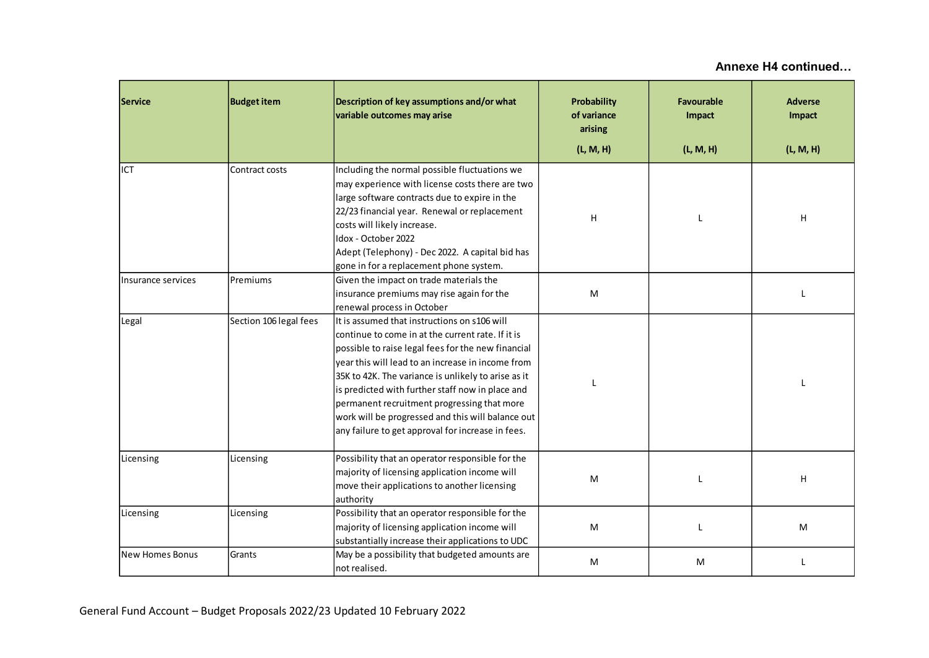| Service            | <b>Budget item</b>                                                        | Description of key assumptions and/or what<br>variable outcomes may arise                                                                                                                                                                                                                                                                                                                                                                                                        | Probability<br>of variance<br>arising<br>(L, M, H) | Favourable<br>Impact<br>(L, M, H) | <b>Adverse</b><br>Impact<br>(L, M, H) |
|--------------------|---------------------------------------------------------------------------|----------------------------------------------------------------------------------------------------------------------------------------------------------------------------------------------------------------------------------------------------------------------------------------------------------------------------------------------------------------------------------------------------------------------------------------------------------------------------------|----------------------------------------------------|-----------------------------------|---------------------------------------|
|                    |                                                                           |                                                                                                                                                                                                                                                                                                                                                                                                                                                                                  |                                                    |                                   |                                       |
| ICT                | Contract costs                                                            | Including the normal possible fluctuations we<br>may experience with license costs there are two<br>large software contracts due to expire in the<br>22/23 financial year. Renewal or replacement<br>costs will likely increase.<br>Idox - October 2022<br>Adept (Telephony) - Dec 2022. A capital bid has                                                                                                                                                                       | Н                                                  |                                   | н                                     |
|                    |                                                                           | gone in for a replacement phone system.                                                                                                                                                                                                                                                                                                                                                                                                                                          |                                                    |                                   |                                       |
| Insurance services | Premiums                                                                  | Given the impact on trade materials the<br>insurance premiums may rise again for the<br>renewal process in October                                                                                                                                                                                                                                                                                                                                                               | M                                                  |                                   | L                                     |
| Legal              | Section 106 legal fees                                                    | It is assumed that instructions on s106 will<br>continue to come in at the current rate. If it is<br>possible to raise legal fees for the new financial<br>year this will lead to an increase in income from<br>35K to 42K. The variance is unlikely to arise as it<br>is predicted with further staff now in place and<br>permanent recruitment progressing that more<br>work will be progressed and this will balance out<br>any failure to get approval for increase in fees. |                                                    |                                   |                                       |
| Licensing          | Licensing                                                                 | Possibility that an operator responsible for the<br>majority of licensing application income will<br>move their applications to another licensing<br>authority                                                                                                                                                                                                                                                                                                                   | M                                                  | T                                 | н                                     |
| Licensing          | Licensing                                                                 | Possibility that an operator responsible for the<br>majority of licensing application income will<br>substantially increase their applications to UDC                                                                                                                                                                                                                                                                                                                            | M                                                  |                                   | M                                     |
| New Homes Bonus    | May be a possibility that budgeted amounts are<br>Grants<br>not realised. |                                                                                                                                                                                                                                                                                                                                                                                                                                                                                  | M                                                  | M                                 | $\mathbf{I}$                          |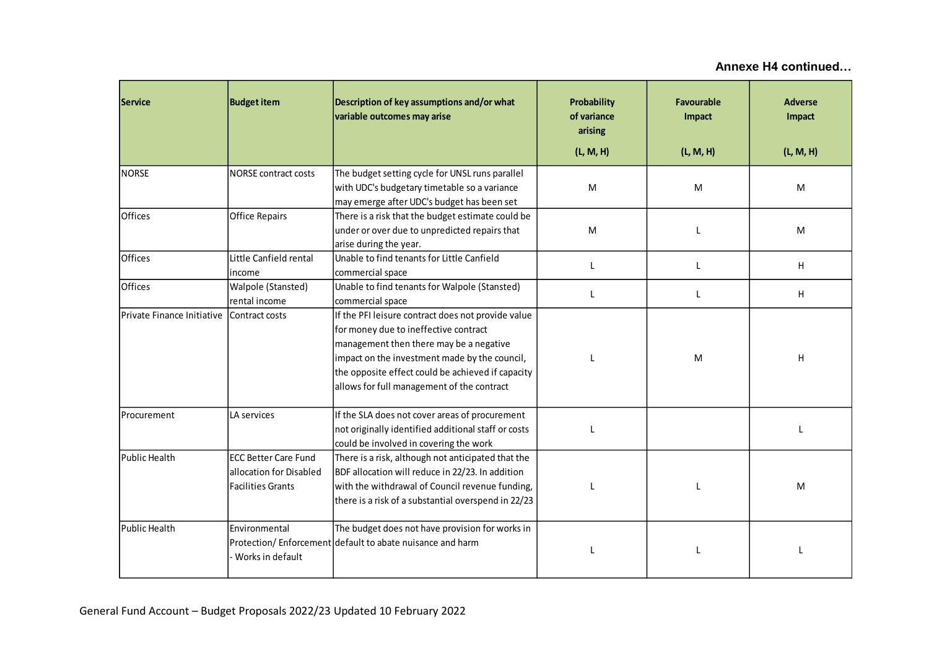| <b>Service</b>                                                                                                                                                     | <b>Budget item</b><br>Description of key assumptions and/or what<br>variable outcomes may arise |                                                                                                                                                                                                                                                                                            | Probability<br>of variance<br>arising | <b>Favourable</b><br>Impact | <b>Adverse</b><br>Impact |
|--------------------------------------------------------------------------------------------------------------------------------------------------------------------|-------------------------------------------------------------------------------------------------|--------------------------------------------------------------------------------------------------------------------------------------------------------------------------------------------------------------------------------------------------------------------------------------------|---------------------------------------|-----------------------------|--------------------------|
|                                                                                                                                                                    |                                                                                                 |                                                                                                                                                                                                                                                                                            | (L, M, H)                             | (L, M, H)                   | (L, M, H)                |
| <b>NORSE</b>                                                                                                                                                       | NORSE contract costs                                                                            | The budget setting cycle for UNSL runs parallel<br>with UDC's budgetary timetable so a variance<br>may emerge after UDC's budget has been set                                                                                                                                              | M                                     | M                           | M                        |
| <b>Offices</b>                                                                                                                                                     | <b>Office Repairs</b>                                                                           | There is a risk that the budget estimate could be<br>under or over due to unpredicted repairs that<br>arise during the year.                                                                                                                                                               | M                                     |                             | M                        |
| <b>Offices</b>                                                                                                                                                     | Little Canfield rental<br>income                                                                | Unable to find tenants for Little Canfield<br>commercial space                                                                                                                                                                                                                             | L                                     | L                           | н                        |
| <b>Offices</b>                                                                                                                                                     | Walpole (Stansted)<br>rental income                                                             | Unable to find tenants for Walpole (Stansted)<br>commercial space                                                                                                                                                                                                                          | L                                     | L                           | н                        |
| Private Finance Initiative<br>Contract costs                                                                                                                       |                                                                                                 | If the PFI leisure contract does not provide value<br>for money due to ineffective contract<br>management then there may be a negative<br>impact on the investment made by the council,<br>the opposite effect could be achieved if capacity<br>allows for full management of the contract |                                       | M                           | H                        |
| LA services<br>Procurement                                                                                                                                         |                                                                                                 | If the SLA does not cover areas of procurement<br>not originally identified additional staff or costs<br>could be involved in covering the work                                                                                                                                            |                                       |                             |                          |
| <b>ECC Better Care Fund</b><br>lPublic Health<br>lallocation for Disabled<br><b>Facilities Grants</b>                                                              |                                                                                                 | There is a risk, although not anticipated that the<br>BDF allocation will reduce in 22/23. In addition<br>with the withdrawal of Council revenue funding,<br>there is a risk of a substantial overspend in 22/23                                                                           |                                       |                             | M                        |
| Public Health<br>The budget does not have provision for works in<br>Environmental<br>Protection/Enforcement default to abate nuisance and harm<br>Works in default |                                                                                                 |                                                                                                                                                                                                                                                                                            |                                       |                             |                          |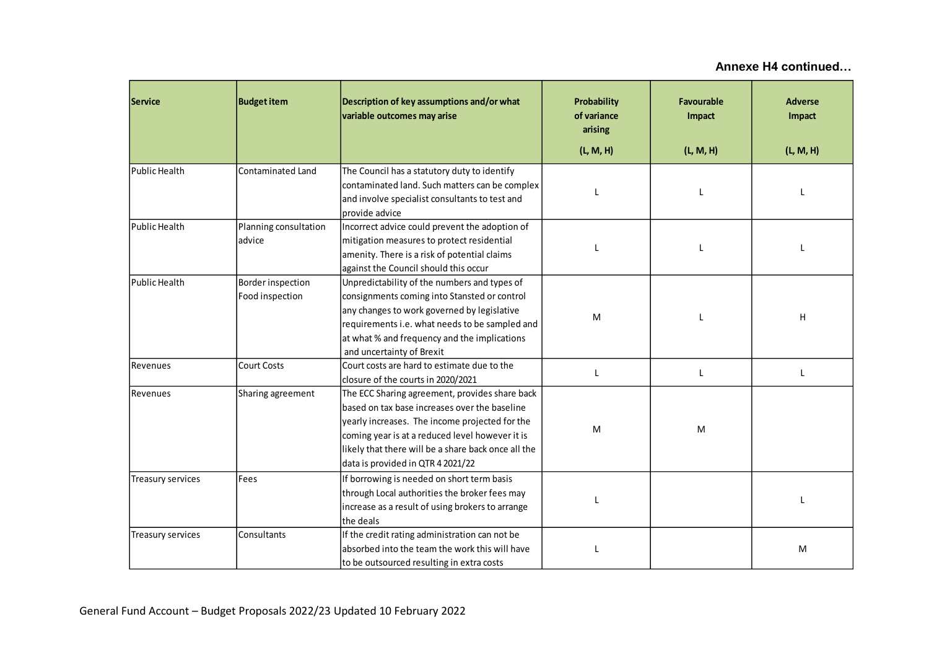| <b>Budget item</b><br><b>Service</b> |                                                                                                                                                                           | Description of key assumptions and/or what<br>variable outcomes may arise                                                                                                                                                                                                                        | Probability<br>of variance<br>arising | <b>Favourable</b><br>Impact | <b>Adverse</b><br>Impact |
|--------------------------------------|---------------------------------------------------------------------------------------------------------------------------------------------------------------------------|--------------------------------------------------------------------------------------------------------------------------------------------------------------------------------------------------------------------------------------------------------------------------------------------------|---------------------------------------|-----------------------------|--------------------------|
|                                      |                                                                                                                                                                           |                                                                                                                                                                                                                                                                                                  | (L, M, H)                             | (L, M, H)                   | (L, M, H)                |
| Public Health                        | <b>Contaminated Land</b>                                                                                                                                                  | The Council has a statutory duty to identify<br>contaminated land. Such matters can be complex<br>and involve specialist consultants to test and<br>provide advice                                                                                                                               |                                       |                             |                          |
| Public Health                        | Planning consultation<br>advice                                                                                                                                           | Incorrect advice could prevent the adoption of<br>mitigation measures to protect residential<br>amenity. There is a risk of potential claims<br>against the Council should this occur                                                                                                            |                                       |                             |                          |
| Public Health                        | Border inspection<br>Food inspection                                                                                                                                      | Unpredictability of the numbers and types of<br>consignments coming into Stansted or control<br>any changes to work governed by legislative<br>requirements i.e. what needs to be sampled and<br>at what % and frequency and the implications<br>and uncertainty of Brexit                       | M                                     |                             | H                        |
| Revenues                             | <b>Court Costs</b>                                                                                                                                                        | Court costs are hard to estimate due to the<br>closure of the courts in 2020/2021                                                                                                                                                                                                                | L                                     | L                           | $\mathsf{L}$             |
| Sharing agreement<br>Revenues        |                                                                                                                                                                           | The ECC Sharing agreement, provides share back<br>based on tax base increases over the baseline<br>yearly increases. The income projected for the<br>coming year is at a reduced level however it is<br>likely that there will be a share back once all the<br>data is provided in QTR 4 2021/22 | M                                     | М                           |                          |
| Treasury services                    | Fees<br>If borrowing is needed on short term basis<br>through Local authorities the broker fees may<br>increase as a result of using brokers to arrange                   |                                                                                                                                                                                                                                                                                                  |                                       |                             | $\mathbf{I}$             |
| Treasury services                    | the deals<br>If the credit rating administration can not be<br>Consultants<br>absorbed into the team the work this will have<br>to be outsourced resulting in extra costs |                                                                                                                                                                                                                                                                                                  |                                       |                             | M                        |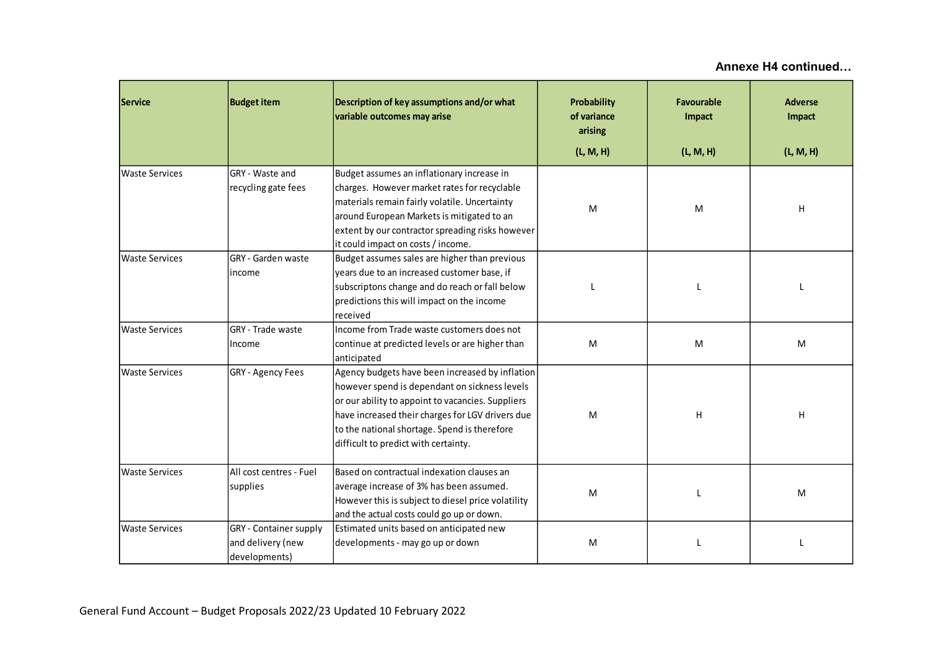| <b>Service</b>                                                  | Description of key assumptions and/or what<br><b>Budget item</b><br>variable outcomes may arise                                                     |                                                                                                                                                                                                                                                                                                   | <b>Probability</b><br>of variance<br>arising<br>(L, M, H) | <b>Favourable</b><br>Impact<br>(L, M, H) | <b>Adverse</b><br>Impact<br>(L, M, H) |
|-----------------------------------------------------------------|-----------------------------------------------------------------------------------------------------------------------------------------------------|---------------------------------------------------------------------------------------------------------------------------------------------------------------------------------------------------------------------------------------------------------------------------------------------------|-----------------------------------------------------------|------------------------------------------|---------------------------------------|
| GRY - Waste and<br><b>Waste Services</b><br>recycling gate fees |                                                                                                                                                     | Budget assumes an inflationary increase in<br>charges. However market rates for recyclable<br>materials remain fairly volatile. Uncertainty<br>around European Markets is mitigated to an<br>extent by our contractor spreading risks however<br>it could impact on costs / income.               | M                                                         | M                                        | н                                     |
| GRY - Garden waste<br><b>Waste Services</b><br>income           |                                                                                                                                                     | Budget assumes sales are higher than previous<br>years due to an increased customer base, if<br>subscriptons change and do reach or fall below<br>predictions this will impact on the income<br>received                                                                                          |                                                           |                                          |                                       |
| <b>Waste Services</b>                                           | Income from Trade waste customers does not<br>GRY - Trade waste<br>continue at predicted levels or are higher than<br>Income<br>anticipated         |                                                                                                                                                                                                                                                                                                   | M                                                         | M                                        | M                                     |
| <b>Waste Services</b><br><b>GRY</b> - Agency Fees               |                                                                                                                                                     | Agency budgets have been increased by inflation<br>however spend is dependant on sickness levels<br>or our ability to appoint to vacancies. Suppliers<br>have increased their charges for LGV drivers due<br>to the national shortage. Spend is therefore<br>difficult to predict with certainty. | M                                                         | H                                        | $\sf H$                               |
| <b>Waste Services</b>                                           | All cost centres - Fuel<br>supplies                                                                                                                 | Based on contractual indexation clauses an<br>average increase of 3% has been assumed.<br>However this is subject to diesel price volatility<br>and the actual costs could go up or down.                                                                                                         | M                                                         |                                          | M                                     |
| <b>Waste Services</b>                                           | <b>GRY</b> - Container supply<br>Estimated units based on anticipated new<br>and delivery (new<br>developments - may go up or down<br>developments) |                                                                                                                                                                                                                                                                                                   | M                                                         |                                          |                                       |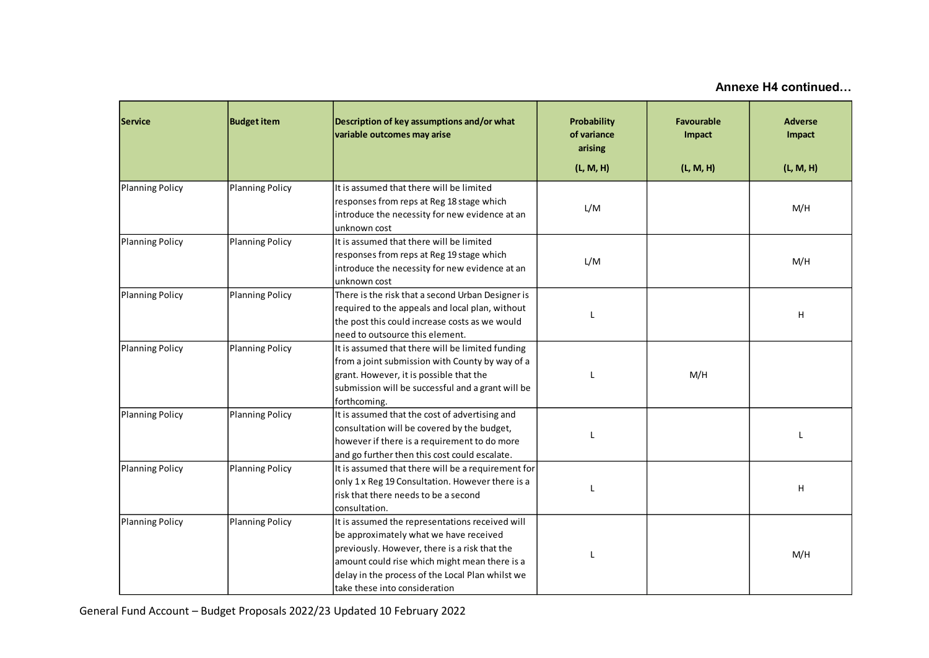| <b>Service</b><br><b>Budget item</b>             |                                                                                                                                                                                   | Description of key assumptions and/or what<br>variable outcomes may arise                                                                                                                                                                                                        | Probability<br>of variance<br>arising | <b>Favourable</b><br>Impact | <b>Adverse</b><br>Impact |
|--------------------------------------------------|-----------------------------------------------------------------------------------------------------------------------------------------------------------------------------------|----------------------------------------------------------------------------------------------------------------------------------------------------------------------------------------------------------------------------------------------------------------------------------|---------------------------------------|-----------------------------|--------------------------|
|                                                  |                                                                                                                                                                                   |                                                                                                                                                                                                                                                                                  | (L, M, H)                             | (L, M, H)                   | (L, M, H)                |
| <b>Planning Policy</b>                           | <b>Planning Policy</b><br>It is assumed that there will be limited<br>responses from reps at Reg 18 stage which<br>introduce the necessity for new evidence at an<br>unknown cost |                                                                                                                                                                                                                                                                                  | L/M                                   |                             | M/H                      |
| <b>Planning Policy</b>                           | <b>Planning Policy</b>                                                                                                                                                            | It is assumed that there will be limited<br>responses from reps at Reg 19 stage which<br>introduce the necessity for new evidence at an<br>unknown cost                                                                                                                          | L/M                                   |                             | M/H                      |
| <b>Planning Policy</b><br><b>Planning Policy</b> |                                                                                                                                                                                   | There is the risk that a second Urban Designer is<br>required to the appeals and local plan, without<br>the post this could increase costs as we would<br>need to outsource this element.                                                                                        | L                                     |                             | н                        |
| <b>Planning Policy</b><br><b>Planning Policy</b> |                                                                                                                                                                                   | It is assumed that there will be limited funding<br>from a joint submission with County by way of a<br>grant. However, it is possible that the<br>submission will be successful and a grant will be<br>forthcoming.                                                              |                                       | M/H                         |                          |
| <b>Planning Policy</b>                           | <b>Planning Policy</b>                                                                                                                                                            | It is assumed that the cost of advertising and<br>consultation will be covered by the budget,<br>however if there is a requirement to do more<br>and go further then this cost could escalate.                                                                                   | L                                     |                             |                          |
| <b>Planning Policy</b>                           | <b>Planning Policy</b>                                                                                                                                                            | It is assumed that there will be a requirement for<br>only 1 x Reg 19 Consultation. However there is a<br>risk that there needs to be a second<br>consultation.                                                                                                                  | L                                     |                             | н                        |
| <b>Planning Policy</b>                           | <b>Planning Policy</b>                                                                                                                                                            | It is assumed the representations received will<br>be approximately what we have received<br>previously. However, there is a risk that the<br>amount could rise which might mean there is a<br>delay in the process of the Local Plan whilst we<br>take these into consideration | T                                     |                             | M/H                      |

General Fund Account – Budget Proposals 2022/23 Updated 10 February 2022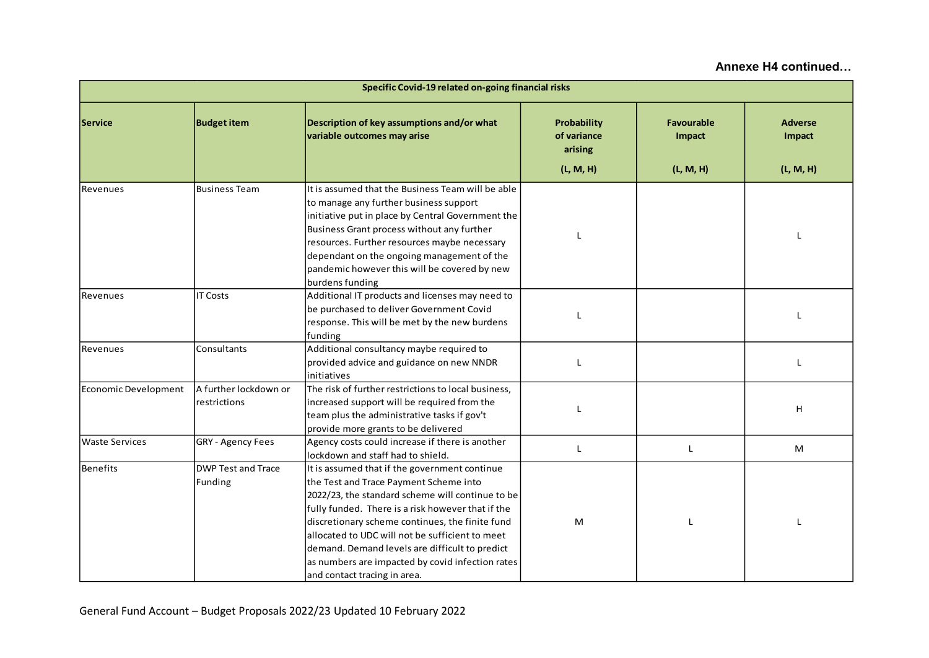| Specific Covid-19 related on-going financial risks            |                                                                                                                                                                                                                                                                                                                                                                                         |                                                                                                                                                                                                                                                                                                                                                                                                                                              |                                                    |                                          |                                       |  |
|---------------------------------------------------------------|-----------------------------------------------------------------------------------------------------------------------------------------------------------------------------------------------------------------------------------------------------------------------------------------------------------------------------------------------------------------------------------------|----------------------------------------------------------------------------------------------------------------------------------------------------------------------------------------------------------------------------------------------------------------------------------------------------------------------------------------------------------------------------------------------------------------------------------------------|----------------------------------------------------|------------------------------------------|---------------------------------------|--|
| <b>Service</b>                                                | <b>Budget item</b><br>Description of key assumptions and/or what<br>variable outcomes may arise                                                                                                                                                                                                                                                                                         |                                                                                                                                                                                                                                                                                                                                                                                                                                              | Probability<br>of variance<br>arising<br>(L, M, H) | <b>Favourable</b><br>Impact<br>(L, M, H) | <b>Adverse</b><br>Impact<br>(L, M, H) |  |
| Revenues                                                      | It is assumed that the Business Team will be able<br><b>Business Team</b><br>to manage any further business support<br>initiative put in place by Central Government the<br>Business Grant process without any further<br>resources. Further resources maybe necessary<br>dependant on the ongoing management of the<br>pandemic however this will be covered by new<br>burdens funding |                                                                                                                                                                                                                                                                                                                                                                                                                                              | L                                                  |                                          | L                                     |  |
| <b>IT Costs</b><br>Revenues                                   |                                                                                                                                                                                                                                                                                                                                                                                         | Additional IT products and licenses may need to<br>be purchased to deliver Government Covid<br>response. This will be met by the new burdens<br>funding                                                                                                                                                                                                                                                                                      | L                                                  |                                          | L                                     |  |
| Revenues                                                      | Additional consultancy maybe required to<br>Consultants<br>provided advice and guidance on new NNDR<br>initiatives                                                                                                                                                                                                                                                                      |                                                                                                                                                                                                                                                                                                                                                                                                                                              | L                                                  |                                          | L                                     |  |
| A further lockdown or<br>Economic Development<br>restrictions |                                                                                                                                                                                                                                                                                                                                                                                         | The risk of further restrictions to local business,<br>increased support will be required from the<br>team plus the administrative tasks if gov't<br>provide more grants to be delivered                                                                                                                                                                                                                                                     |                                                    |                                          | H                                     |  |
| <b>Waste Services</b>                                         | GRY - Agency Fees                                                                                                                                                                                                                                                                                                                                                                       | Agency costs could increase if there is another<br>lockdown and staff had to shield.                                                                                                                                                                                                                                                                                                                                                         | L                                                  | L                                        | M                                     |  |
| <b>Benefits</b><br><b>DWP Test and Trace</b><br>Funding       |                                                                                                                                                                                                                                                                                                                                                                                         | It is assumed that if the government continue<br>the Test and Trace Payment Scheme into<br>2022/23, the standard scheme will continue to be<br>fully funded. There is a risk however that if the<br>discretionary scheme continues, the finite fund<br>allocated to UDC will not be sufficient to meet<br>demand. Demand levels are difficult to predict<br>as numbers are impacted by covid infection rates<br>and contact tracing in area. | M                                                  |                                          | L                                     |  |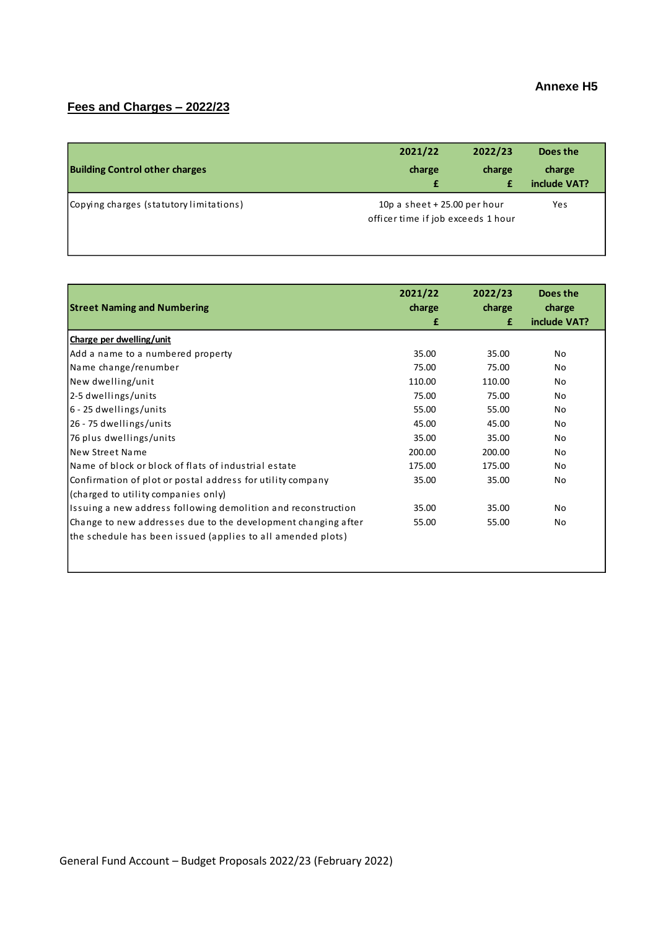### **Annexe H5**

# **Fees and Charges – 2022/23**

| <b>Building Control other charges</b>   | 2021/22<br>charge<br>£ | 2022/23<br>charge                                                   | Does the<br>charge<br>include VAT? |  |
|-----------------------------------------|------------------------|---------------------------------------------------------------------|------------------------------------|--|
| Copying charges (statutory limitations) |                        | 10p a sheet $+25.00$ per hour<br>officer time if job exceeds 1 hour |                                    |  |

| <b>Street Naming and Numbering</b>                            | 2021/22<br>charge<br>£ | 2022/23<br>charge<br>£ | Does the<br>charge<br>include VAT? |
|---------------------------------------------------------------|------------------------|------------------------|------------------------------------|
| Charge per dwelling/unit                                      |                        |                        |                                    |
| Add a name to a numbered property                             | 35.00                  | 35.00                  | No                                 |
| Name change/renumber                                          | 75.00                  | 75.00                  | No                                 |
| New dwelling/unit                                             | 110.00                 | 110.00                 | No                                 |
| 2-5 dwellings/units                                           | 75.00                  | 75.00                  | No                                 |
| 6 - 25 dwellings/units                                        | 55.00                  | 55.00                  | No                                 |
| 26 - 75 dwellings/units                                       | 45.00                  | 45.00                  | No                                 |
| 76 plus dwellings/units                                       | 35.00                  | 35.00                  | No                                 |
| New Street Name                                               | 200.00                 | 200.00                 | No.                                |
| Name of block or block of flats of industrial estate          | 175.00                 | 175.00                 | No                                 |
| Confirmation of plot or postal address for utility company    | 35.00                  | 35.00                  | No                                 |
| (charged to utility companies only)                           |                        |                        |                                    |
| Issuing a new address following demolition and reconstruction | 35.00                  | 35.00                  | No                                 |
| Change to new addresses due to the development changing after | 55.00                  | 55.00                  | No                                 |
| the schedule has been issued (applies to all amended plots)   |                        |                        |                                    |
|                                                               |                        |                        |                                    |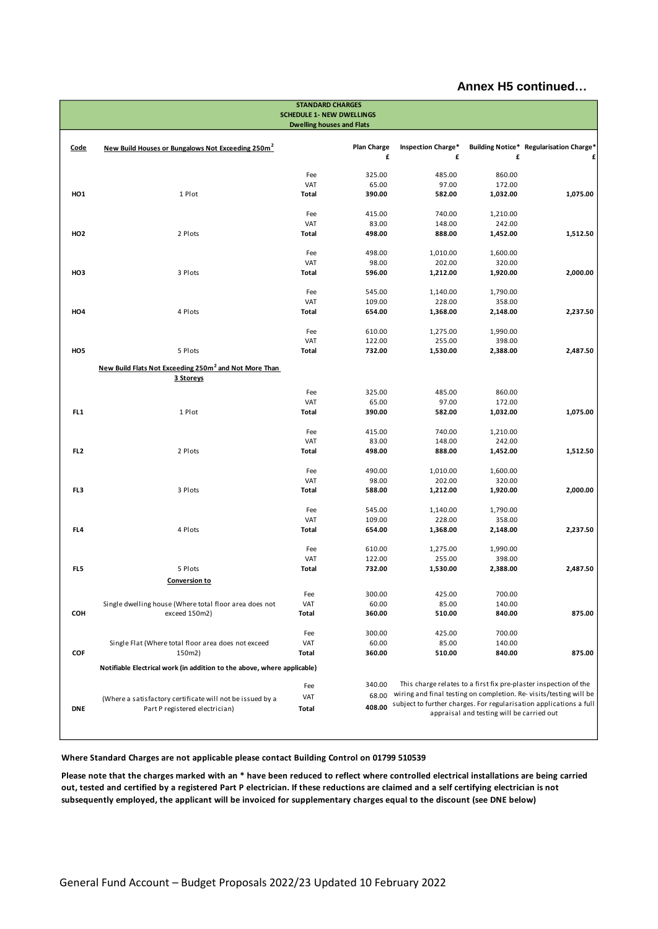|                 | <b>STANDARD CHARGES</b><br><b>SCHEDULE 1- NEW DWELLINGS</b>             |                                  |                         |                                |                                           |                                                                    |  |  |
|-----------------|-------------------------------------------------------------------------|----------------------------------|-------------------------|--------------------------------|-------------------------------------------|--------------------------------------------------------------------|--|--|
|                 |                                                                         | <b>Dwelling houses and Flats</b> |                         |                                |                                           |                                                                    |  |  |
|                 |                                                                         |                                  |                         |                                |                                           |                                                                    |  |  |
| Code            | New Build Houses or Bungalows Not Exceeding 250m <sup>2</sup>           |                                  | <b>Plan Charge</b><br>£ | <b>Inspection Charge*</b><br>£ | £                                         | Building Notice* Regularisation Charge*                            |  |  |
|                 |                                                                         |                                  |                         |                                |                                           |                                                                    |  |  |
|                 |                                                                         | Fee                              | 325.00                  | 485.00                         | 860.00                                    |                                                                    |  |  |
|                 |                                                                         | VAT                              | 65.00                   | 97.00                          | 172.00                                    |                                                                    |  |  |
| HO <sub>1</sub> | 1 Plot                                                                  | Total                            | 390.00                  | 582.00                         | 1,032.00                                  | 1,075.00                                                           |  |  |
|                 |                                                                         | Fee                              | 415.00                  | 740.00                         | 1,210.00                                  |                                                                    |  |  |
|                 |                                                                         | VAT                              | 83.00                   | 148.00                         | 242.00                                    |                                                                    |  |  |
| <b>HO2</b>      | 2 Plots                                                                 | Total                            | 498.00                  | 888.00                         | 1,452.00                                  | 1,512.50                                                           |  |  |
|                 |                                                                         |                                  |                         |                                |                                           |                                                                    |  |  |
|                 |                                                                         | Fee<br>VAT                       | 498.00<br>98.00         | 1,010.00<br>202.00             | 1,600.00<br>320.00                        |                                                                    |  |  |
| HO <sub>3</sub> | 3 Plots                                                                 | Total                            | 596.00                  | 1,212.00                       | 1,920.00                                  | 2,000.00                                                           |  |  |
|                 |                                                                         |                                  |                         |                                |                                           |                                                                    |  |  |
|                 |                                                                         | Fee                              | 545.00                  | 1,140.00                       | 1,790.00                                  |                                                                    |  |  |
|                 |                                                                         | VAT                              | 109.00                  | 228.00                         | 358.00                                    |                                                                    |  |  |
| HO <sub>4</sub> | 4 Plots                                                                 | Total                            | 654.00                  | 1,368.00                       | 2,148.00                                  | 2,237.50                                                           |  |  |
|                 |                                                                         |                                  |                         |                                |                                           |                                                                    |  |  |
|                 |                                                                         | Fee<br>VAT                       | 610.00<br>122.00        | 1,275.00<br>255.00             | 1,990.00<br>398.00                        |                                                                    |  |  |
| HO <sub>5</sub> | 5 Plots                                                                 | Total                            | 732.00                  | 1,530.00                       | 2,388.00                                  | 2,487.50                                                           |  |  |
|                 |                                                                         |                                  |                         |                                |                                           |                                                                    |  |  |
|                 | New Build Flats Not Exceeding 250m <sup>2</sup> and Not More Than       |                                  |                         |                                |                                           |                                                                    |  |  |
|                 | 3 Storeys                                                               |                                  |                         |                                |                                           |                                                                    |  |  |
|                 |                                                                         | Fee                              | 325.00                  | 485.00                         | 860.00                                    |                                                                    |  |  |
|                 |                                                                         | VAT                              | 65.00                   | 97.00                          | 172.00                                    |                                                                    |  |  |
| FL <sub>1</sub> | 1 Plot                                                                  | Total                            | 390.00                  | 582.00                         | 1,032.00                                  | 1,075.00                                                           |  |  |
|                 |                                                                         | Fee                              | 415.00                  | 740.00                         | 1,210.00                                  |                                                                    |  |  |
|                 |                                                                         | VAT                              | 83.00                   | 148.00                         | 242.00                                    |                                                                    |  |  |
| FL <sub>2</sub> | 2 Plots                                                                 | Total                            | 498.00                  | 888.00                         | 1,452.00                                  | 1,512.50                                                           |  |  |
|                 |                                                                         |                                  |                         |                                |                                           |                                                                    |  |  |
|                 |                                                                         | Fee                              | 490.00                  | 1,010.00                       | 1,600.00                                  |                                                                    |  |  |
| FL3             | 3 Plots                                                                 | VAT<br>Total                     | 98.00<br>588.00         | 202.00<br>1,212.00             | 320.00<br>1,920.00                        | 2,000.00                                                           |  |  |
|                 |                                                                         |                                  |                         |                                |                                           |                                                                    |  |  |
|                 |                                                                         | Fee                              | 545.00                  | 1,140.00                       | 1,790.00                                  |                                                                    |  |  |
|                 |                                                                         | VAT                              | 109.00                  | 228.00                         | 358.00                                    |                                                                    |  |  |
| FL4             | 4 Plots                                                                 | Total                            | 654.00                  | 1,368.00                       | 2,148.00                                  | 2,237.50                                                           |  |  |
|                 |                                                                         |                                  |                         |                                |                                           |                                                                    |  |  |
|                 |                                                                         | Fee                              | 610.00                  | 1,275.00                       | 1,990.00                                  |                                                                    |  |  |
| FL5             | 5 Plots                                                                 | VAT<br>Total                     | 122.00<br>732.00        | 255.00<br>1,530.00             | 398.00<br>2,388.00                        | 2,487.50                                                           |  |  |
|                 | Conversion to                                                           |                                  |                         |                                |                                           |                                                                    |  |  |
|                 |                                                                         |                                  |                         |                                |                                           |                                                                    |  |  |
|                 | Single dwelling house (Where total floor area does not                  | Fee<br>VAT                       | 300.00<br>60.00         | 425.00<br>85.00                | 700.00<br>140.00                          |                                                                    |  |  |
| COH             | exceed 150m2)                                                           | Total                            | 360.00                  | 510.00                         | 840.00                                    | 875.00                                                             |  |  |
|                 |                                                                         |                                  |                         |                                |                                           |                                                                    |  |  |
|                 |                                                                         | Fee                              | 300.00                  | 425.00                         | 700.00                                    |                                                                    |  |  |
|                 | Single Flat (Where total floor area does not exceed                     | VAT                              | 60.00                   | 85.00                          | 140.00                                    |                                                                    |  |  |
| COF             | 150m2)                                                                  | Total                            | 360.00                  | 510.00                         | 840.00                                    | 875.00                                                             |  |  |
|                 | Notifiable Electrical work (in addition to the above, where applicable) |                                  |                         |                                |                                           |                                                                    |  |  |
|                 |                                                                         |                                  | 340.00                  |                                |                                           | This charge relates to a first fix pre-plaster inspection of the   |  |  |
|                 |                                                                         | Fee                              | 68.00                   |                                |                                           | wiring and final testing on completion. Re-visits/testing will be  |  |  |
|                 | (Where a satisfactory certificate will not be issued by a               | VAT                              | 408.00                  |                                |                                           | subject to further charges. For regularisation applications a full |  |  |
| <b>DNE</b>      | Part P registered electrician)                                          | Total                            |                         |                                | appraisal and testing will be carried out |                                                                    |  |  |
|                 |                                                                         |                                  |                         |                                |                                           |                                                                    |  |  |
|                 |                                                                         |                                  |                         |                                |                                           |                                                                    |  |  |

**Where Standard Charges are not applicable please contact Building Control on 01799 510539**

**Please note that the charges marked with an \* have been reduced to reflect where controlled electrical installations are being carried out, tested and certified by a registered Part P electrician. If these reductions are claimed and a self certifying electrician is not subsequently employed, the applicant will be invoiced for supplementary charges equal to the discount (see DNE below)**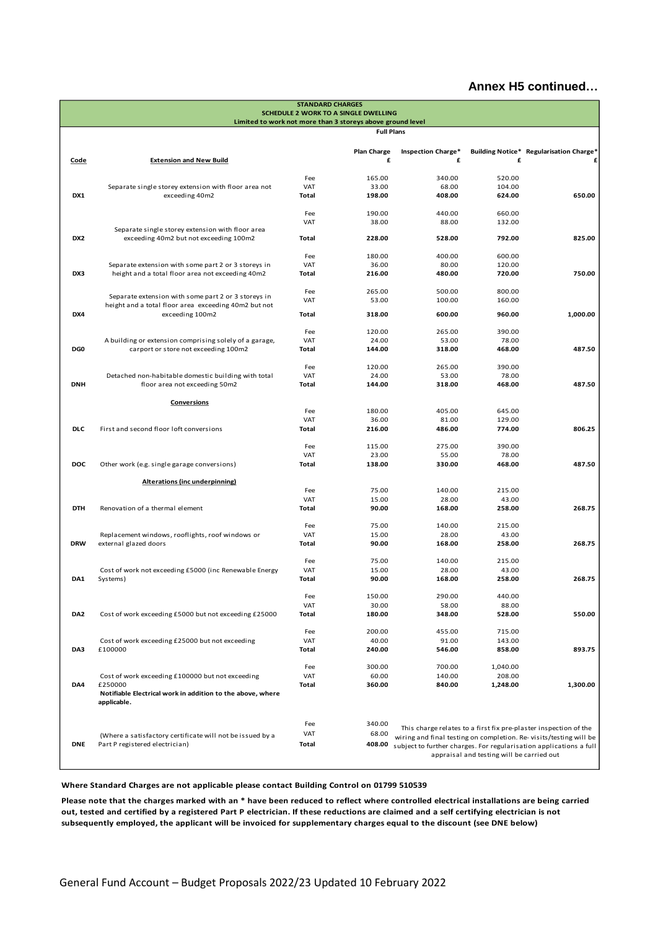|                 |                                                                                                             | <b>STANDARD CHARGES</b> |                                                            |                           |                                           |                                                                    |
|-----------------|-------------------------------------------------------------------------------------------------------------|-------------------------|------------------------------------------------------------|---------------------------|-------------------------------------------|--------------------------------------------------------------------|
|                 |                                                                                                             |                         | SCHEDULE 2 WORK TO A SINGLE DWELLING                       |                           |                                           |                                                                    |
|                 |                                                                                                             |                         | Limited to work not more than 3 storeys above ground level |                           |                                           |                                                                    |
|                 |                                                                                                             |                         | <b>Full Plans</b>                                          |                           |                                           |                                                                    |
|                 |                                                                                                             |                         | <b>Plan Charge</b>                                         | <b>Inspection Charge*</b> |                                           | Building Notice* Regularisation Charge*                            |
| Code            | <b>Extension and New Build</b>                                                                              |                         | £                                                          | £                         | £                                         |                                                                    |
|                 |                                                                                                             |                         |                                                            |                           |                                           |                                                                    |
|                 |                                                                                                             | Fee                     | 165.00                                                     | 340.00                    | 520.00                                    |                                                                    |
|                 | Separate single storey extension with floor area not                                                        | VAT                     | 33.00                                                      | 68.00                     | 104.00                                    |                                                                    |
| DX1             | exceeding 40m2                                                                                              | Total                   | 198.00                                                     | 408.00                    | 624.00                                    | 650.00                                                             |
|                 |                                                                                                             | Fee                     | 190.00                                                     | 440.00                    | 660.00                                    |                                                                    |
|                 |                                                                                                             | <b>VAT</b>              | 38.00                                                      | 88.00                     | 132.00                                    |                                                                    |
|                 | Separate single storey extension with floor area                                                            |                         |                                                            |                           |                                           |                                                                    |
| DX <sub>2</sub> | exceeding 40m2 but not exceeding 100m2                                                                      | Total                   | 228.00                                                     | 528.00                    | 792.00                                    | 825.00                                                             |
|                 |                                                                                                             | Fee                     | 180.00                                                     | 400.00                    | 600.00                                    |                                                                    |
|                 | Separate extension with some part 2 or 3 storeys in                                                         | <b>VAT</b>              | 36.00                                                      | 80.00                     | 120.00                                    |                                                                    |
| DX3             | height and a total floor area not exceeding 40m2                                                            | Total                   | 216.00                                                     | 480.00                    | 720.00                                    | 750.00                                                             |
|                 |                                                                                                             |                         |                                                            |                           |                                           |                                                                    |
|                 |                                                                                                             | Fee                     | 265.00                                                     | 500.00                    | 800.00                                    |                                                                    |
|                 | Separate extension with some part 2 or 3 storeys in<br>height and a total floor area exceeding 40m2 but not | <b>VAT</b>              | 53.00                                                      | 100.00                    | 160.00                                    |                                                                    |
| DX4             | exceeding 100m2                                                                                             | Total                   | 318.00                                                     | 600.00                    | 960.00                                    | 1,000.00                                                           |
|                 |                                                                                                             |                         |                                                            |                           |                                           |                                                                    |
|                 |                                                                                                             | Fee                     | 120.00                                                     | 265.00                    | 390.00                                    |                                                                    |
|                 | A building or extension comprising solely of a garage,                                                      | <b>VAT</b>              | 24.00                                                      | 53.00                     | 78.00                                     |                                                                    |
| DG0             | carport or store not exceeding 100m2                                                                        | Total                   | 144.00                                                     | 318.00                    | 468.00                                    | 487.50                                                             |
|                 |                                                                                                             | Fee                     | 120.00                                                     | 265.00                    | 390.00                                    |                                                                    |
|                 | Detached non-habitable domestic building with total                                                         | <b>VAT</b>              | 24.00                                                      | 53.00                     | 78.00                                     |                                                                    |
| <b>DNH</b>      | floor area not exceeding 50m2                                                                               | Total                   | 144.00                                                     | 318.00                    | 468.00                                    | 487.50                                                             |
|                 |                                                                                                             |                         |                                                            |                           |                                           |                                                                    |
|                 | <b>Conversions</b>                                                                                          |                         |                                                            |                           |                                           |                                                                    |
|                 |                                                                                                             | Fee                     | 180.00                                                     | 405.00                    | 645.00                                    |                                                                    |
| <b>DLC</b>      |                                                                                                             | <b>VAT</b>              | 36.00                                                      | 81.00                     | 129.00                                    |                                                                    |
|                 | First and second floor loft conversions                                                                     | Total                   | 216.00                                                     | 486.00                    | 774.00                                    | 806.25                                                             |
|                 |                                                                                                             | Fee                     | 115.00                                                     | 275.00                    | 390.00                                    |                                                                    |
|                 |                                                                                                             | <b>VAT</b>              | 23.00                                                      | 55.00                     | 78.00                                     |                                                                    |
| <b>DOC</b>      | Other work (e.g. single garage conversions)                                                                 | Total                   | 138.00                                                     | 330.00                    | 468.00                                    | 487.50                                                             |
|                 |                                                                                                             |                         |                                                            |                           |                                           |                                                                    |
|                 | <b>Alterations (inc underpinning)</b>                                                                       |                         |                                                            |                           |                                           |                                                                    |
|                 |                                                                                                             | Fee<br><b>VAT</b>       | 75.00<br>15.00                                             | 140.00<br>28.00           | 215.00<br>43.00                           |                                                                    |
| <b>DTH</b>      | Renovation of a thermal element                                                                             | Total                   | 90.00                                                      | 168.00                    | 258.00                                    | 268.75                                                             |
|                 |                                                                                                             |                         |                                                            |                           |                                           |                                                                    |
|                 |                                                                                                             | Fee                     | 75.00                                                      | 140.00                    | 215.00                                    |                                                                    |
|                 | Replacement windows, rooflights, roof windows or                                                            | <b>VAT</b>              | 15.00                                                      | 28.00                     | 43.00                                     |                                                                    |
| <b>DRW</b>      | external glazed doors                                                                                       | Total                   | 90.00                                                      | 168.00                    | 258.00                                    | 268.75                                                             |
|                 |                                                                                                             | Fee                     | 75.00                                                      | 140.00                    | 215.00                                    |                                                                    |
|                 | Cost of work not exceeding £5000 (inc Renewable Energy                                                      | <b>VAT</b>              | 15.00                                                      | 28.00                     | 43.00                                     |                                                                    |
| DA1             | Systems)                                                                                                    | Total                   | 90.00                                                      | 168.00                    | 258.00                                    | 268.75                                                             |
|                 |                                                                                                             |                         |                                                            |                           |                                           |                                                                    |
|                 |                                                                                                             | Fee                     | 150.00                                                     | 290.00                    | 440.00                                    |                                                                    |
|                 |                                                                                                             | <b>VAT</b>              | 30.00                                                      | 58.00                     | 88.00                                     |                                                                    |
| DA <sub>2</sub> | Cost of work exceeding £5000 but not exceeding £25000                                                       | Total                   | 180.00                                                     | 348.00                    | 528.00                                    | 550.00                                                             |
|                 |                                                                                                             | Fee                     | 200.00                                                     | 455.00                    | 715.00                                    |                                                                    |
|                 | Cost of work exceeding £25000 but not exceeding                                                             | VAT                     | 40.00                                                      | 91.00                     | 143.00                                    |                                                                    |
| DA3             | £100000                                                                                                     | Total                   | 240.00                                                     | 546.00                    | 858.00                                    | 893.75                                                             |
|                 |                                                                                                             |                         |                                                            |                           |                                           |                                                                    |
|                 |                                                                                                             | Fee                     | 300.00                                                     | 700.00                    | 1,040.00                                  |                                                                    |
|                 | Cost of work exceeding £100000 but not exceeding<br>£250000                                                 | <b>VAT</b>              | 60.00                                                      | 140.00                    | 208.00                                    |                                                                    |
| DA4             | Notifiable Electrical work in addition to the above, where                                                  | <b>Total</b>            | 360.00                                                     | 840.00                    | 1,248.00                                  | 1,300.00                                                           |
|                 | applicable.                                                                                                 |                         |                                                            |                           |                                           |                                                                    |
|                 |                                                                                                             |                         |                                                            |                           |                                           |                                                                    |
|                 |                                                                                                             | Fee                     | 340.00                                                     |                           |                                           |                                                                    |
|                 | (Where a satisfactory certificate will not be issued by a                                                   | VAT                     | 68.00                                                      |                           |                                           | This charge relates to a first fix pre-plaster inspection of the   |
| <b>DNE</b>      | Part P registered electrician)                                                                              | <b>Total</b>            | 408.00                                                     |                           |                                           | wiring and final testing on completion. Re-visits/testing will be  |
|                 |                                                                                                             |                         |                                                            |                           | appraisal and testing will be carried out | subject to further charges. For regularisation applications a full |
|                 |                                                                                                             |                         |                                                            |                           |                                           |                                                                    |

**Where Standard Charges are not applicable please contact Building Control on 01799 510539**

**Please note that the charges marked with an \* have been reduced to reflect where controlled electrical installations are being carried out, tested and certified by a registered Part P electrician. If these reductions are claimed and a self certifying electrician is not subsequently employed, the applicant will be invoiced for supplementary charges equal to the discount (see DNE below)**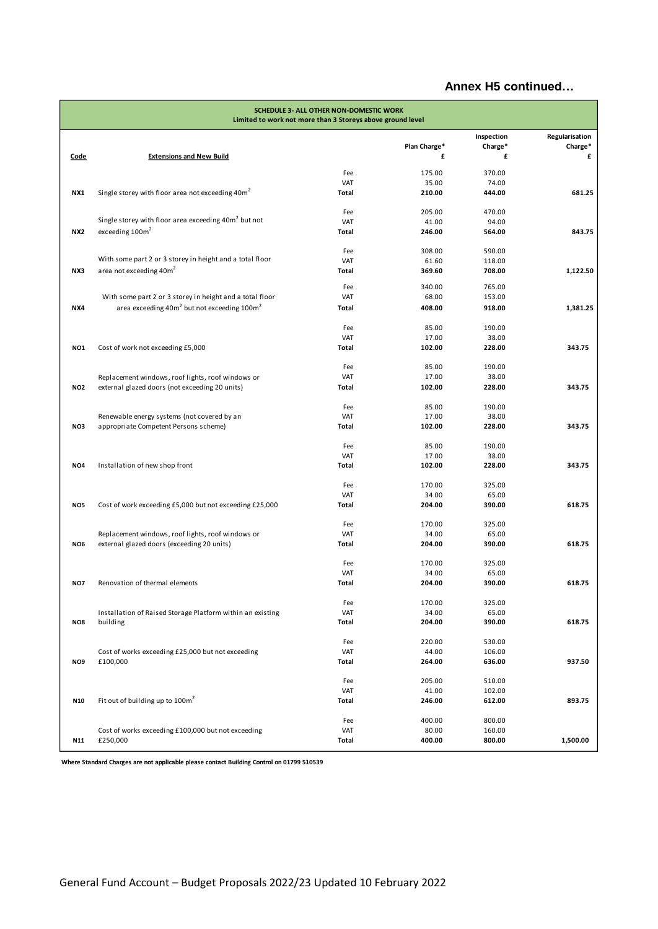|                 | SCHEDULE 3- ALL OTHER NON-DOMESTIC WORK<br>Limited to work not more than 3 Storeys above ground level |                     |                 |                       |                           |  |
|-----------------|-------------------------------------------------------------------------------------------------------|---------------------|-----------------|-----------------------|---------------------------|--|
|                 |                                                                                                       |                     | Plan Charge*    | Inspection<br>Charge* | Regularisation<br>Charge* |  |
| Code            | <b>Extensions and New Build</b>                                                                       |                     | £               | £                     | £                         |  |
|                 |                                                                                                       | Fee                 | 175.00          | 370.00                |                           |  |
|                 |                                                                                                       | VAT                 | 35.00           | 74.00                 |                           |  |
| NX1             | Single storey with floor area not exceeding 40m <sup>2</sup>                                          | <b>Total</b>        | 210.00          | 444.00                | 681.25                    |  |
|                 |                                                                                                       | Fee                 | 205.00          | 470.00                |                           |  |
|                 | Single storey with floor area exceeding 40m <sup>2</sup> but not                                      | <b>VAT</b>          | 41.00           | 94.00                 |                           |  |
| <b>NX2</b>      | exceeding 100m <sup>2</sup>                                                                           | <b>Total</b>        | 246.00          | 564.00                | 843.75                    |  |
|                 |                                                                                                       |                     |                 |                       |                           |  |
|                 | With some part 2 or 3 storey in height and a total floor                                              | Fee<br>VAT          | 308.00<br>61.60 | 590.00<br>118.00      |                           |  |
| NX3             | area not exceeding 40m <sup>2</sup>                                                                   | Total               | 369.60          | 708.00                | 1,122.50                  |  |
|                 |                                                                                                       |                     |                 |                       |                           |  |
|                 |                                                                                                       | Fee                 | 340.00          | 765.00                |                           |  |
|                 | With some part 2 or 3 storey in height and a total floor                                              | <b>VAT</b>          | 68.00           | 153.00                |                           |  |
| NX4             | area exceeding 40m <sup>2</sup> but not exceeding 100m <sup>2</sup>                                   | Total               | 408.00          | 918.00                | 1,381.25                  |  |
|                 |                                                                                                       | Fee                 | 85.00           | 190.00                |                           |  |
|                 |                                                                                                       | VAT                 | 17.00           | 38.00                 |                           |  |
| NO1             | Cost of work not exceeding £5,000                                                                     | Total               | 102.00          | 228.00                | 343.75                    |  |
|                 |                                                                                                       |                     |                 |                       |                           |  |
|                 |                                                                                                       | Fee<br>VAT          | 85.00<br>17.00  | 190.00<br>38.00       |                           |  |
| <b>NO2</b>      | Replacement windows, roof lights, roof windows or<br>external glazed doors (not exceeding 20 units)   | Total               | 102.00          | 228.00                | 343.75                    |  |
|                 |                                                                                                       |                     |                 |                       |                           |  |
|                 |                                                                                                       | Fee                 | 85.00           | 190.00                |                           |  |
|                 | Renewable energy systems (not covered by an                                                           | VAT                 | 17.00           | 38.00                 |                           |  |
| NO3             | appropriate Competent Persons scheme)                                                                 | Total               | 102.00          | 228.00                | 343.75                    |  |
|                 |                                                                                                       | Fee                 | 85.00           | 190.00                |                           |  |
|                 |                                                                                                       | VAT                 | 17.00           | 38.00                 |                           |  |
| NO <sub>4</sub> | Installation of new shop front                                                                        | Total               | 102.00          | 228.00                | 343.75                    |  |
|                 |                                                                                                       |                     |                 |                       |                           |  |
|                 |                                                                                                       | Fee                 | 170.00          | 325.00                |                           |  |
|                 |                                                                                                       | VAT                 | 34.00           | 65.00                 |                           |  |
| NO5             | Cost of work exceeding £5,000 but not exceeding £25,000                                               | Total               | 204.00          | 390.00                | 618.75                    |  |
|                 |                                                                                                       | Fee                 | 170.00          | 325.00                |                           |  |
|                 | Replacement windows, roof lights, roof windows or                                                     | VAT                 | 34.00           | 65.00                 |                           |  |
| NO <sub>6</sub> | external glazed doors (exceeding 20 units)                                                            | Total               | 204.00          | 390.00                | 618.75                    |  |
|                 |                                                                                                       |                     |                 |                       |                           |  |
|                 |                                                                                                       | Fee                 | 170.00          | 325.00                |                           |  |
| NO7             | Renovation of thermal elements                                                                        | VAT<br><b>Total</b> | 34.00<br>204.00 | 65.00<br>390.00       | 618.75                    |  |
|                 |                                                                                                       |                     |                 |                       |                           |  |
|                 |                                                                                                       | Fee                 | 170.00          | 325.00                |                           |  |
|                 | Installation of Raised Storage Platform within an existing                                            | VAT                 | 34.00           | 65.00                 |                           |  |
| NO8             | building                                                                                              | <b>Total</b>        | 204.00          | 390.00                | 618.75                    |  |
|                 |                                                                                                       | Fee                 | 220.00          | 530.00                |                           |  |
|                 | Cost of works exceeding £25,000 but not exceeding                                                     | <b>VAT</b>          | 44.00           | 106.00                |                           |  |
| NO <sub>9</sub> | £100,000                                                                                              | Total               | 264.00          | 636.00                | 937.50                    |  |
|                 |                                                                                                       |                     |                 |                       |                           |  |
|                 |                                                                                                       | Fee                 | 205.00          | 510.00                |                           |  |
|                 |                                                                                                       | <b>VAT</b>          | 41.00           | 102.00                |                           |  |
| N10             | Fit out of building up to $100m^2$                                                                    | <b>Total</b>        | 246.00          | 612.00                | 893.75                    |  |
|                 |                                                                                                       | Fee                 | 400.00          | 800.00                |                           |  |
|                 | Cost of works exceeding £100,000 but not exceeding                                                    | VAT                 | 80.00           | 160.00                |                           |  |
| N11             | £250,000                                                                                              | <b>Total</b>        | 400.00          | 800.00                | 1,500.00                  |  |
|                 |                                                                                                       |                     |                 |                       |                           |  |

**Where Standard Charges are not applicable please contact Building Control on 01799 510539**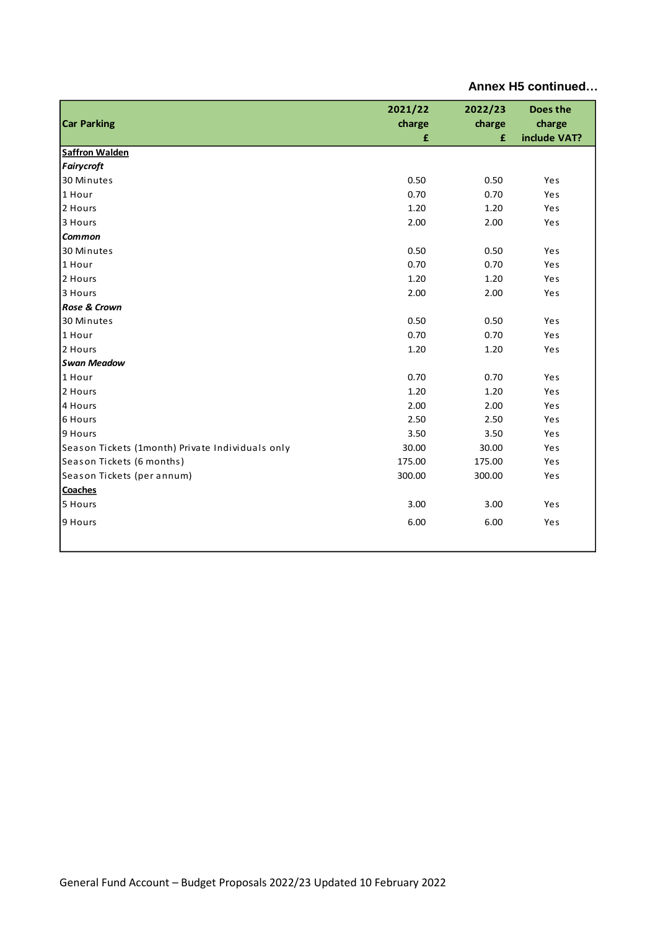| Annex H5 continued |  |  |  |
|--------------------|--|--|--|
|--------------------|--|--|--|

| <b>Car Parking</b>                               | 2021/22<br>charge<br>£ | 2022/23<br>charge<br>£ | Does the<br>charge<br>include VAT? |
|--------------------------------------------------|------------------------|------------------------|------------------------------------|
| <b>Saffron Walden</b>                            |                        |                        |                                    |
| <b>Fairycroft</b>                                |                        |                        |                                    |
| 30 Minutes                                       | 0.50                   | 0.50                   | Yes                                |
| 1 Hour                                           | 0.70                   | 0.70                   | Yes                                |
| 2 Hours                                          | 1.20                   | 1.20                   | Yes                                |
| 3 Hours                                          | 2.00                   | 2.00                   | Yes                                |
| <b>Common</b>                                    |                        |                        |                                    |
| 30 Minutes                                       | 0.50                   | 0.50                   | Yes                                |
| 1 Hour                                           | 0.70                   | 0.70                   | Yes                                |
| 2 Hours                                          | 1.20                   | 1.20                   | Yes                                |
| 3 Hours                                          | 2.00                   | 2.00                   | Yes                                |
| Rose & Crown                                     |                        |                        |                                    |
| 30 Minutes                                       | 0.50                   | 0.50                   | Yes                                |
| 1 Hour                                           | 0.70                   | 0.70                   | Yes                                |
| 2 Hours                                          | 1.20                   | 1.20                   | Yes                                |
| <b>Swan Meadow</b>                               |                        |                        |                                    |
| 1 Hour                                           | 0.70                   | 0.70                   | Yes                                |
| 2 Hours                                          | 1.20                   | 1.20                   | Yes                                |
| 4 Hours                                          | 2.00                   | 2.00                   | Yes                                |
| 6 Hours                                          | 2.50                   | 2.50                   | Yes                                |
| 9 Hours                                          | 3.50                   | 3.50                   | Yes                                |
| Season Tickets (1month) Private Individuals only | 30.00                  | 30.00                  | Yes                                |
| Season Tickets (6 months)                        | 175.00                 | 175.00                 | Yes                                |
| Season Tickets (per annum)                       | 300.00                 | 300.00                 | Yes                                |
| Coaches                                          |                        |                        |                                    |
| 5 Hours                                          | 3.00                   | 3.00                   | Yes                                |
| 9 Hours                                          | 6.00                   | 6.00                   | Yes                                |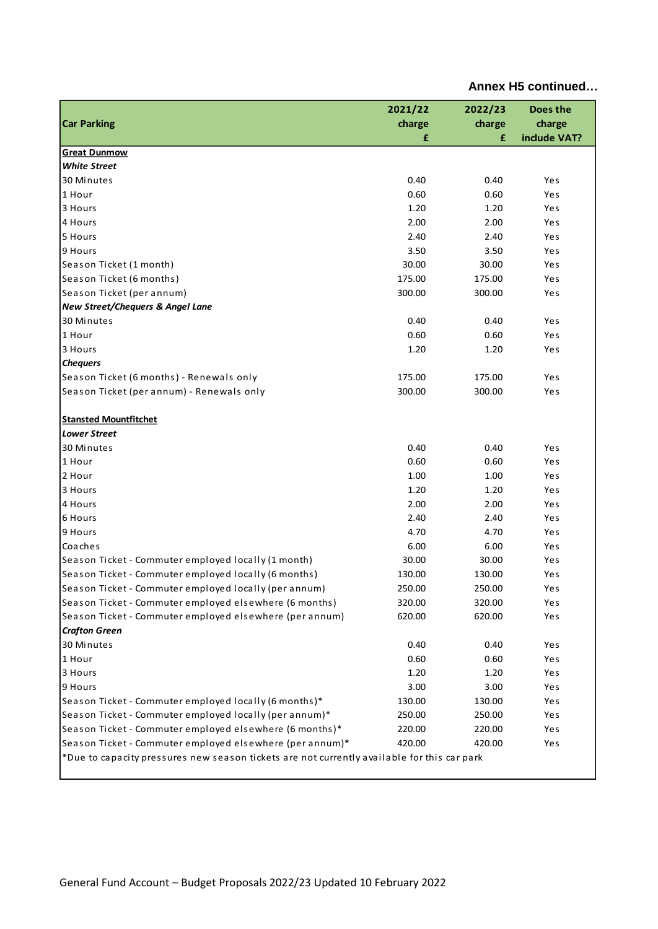|                                                                                                                                                         | 2021/22 | 2022/23 | Does the     |
|---------------------------------------------------------------------------------------------------------------------------------------------------------|---------|---------|--------------|
| <b>Car Parking</b>                                                                                                                                      | charge  | charge  | charge       |
|                                                                                                                                                         | £       | £       | include VAT? |
| <b>Great Dunmow</b>                                                                                                                                     |         |         |              |
| <b>White Street</b>                                                                                                                                     |         |         |              |
| 30 Minutes                                                                                                                                              | 0.40    | 0.40    | Yes          |
| 1 Hour                                                                                                                                                  | 0.60    | 0.60    | Yes          |
| 3 Hours                                                                                                                                                 | 1.20    | 1.20    | Yes          |
| 4 Hours                                                                                                                                                 | 2.00    | 2.00    | Yes          |
| 5 Hours                                                                                                                                                 | 2.40    | 2.40    | Yes          |
| 9 Hours                                                                                                                                                 | 3.50    | 3.50    | Yes          |
| Season Ticket (1 month)                                                                                                                                 | 30.00   | 30.00   | Yes          |
| Season Ticket (6 months)                                                                                                                                | 175.00  | 175.00  | Yes          |
| Season Ticket (per annum)                                                                                                                               | 300.00  | 300.00  | Yes          |
| <b>New Street/Chequers &amp; Angel Lane</b>                                                                                                             |         |         |              |
| 30 Minutes                                                                                                                                              | 0.40    | 0.40    | Yes          |
| 1 Hour                                                                                                                                                  | 0.60    | 0.60    | Yes          |
| 3 Hours                                                                                                                                                 | 1.20    | 1.20    | Yes          |
| <b>Chequers</b>                                                                                                                                         |         |         |              |
| Season Ticket (6 months) - Renewals only                                                                                                                | 175.00  | 175.00  | Yes          |
| Season Ticket (per annum) - Renewals only                                                                                                               | 300.00  | 300.00  | Yes          |
|                                                                                                                                                         |         |         |              |
| <b>Stansted Mountfitchet</b>                                                                                                                            |         |         |              |
| <b>Lower Street</b>                                                                                                                                     |         |         |              |
| 30 Minutes                                                                                                                                              | 0.40    | 0.40    | Yes          |
| 1 Hour                                                                                                                                                  | 0.60    | 0.60    | Yes          |
| 2 Hour                                                                                                                                                  | 1.00    | 1.00    | Yes          |
| 3 Hours                                                                                                                                                 | 1.20    | 1.20    | Yes          |
| 4 Hours                                                                                                                                                 | 2.00    | 2.00    | Yes          |
| 6 Hours                                                                                                                                                 | 2.40    | 2.40    | Yes          |
| 9 Hours                                                                                                                                                 | 4.70    | 4.70    | Yes          |
| Coaches                                                                                                                                                 | 6.00    | 6.00    | Yes          |
| Season Ticket - Commuter employed locally (1 month)                                                                                                     | 30.00   | 30.00   | Yes          |
| Season Ticket - Commuter employed locally (6 months)                                                                                                    | 130.00  | 130.00  | Yes          |
| Season Ticket - Commuter employed locally (per annum)                                                                                                   | 250.00  | 250.00  | Yes          |
| Season Ticket - Commuter employed elsewhere (6 months)                                                                                                  | 320.00  | 320.00  | Yes          |
| Season Ticket - Commuter employed elsewhere (per annum)                                                                                                 | 620.00  | 620.00  | Yes          |
| <b>Crafton Green</b>                                                                                                                                    |         |         |              |
| 30 Minutes                                                                                                                                              | 0.40    | 0.40    | Yes          |
| 1 Hour                                                                                                                                                  | 0.60    | 0.60    | Yes          |
| 3 Hours                                                                                                                                                 | 1.20    | 1.20    | Yes          |
| 9 Hours                                                                                                                                                 | 3.00    | 3.00    | Yes          |
| Season Ticket - Commuter employed locally (6 months)*                                                                                                   | 130.00  | 130.00  | Yes          |
| Season Ticket - Commuter employed locally (per annum)*                                                                                                  | 250.00  | 250.00  | Yes          |
| Season Ticket - Commuter employed elsewhere (6 months)*                                                                                                 | 220.00  | 220.00  | Yes          |
|                                                                                                                                                         | 420.00  | 420.00  |              |
| Season Ticket - Commuter employed elsewhere (per annum)*<br>*Due to capacity pressures new season tickets are not currently available for this car park |         |         | Yes          |
|                                                                                                                                                         |         |         |              |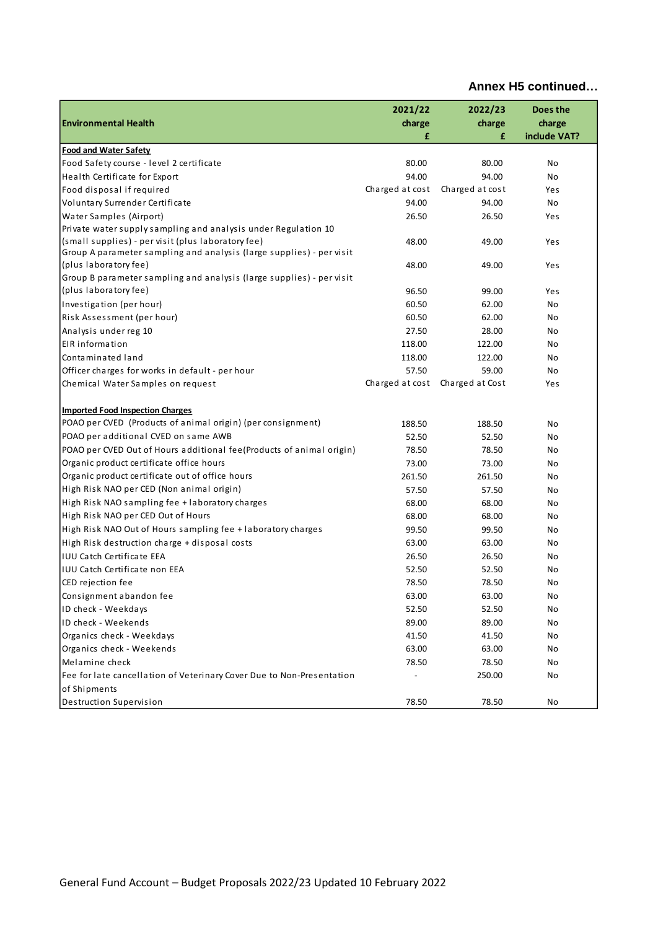| <b>Environmental Health</b>                                                                                             | 2021/22<br>charge | 2022/23<br>charge | Does the<br>charge |
|-------------------------------------------------------------------------------------------------------------------------|-------------------|-------------------|--------------------|
|                                                                                                                         | £                 | £                 | include VAT?       |
| <b>Food and Water Safety</b>                                                                                            |                   |                   |                    |
| Food Safety course - level 2 certificate                                                                                | 80.00             | 80.00             | No                 |
| Health Certificate for Export                                                                                           | 94.00             | 94.00             | No                 |
| Food disposal if required                                                                                               | Charged at cost   | Charged at cost   | Yes                |
| Voluntary Surrender Certificate                                                                                         | 94.00             | 94.00             | No                 |
| Water Samples (Airport)                                                                                                 | 26.50             | 26.50             | Yes                |
| Private water supply sampling and analysis under Regulation 10                                                          |                   |                   |                    |
| (small supplies) - per visit (plus laboratory fee)                                                                      | 48.00             | 49.00             | Yes                |
| Group A parameter sampling and analysis (large supplies) - per visit                                                    |                   |                   |                    |
| (plus laboratory fee)                                                                                                   | 48.00             | 49.00             | Yes                |
| Group B parameter sampling and analysis (large supplies) - per visit                                                    |                   |                   |                    |
| (plus laboratory fee)                                                                                                   | 96.50             | 99.00             | Yes                |
| Investigation (per hour)                                                                                                | 60.50             | 62.00             | No                 |
| Risk Assessment (per hour)                                                                                              | 60.50             | 62.00             | No                 |
| Analysis under reg 10                                                                                                   | 27.50             | 28.00             | No                 |
| EIR information                                                                                                         | 118.00            | 122.00            | No                 |
| Contaminated land                                                                                                       | 118.00            | 122.00            | No                 |
| Officer charges for works in default - per hour                                                                         | 57.50             | 59.00             | No                 |
| Chemical Water Samples on request                                                                                       | Charged at cost   | Charged at Cost   | Yes                |
|                                                                                                                         |                   |                   |                    |
| <b>Imported Food Inspection Charges</b><br>POAO per CVED (Products of animal origin) (per consignment)                  | 188.50            | 188.50            | No                 |
| POAO per additional CVED on same AWB                                                                                    | 52.50             | 52.50             |                    |
| POAO per CVED Out of Hours additional fee(Products of animal origin)                                                    | 78.50             | 78.50             | No<br>No           |
| Organic product certificate office hours                                                                                | 73.00             | 73.00             | No                 |
| Organic product certificate out of office hours                                                                         | 261.50            | 261.50            | No                 |
| High Risk NAO per CED (Non animal origin)                                                                               | 57.50             | 57.50             | No                 |
| High Risk NAO sampling fee + laboratory charges                                                                         | 68.00             | 68.00             | No                 |
| High Risk NAO per CED Out of Hours                                                                                      | 68.00             | 68.00             | No                 |
| High Risk NAO Out of Hours sampling fee + laboratory charges                                                            | 99.50             | 99.50             | No                 |
| High Risk destruction charge + disposal costs                                                                           | 63.00             | 63.00             | No                 |
| <b>IUU Catch Certificate EEA</b>                                                                                        | 26.50             | 26.50             | No                 |
| <b>IUU Catch Certificate non EEA</b>                                                                                    | 52.50             | 52.50             | No                 |
| CED rejection fee                                                                                                       | 78.50             | 78.50             | No                 |
| Consignment abandon fee                                                                                                 | 63.00             | 63.00             | No                 |
| ID check - Weekdays                                                                                                     | 52.50             | 52.50             | No                 |
| ID check - Weekends                                                                                                     | 89.00             | 89.00             | No                 |
| Organics check - Weekdays                                                                                               | 41.50             | 41.50             | No                 |
| Organics check - Weekends                                                                                               | 63.00             | 63.00             | No                 |
| Melamine check                                                                                                          | 78.50             | 78.50             | No                 |
|                                                                                                                         |                   |                   |                    |
|                                                                                                                         |                   |                   |                    |
|                                                                                                                         |                   |                   |                    |
| Fee for late cancellation of Veterinary Cover Due to Non-Presentation<br>of Shipments<br><b>Destruction Supervision</b> | 78.50             | 250.00<br>78.50   | No<br>No           |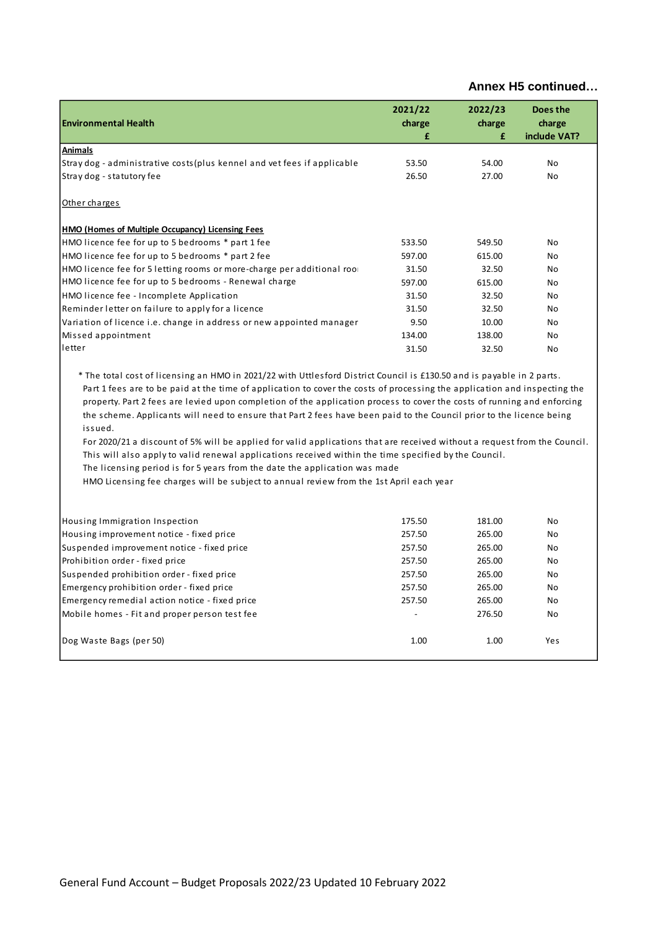|                                                                                                                                                                                                                                                                                                                                                                                                                                                                                                                                                                                                                                                                                                                                                                                                        | 2021/22        | 2022/23 | Does the     |
|--------------------------------------------------------------------------------------------------------------------------------------------------------------------------------------------------------------------------------------------------------------------------------------------------------------------------------------------------------------------------------------------------------------------------------------------------------------------------------------------------------------------------------------------------------------------------------------------------------------------------------------------------------------------------------------------------------------------------------------------------------------------------------------------------------|----------------|---------|--------------|
| <b>Environmental Health</b>                                                                                                                                                                                                                                                                                                                                                                                                                                                                                                                                                                                                                                                                                                                                                                            | charge         | charge  | charge       |
|                                                                                                                                                                                                                                                                                                                                                                                                                                                                                                                                                                                                                                                                                                                                                                                                        | £              | £       | include VAT? |
| <b>Animals</b>                                                                                                                                                                                                                                                                                                                                                                                                                                                                                                                                                                                                                                                                                                                                                                                         |                |         |              |
| Stray dog - administrative costs (plus kennel and vet fees if applicable                                                                                                                                                                                                                                                                                                                                                                                                                                                                                                                                                                                                                                                                                                                               | 53.50          | 54.00   | No           |
| Stray dog - statutory fee                                                                                                                                                                                                                                                                                                                                                                                                                                                                                                                                                                                                                                                                                                                                                                              | 26.50          | 27.00   | <b>No</b>    |
| Other charges                                                                                                                                                                                                                                                                                                                                                                                                                                                                                                                                                                                                                                                                                                                                                                                          |                |         |              |
| HMO (Homes of Multiple Occupancy) Licensing Fees                                                                                                                                                                                                                                                                                                                                                                                                                                                                                                                                                                                                                                                                                                                                                       |                |         |              |
| HMO licence fee for up to 5 bedrooms * part 1 fee                                                                                                                                                                                                                                                                                                                                                                                                                                                                                                                                                                                                                                                                                                                                                      | 533.50         | 549.50  | No           |
| HMO licence fee for up to 5 bedrooms * part 2 fee                                                                                                                                                                                                                                                                                                                                                                                                                                                                                                                                                                                                                                                                                                                                                      | 597.00         | 615.00  | No           |
| HMO licence fee for 5 letting rooms or more-charge per additional roo                                                                                                                                                                                                                                                                                                                                                                                                                                                                                                                                                                                                                                                                                                                                  | 31.50          | 32.50   | <b>No</b>    |
| HMO licence fee for up to 5 bedrooms - Renewal charge                                                                                                                                                                                                                                                                                                                                                                                                                                                                                                                                                                                                                                                                                                                                                  | 597.00         | 615.00  | No           |
| HMO licence fee - Incomplete Application                                                                                                                                                                                                                                                                                                                                                                                                                                                                                                                                                                                                                                                                                                                                                               | 31.50          | 32.50   | No           |
| Reminder letter on failure to apply for a licence                                                                                                                                                                                                                                                                                                                                                                                                                                                                                                                                                                                                                                                                                                                                                      | 31.50          | 32.50   | No           |
| Variation of licence i.e. change in address or new appointed manager                                                                                                                                                                                                                                                                                                                                                                                                                                                                                                                                                                                                                                                                                                                                   | 9.50           | 10.00   | No           |
| Missed appointment                                                                                                                                                                                                                                                                                                                                                                                                                                                                                                                                                                                                                                                                                                                                                                                     | 134.00         | 138.00  | No           |
| letter                                                                                                                                                                                                                                                                                                                                                                                                                                                                                                                                                                                                                                                                                                                                                                                                 | 31.50          | 32.50   | No           |
| Part 1 fees are to be paid at the time of application to cover the costs of processing the application and inspecting the<br>property. Part 2 fees are levied upon completion of the application process to cover the costs of running and enforcing<br>the scheme. Applicants will need to ensure that Part 2 fees have been paid to the Council prior to the licence being<br>issued.<br>For 2020/21 a discount of 5% will be applied for valid applications that are received without a request from the Council.<br>This will also apply to valid renewal applications received within the time specified by the Council.<br>The licensing period is for 5 years from the date the application was made<br>HMO Licensing fee charges will be subject to annual review from the 1st April each year |                |         |              |
| Housing Immigration Inspection                                                                                                                                                                                                                                                                                                                                                                                                                                                                                                                                                                                                                                                                                                                                                                         | 175.50         | 181.00  | No           |
| Housing improvement notice - fixed price                                                                                                                                                                                                                                                                                                                                                                                                                                                                                                                                                                                                                                                                                                                                                               | 257.50         | 265.00  | No           |
| Suspended improvement notice - fixed price                                                                                                                                                                                                                                                                                                                                                                                                                                                                                                                                                                                                                                                                                                                                                             | 257.50         | 265.00  | No           |
| Prohibition order - fixed price                                                                                                                                                                                                                                                                                                                                                                                                                                                                                                                                                                                                                                                                                                                                                                        | 257.50         | 265.00  | No           |
| Suspended prohibition order - fixed price                                                                                                                                                                                                                                                                                                                                                                                                                                                                                                                                                                                                                                                                                                                                                              | 257.50         | 265.00  | No           |
| Emergency prohibition order - fixed price                                                                                                                                                                                                                                                                                                                                                                                                                                                                                                                                                                                                                                                                                                                                                              | 257.50         | 265.00  | No           |
| Emergency remedial action notice - fixed price                                                                                                                                                                                                                                                                                                                                                                                                                                                                                                                                                                                                                                                                                                                                                         | 257.50         | 265.00  | No           |
| Mobile homes - Fit and proper person test fee                                                                                                                                                                                                                                                                                                                                                                                                                                                                                                                                                                                                                                                                                                                                                          | $\overline{a}$ | 276.50  | No           |
| Dog Waste Bags (per 50)                                                                                                                                                                                                                                                                                                                                                                                                                                                                                                                                                                                                                                                                                                                                                                                | 1.00           | 1.00    | Yes          |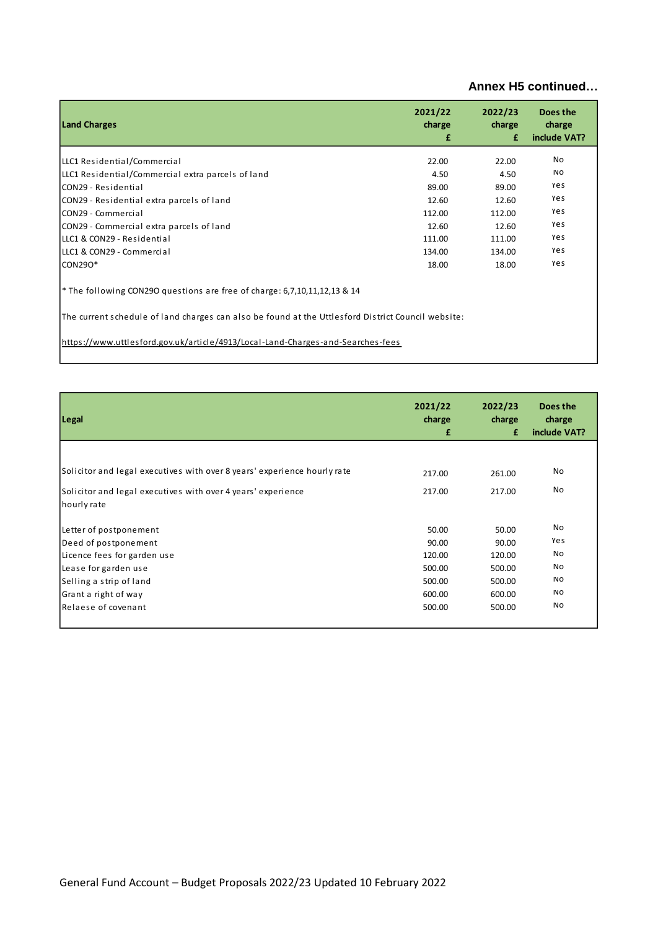| <b>Land Charges</b>                                                                                | 2021/22<br>charge<br>£ | 2022/23<br>charge<br>£ | Does the<br>charge<br>include VAT? |  |  |  |
|----------------------------------------------------------------------------------------------------|------------------------|------------------------|------------------------------------|--|--|--|
| LLC1 Residential/Commercial                                                                        | 22.00                  | 22.00                  | No.                                |  |  |  |
| LLC1 Residential/Commercial extra parcels of land                                                  | 4.50                   | 4.50                   | No.                                |  |  |  |
| lCON29 - Residential                                                                               | 89.00                  | 89.00                  | Yes                                |  |  |  |
| CON29 - Residential extra parcels of land                                                          | 12.60                  | 12.60                  | Yes                                |  |  |  |
| CON29 - Commercial                                                                                 | 112.00                 | 112.00                 | Yes                                |  |  |  |
| CON29 - Commercial extra parcels of land                                                           | 12.60                  | 12.60                  | Yes                                |  |  |  |
| lLLC1 & CON29 - Residential                                                                        | 111.00                 | 111.00                 | Yes                                |  |  |  |
| lLLC1 & CON29 - Commercial                                                                         | 134.00                 | 134.00                 | Yes                                |  |  |  |
| $CON290*$                                                                                          | 18.00                  | 18.00                  | Yes                                |  |  |  |
| <sup>*</sup> The following CON29O questions are free of charge: 6,7,10,11,12,13 & 14               |                        |                        |                                    |  |  |  |
| The current schedule of land charges can also be found at the Uttlesford District Council website: |                        |                        |                                    |  |  |  |
| https://www.uttlesford.gov.uk/article/4913/Local-Land-Charges-and-Searches-fees                    |                        |                        |                                    |  |  |  |

| Legal                                                                    | 2021/22<br>charge<br>£ | 2022/23<br>charge<br>£ | Does the<br>charge<br>include VAT? |
|--------------------------------------------------------------------------|------------------------|------------------------|------------------------------------|
|                                                                          |                        |                        |                                    |
| Solicitor and legal executives with over 8 years' experience hourly rate | 217.00                 | 261.00                 | No                                 |
| Solicitor and legal executives with over 4 years' experience             | 217.00                 | 217.00                 | No                                 |
| hourly rate                                                              |                        |                        |                                    |
| Letter of postponement                                                   | 50.00                  | 50.00                  | No                                 |
| Deed of postponement                                                     | 90.00                  | 90.00                  | Yes                                |
| Licence fees for garden use                                              | 120.00                 | 120.00                 | No.                                |
| Lease for garden use                                                     | 500.00                 | 500.00                 | No.                                |
| Selling a strip of land                                                  | 500.00                 | 500.00                 | No.                                |
| Grant a right of way                                                     | 600.00                 | 600.00                 | No                                 |
| Relaese of covenant                                                      | 500.00                 | 500.00                 | No.                                |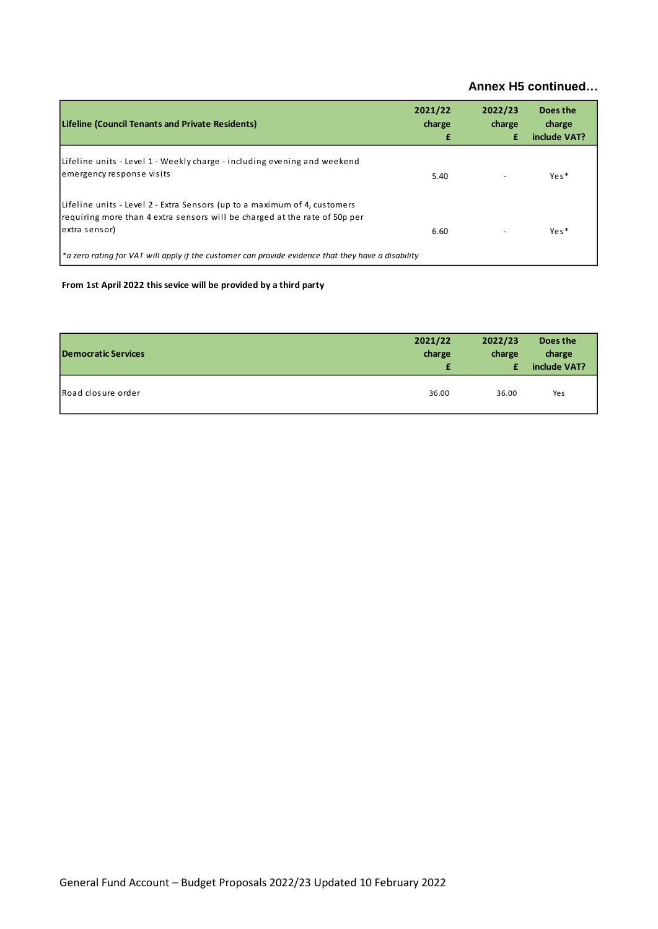| Lifeline (Council Tenants and Private Residents)                                                                                                                         | 2021/22<br>charge<br>£ | 2022/23<br>charge<br>£ | Does the<br>charge<br>include VAT? |
|--------------------------------------------------------------------------------------------------------------------------------------------------------------------------|------------------------|------------------------|------------------------------------|
| Lifeline units - Level 1 - Weekly charge - including evening and weekend<br>emergency response visits                                                                    | 5.40                   |                        | Yes <sup>*</sup>                   |
| Lifeline units - Level 2 - Extra Sensors (up to a maximum of 4, customers<br>requiring more than 4 extra sensors will be charged at the rate of 50p per<br>extra sensor) | 6.60                   |                        | Yes*                               |
| *a zero rating for VAT will apply if the customer can provide evidence that they have a disability                                                                       |                        |                        |                                    |

### **From 1st April 2022 this sevice will be provided by a third party**

| <b>Democratic Services</b> | 2021/22 | 2022/23 | Does the     |
|----------------------------|---------|---------|--------------|
|                            | charge  | charge  | charge       |
|                            | £       | £       | include VAT? |
| Road closure order         | 36.00   | 36.00   | Yes          |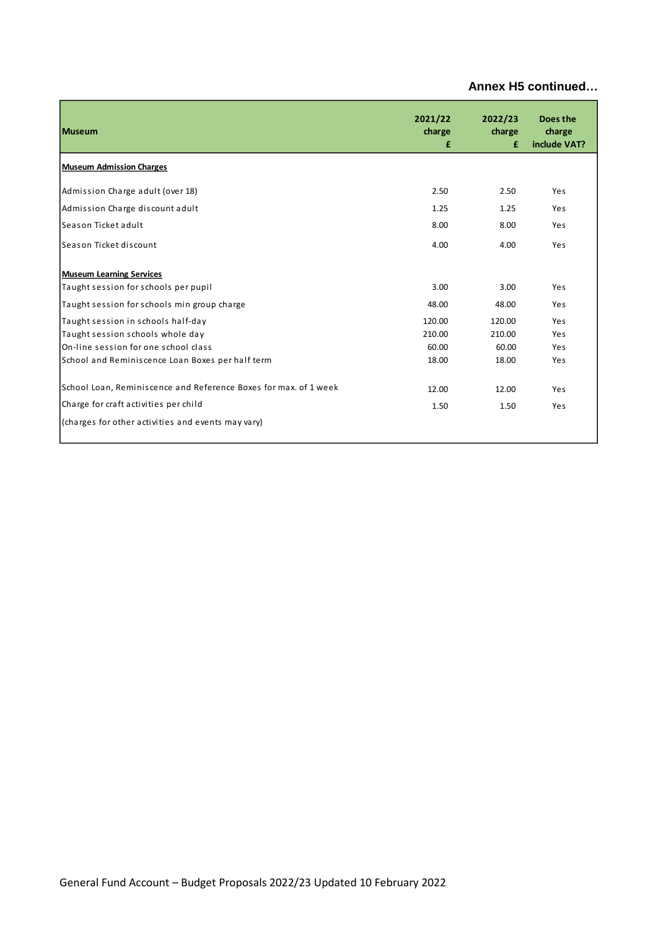| <b>Museum</b>                                                    | 2021/22<br>charge<br>£ | 2022/23<br>charge<br>£ | Does the<br>charge<br>include VAT? |
|------------------------------------------------------------------|------------------------|------------------------|------------------------------------|
| <b>Museum Admission Charges</b>                                  |                        |                        |                                    |
| Admission Charge adult (over 18)                                 | 2.50                   | 2.50                   | Yes                                |
| Admission Charge discount adult                                  | 1.25                   | 1.25                   | Yes                                |
| Season Ticket adult                                              | 8.00                   | 8.00                   | Yes                                |
| Season Ticket discount                                           | 4.00                   | 4.00                   | Yes                                |
| <b>Museum Learning Services</b>                                  |                        |                        |                                    |
| Taught session for schools per pupil                             | 3.00                   | 3.00                   | Yes                                |
| Taught session for schools min group charge                      | 48.00                  | 48.00                  | Yes                                |
| Taught session in schools half-day                               | 120.00                 | 120.00                 | Yes                                |
| Taught session schools whole day                                 | 210.00                 | 210.00                 | Yes                                |
| On-line session for one school class                             | 60.00                  | 60.00                  | Yes                                |
| School and Reminiscence Loan Boxes per half term                 | 18.00                  | 18.00                  | Yes                                |
| School Loan, Reminiscence and Reference Boxes for max. of 1 week | 12.00                  | 12.00                  | Yes                                |
| Charge for craft activities per child                            | 1.50                   | 1.50                   | Yes                                |
| (charges for other activities and events may vary)               |                        |                        |                                    |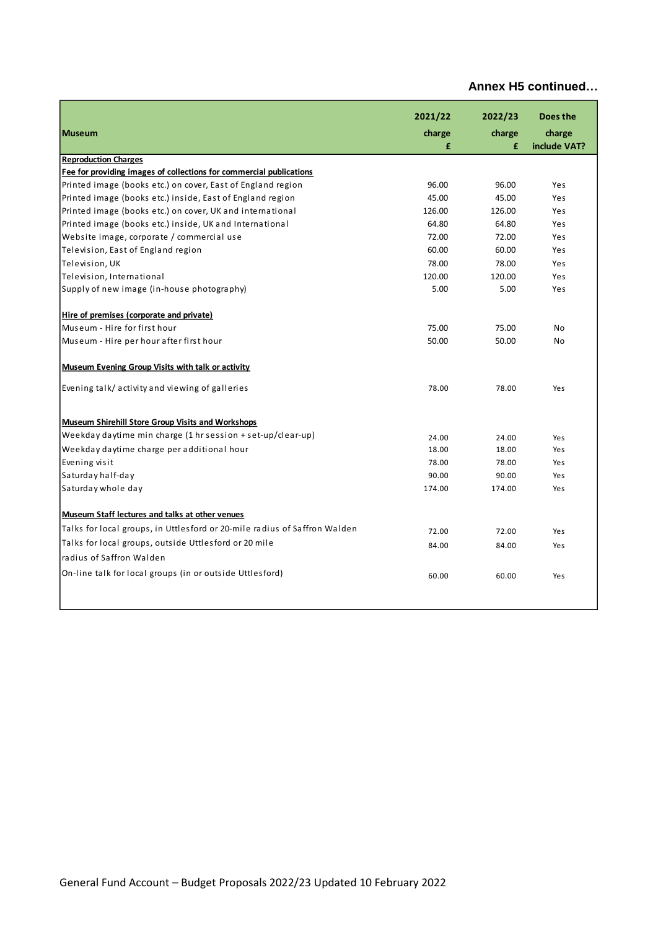|                                                                           | 2021/22 | 2022/23 | Does the     |
|---------------------------------------------------------------------------|---------|---------|--------------|
| <b>Museum</b>                                                             | charge  | charge  | charge       |
|                                                                           | £       | £       | include VAT? |
| <b>Reproduction Charges</b>                                               |         |         |              |
| Fee for providing images of collections for commercial publications       |         |         |              |
| Printed image (books etc.) on cover, East of England region               | 96.00   | 96.00   | Yes          |
| Printed image (books etc.) inside, East of England region                 | 45.00   | 45.00   | Yes          |
| Printed image (books etc.) on cover, UK and international                 | 126.00  | 126.00  | Yes          |
| Printed image (books etc.) inside, UK and International                   | 64.80   | 64.80   | Yes          |
| Website image, corporate / commercial use                                 | 72.00   | 72.00   | Yes          |
| Television, East of England region                                        | 60.00   | 60.00   | Yes          |
| Television, UK                                                            | 78.00   | 78.00   | Yes          |
| Television, International                                                 | 120.00  | 120.00  | Yes          |
| Supply of new image (in-house photography)                                | 5.00    | 5.00    | Yes          |
| Hire of premises (corporate and private)                                  |         |         |              |
| Museum - Hire for first hour                                              | 75.00   | 75.00   | No           |
| Museum - Hire per hour after first hour                                   | 50.00   | 50.00   | No           |
| <b>Museum Evening Group Visits with talk or activity</b>                  |         |         |              |
| Evening talk/activity and viewing of galleries                            | 78.00   | 78.00   | Yes          |
| Museum Shirehill Store Group Visits and Workshops                         |         |         |              |
| Weekday daytime min charge $(1 \text{ hr}$ session + set-up/clear-up)     | 24.00   | 24.00   | Yes          |
| Weekday daytime charge per additional hour                                | 18.00   | 18.00   | Yes          |
| Evening visit                                                             | 78.00   | 78.00   | Yes          |
| Saturday half-day                                                         | 90.00   | 90.00   | Yes          |
| Saturday whole day                                                        | 174.00  | 174.00  | Yes          |
| Museum Staff lectures and talks at other venues                           |         |         |              |
| Talks for local groups, in Uttlesford or 20-mile radius of Saffron Walden | 72.00   | 72.00   | Yes          |
| Talks for local groups, outside Uttlesford or 20 mile                     | 84.00   | 84.00   | Yes          |
| radius of Saffron Walden                                                  |         |         |              |
|                                                                           |         |         |              |
| On-line talk for local groups (in or outside Uttlesford)                  | 60.00   | 60.00   | Yes          |
|                                                                           |         |         |              |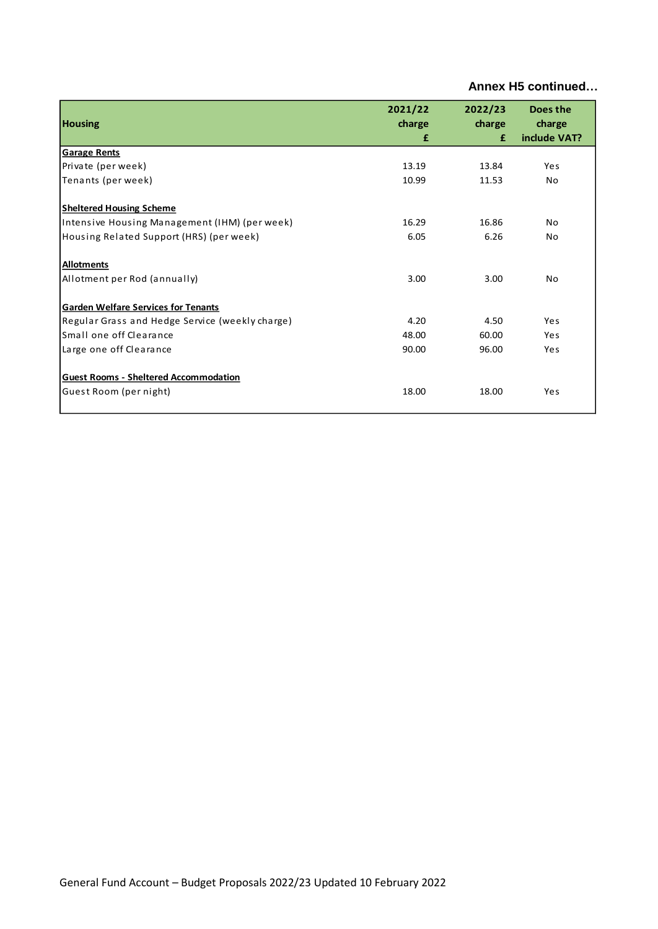| <b>Housing</b>                                  | 2021/22<br>charge<br>£ | 2022/23<br>charge<br>£ | Does the<br>charge<br>include VAT? |
|-------------------------------------------------|------------------------|------------------------|------------------------------------|
| <b>Garage Rents</b>                             |                        |                        |                                    |
| Private (per week)                              | 13.19                  | 13.84                  | Yes                                |
| Tenants (per week)                              | 10.99                  | 11.53                  | No.                                |
| <b>Sheltered Housing Scheme</b>                 |                        |                        |                                    |
| Intensive Housing Management (IHM) (per week)   | 16.29                  | 16.86                  | No.                                |
| Housing Related Support (HRS) (per week)        | 6.05                   | 6.26                   | No.                                |
| <b>Allotments</b>                               |                        |                        |                                    |
| Allotment per Rod (annually)                    | 3.00                   | 3.00                   | No                                 |
| <b>Garden Welfare Services for Tenants</b>      |                        |                        |                                    |
| Regular Grass and Hedge Service (weekly charge) | 4.20                   | 4.50                   | Yes                                |
| Small one off Clearance                         | 48.00                  | 60.00                  | Yes                                |
| Large one off Clearance                         | 90.00                  | 96.00                  | Yes                                |
| <b>Guest Rooms - Sheltered Accommodation</b>    |                        |                        |                                    |
| Guest Room (per night)                          | 18.00                  | 18.00                  | Yes                                |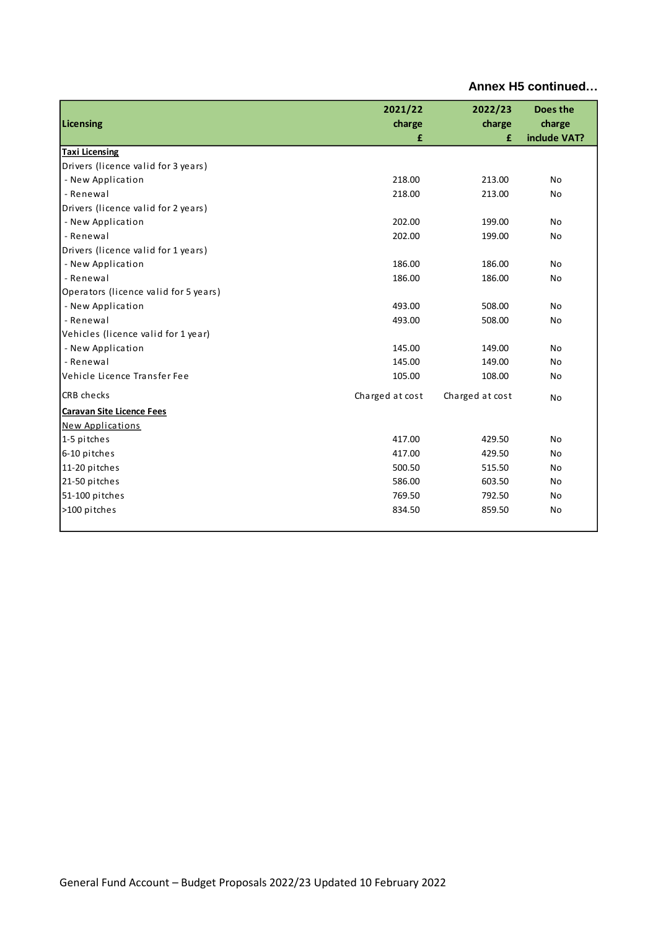| Annex H5 continued |
|--------------------|
|                    |

| Licensing                             | 2021/22<br>charge<br>£ | 2022/23<br>charge<br>£ | Does the<br>charge<br>include VAT? |
|---------------------------------------|------------------------|------------------------|------------------------------------|
| <b>Taxi Licensing</b>                 |                        |                        |                                    |
| Drivers (licence valid for 3 years)   |                        |                        |                                    |
| - New Application                     | 218.00                 | 213.00                 | <b>No</b>                          |
| - Renewal                             | 218.00                 | 213.00                 | No                                 |
| Drivers (licence valid for 2 years)   |                        |                        |                                    |
| - New Application                     | 202.00                 | 199.00                 | <b>No</b>                          |
| - Renewal                             | 202.00                 | 199.00                 | No                                 |
| Drivers (licence valid for 1 years)   |                        |                        |                                    |
| - New Application                     | 186.00                 | 186.00                 | <b>No</b>                          |
| - Renewal                             | 186.00                 | 186.00                 | No                                 |
| Operators (licence valid for 5 years) |                        |                        |                                    |
| - New Application                     | 493.00                 | 508.00                 | No                                 |
| - Renewal                             | 493.00                 | 508.00                 | No                                 |
| Vehicles (licence valid for 1 year)   |                        |                        |                                    |
| - New Application                     | 145.00                 | 149.00                 | No                                 |
| - Renewal                             | 145.00                 | 149.00                 | No                                 |
| Vehicle Licence Transfer Fee          | 105.00                 | 108.00                 | No                                 |
| <b>CRB</b> checks                     | Charged at cost        | Charged at cost        | No                                 |
| <b>Caravan Site Licence Fees</b>      |                        |                        |                                    |
| <b>New Applications</b>               |                        |                        |                                    |
| 1-5 pitches                           | 417.00                 | 429.50                 | No                                 |
| 6-10 pitches                          | 417.00                 | 429.50                 | No                                 |
| 11-20 pitches                         | 500.50                 | 515.50                 | No                                 |
| 21-50 pitches                         | 586.00                 | 603.50                 | No                                 |
| 51-100 pitches                        | 769.50                 | 792.50                 | No                                 |
| >100 pitches                          | 834.50                 | 859.50                 | No                                 |
|                                       |                        |                        |                                    |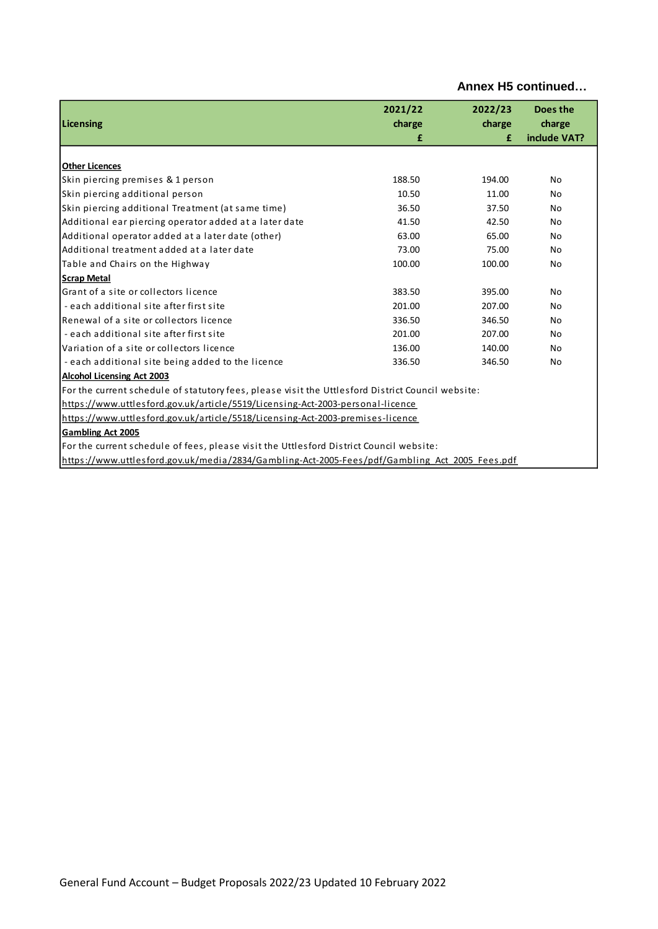| Annex H5 continued |  |  |  |
|--------------------|--|--|--|
|--------------------|--|--|--|

| Licensing                                                                                         | 2021/22<br>charge<br>£ | 2022/23<br>charge<br>£ | Does the<br>charge<br>include VAT? |  |  |
|---------------------------------------------------------------------------------------------------|------------------------|------------------------|------------------------------------|--|--|
|                                                                                                   |                        |                        |                                    |  |  |
| <b>Other Licences</b>                                                                             |                        |                        |                                    |  |  |
| Skin piercing premises & 1 person                                                                 | 188.50                 | 194.00                 | No                                 |  |  |
| Skin piercing additional person                                                                   | 10.50                  | 11.00                  | No                                 |  |  |
| Skin piercing additional Treatment (at same time)                                                 | 36.50                  | 37.50                  | No                                 |  |  |
| Additional ear piercing operator added at a later date                                            | 41.50                  | 42.50                  | No                                 |  |  |
| Additional operator added at a later date (other)                                                 | 63.00                  | 65.00                  | No                                 |  |  |
| Additional treatment added at a later date                                                        | 73.00                  | 75.00                  | No                                 |  |  |
| Table and Chairs on the Highway                                                                   | 100.00                 | 100.00                 | No                                 |  |  |
| <b>Scrap Metal</b>                                                                                |                        |                        |                                    |  |  |
| Grant of a site or collectors licence                                                             | 383.50                 | 395.00                 | No                                 |  |  |
| - each additional site after first site                                                           | 201.00                 | 207.00                 | No                                 |  |  |
| Renewal of a site or collectors licence                                                           | 336.50                 | 346.50                 | No                                 |  |  |
| - each additional site after first site                                                           | 201.00                 | 207.00                 | No                                 |  |  |
| Variation of a site or collectors licence                                                         | 136.00                 | 140.00                 | No                                 |  |  |
| - each additional site being added to the licence                                                 | 336.50                 | 346.50                 | No                                 |  |  |
| <b>Alcohol Licensing Act 2003</b>                                                                 |                        |                        |                                    |  |  |
| For the current schedule of statutory fees, please visit the Uttlesford District Council website: |                        |                        |                                    |  |  |
| https://www.uttlesford.gov.uk/article/5519/Licensing-Act-2003-personal-licence                    |                        |                        |                                    |  |  |
| https://www.uttlesford.gov.uk/article/5518/Licensing-Act-2003-premises-licence                    |                        |                        |                                    |  |  |
| <b>Gambling Act 2005</b>                                                                          |                        |                        |                                    |  |  |
| For the current schedule of fees, please visit the Uttlesford District Council website:           |                        |                        |                                    |  |  |
| https://www.uttlesford.gov.uk/media/2834/Gambling-Act-2005-Fees/pdf/Gambling Act 2005 Fees.pdf    |                        |                        |                                    |  |  |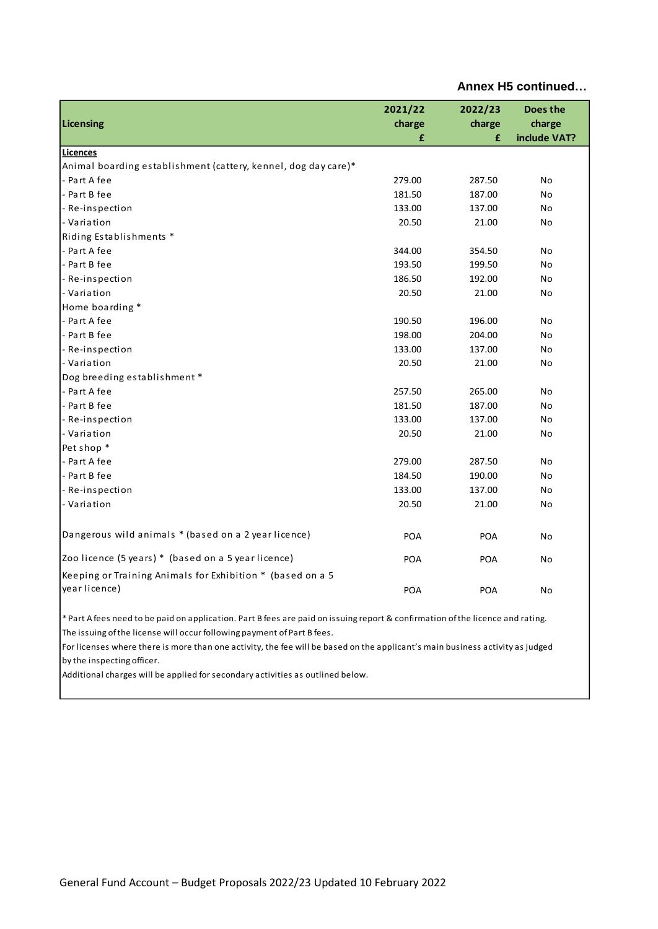| Licensing                                                                                                                     | 2021/22<br>charge<br>£ | 2022/23<br>charge<br>£ | Does the<br>charge<br>include VAT? |
|-------------------------------------------------------------------------------------------------------------------------------|------------------------|------------------------|------------------------------------|
| <b>Licences</b>                                                                                                               |                        |                        |                                    |
| Animal boarding establishment (cattery, kennel, dog day care)*                                                                |                        |                        |                                    |
| - Part A fee                                                                                                                  | 279.00                 | 287.50                 | No                                 |
| - Part B fee                                                                                                                  | 181.50                 | 187.00                 | No                                 |
| - Re-inspection                                                                                                               | 133.00                 | 137.00                 | No                                 |
| - Variation                                                                                                                   | 20.50                  | 21.00                  | No                                 |
| Riding Establishments *                                                                                                       |                        |                        |                                    |
| - Part A fee                                                                                                                  | 344.00                 | 354.50                 | No                                 |
| - Part B fee                                                                                                                  | 193.50                 | 199.50                 | No                                 |
| - Re-inspection                                                                                                               | 186.50                 | 192.00                 | No                                 |
| - Variation                                                                                                                   | 20.50                  | 21.00                  | No                                 |
| Home boarding *                                                                                                               |                        |                        |                                    |
| - Part A fee                                                                                                                  | 190.50                 | 196.00                 | No                                 |
| - Part B fee                                                                                                                  | 198.00                 | 204.00                 | No                                 |
| - Re-inspection                                                                                                               | 133.00                 | 137.00                 | No                                 |
| - Variation                                                                                                                   | 20.50                  | 21.00                  | No                                 |
| Dog breeding establishment *                                                                                                  |                        |                        |                                    |
| - Part A fee                                                                                                                  | 257.50                 | 265.00                 | No                                 |
| - Part B fee                                                                                                                  | 181.50                 | 187.00                 | No                                 |
| - Re-inspection                                                                                                               | 133.00                 | 137.00                 | No                                 |
| - Variation                                                                                                                   | 20.50                  | 21.00                  | No                                 |
| Pet shop *                                                                                                                    |                        |                        |                                    |
| - Part A fee                                                                                                                  | 279.00                 | 287.50                 | No                                 |
| - Part B fee                                                                                                                  | 184.50                 | 190.00                 | No                                 |
| - Re-inspection                                                                                                               | 133.00                 | 137.00                 | No                                 |
| - Variation                                                                                                                   | 20.50                  | 21.00                  | No                                 |
|                                                                                                                               |                        |                        |                                    |
| Dangerous wild animals * (based on a 2 year licence)                                                                          | POA                    | POA                    | No                                 |
| Zoo licence (5 years) * (based on a 5 year licence)                                                                           | <b>POA</b>             | <b>POA</b>             | No                                 |
| Keeping or Training Animals for Exhibition * (based on a 5                                                                    |                        |                        |                                    |
| year licence)                                                                                                                 | POA                    | POA                    | No                                 |
| * Part Afees need to be paid on application. Part B fees are paid on issuing report & confirmation of the licence and rating. |                        |                        |                                    |

The issuing of the license will occur following payment of Part B fees.

For licenses where there is more than one activity, the fee will be based on the applicant's main business activity as judged by the inspecting officer.

Additional charges will be applied for secondary activities as outlined below.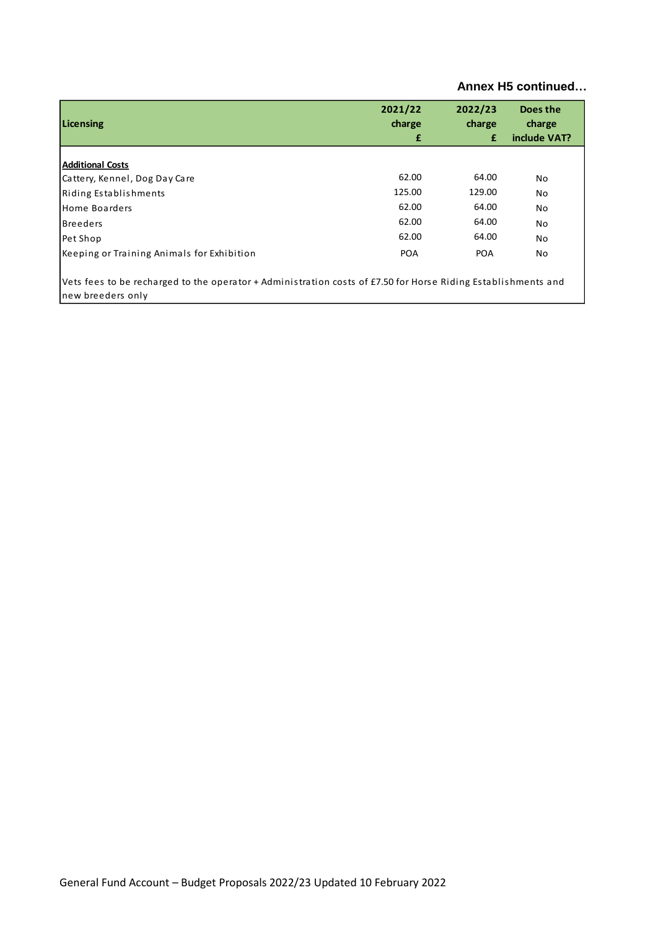| Annex H5 continued |  |  |  |
|--------------------|--|--|--|
|--------------------|--|--|--|

| Licensing                                                                                                                          | 2021/22<br>charge<br>£ | 2022/23<br>charge<br>£ | Does the<br>charge<br>include VAT? |
|------------------------------------------------------------------------------------------------------------------------------------|------------------------|------------------------|------------------------------------|
| <b>Additional Costs</b>                                                                                                            |                        |                        |                                    |
| Cattery, Kennel, Dog Day Care                                                                                                      | 62.00                  | 64.00                  | No                                 |
| Riding Establishments                                                                                                              | 125.00                 | 129.00                 | No.                                |
| Home Boarders                                                                                                                      | 62.00                  | 64.00                  | No                                 |
| <b>Breeders</b>                                                                                                                    | 62.00                  | 64.00                  | No                                 |
| Pet Shop                                                                                                                           | 62.00                  | 64.00                  | No                                 |
| Keeping or Training Animals for Exhibition                                                                                         | <b>POA</b>             | <b>POA</b>             | No                                 |
| Vets fees to be recharged to the operator + Administration costs of £7.50 for Horse Riding Establishments and<br>new breeders only |                        |                        |                                    |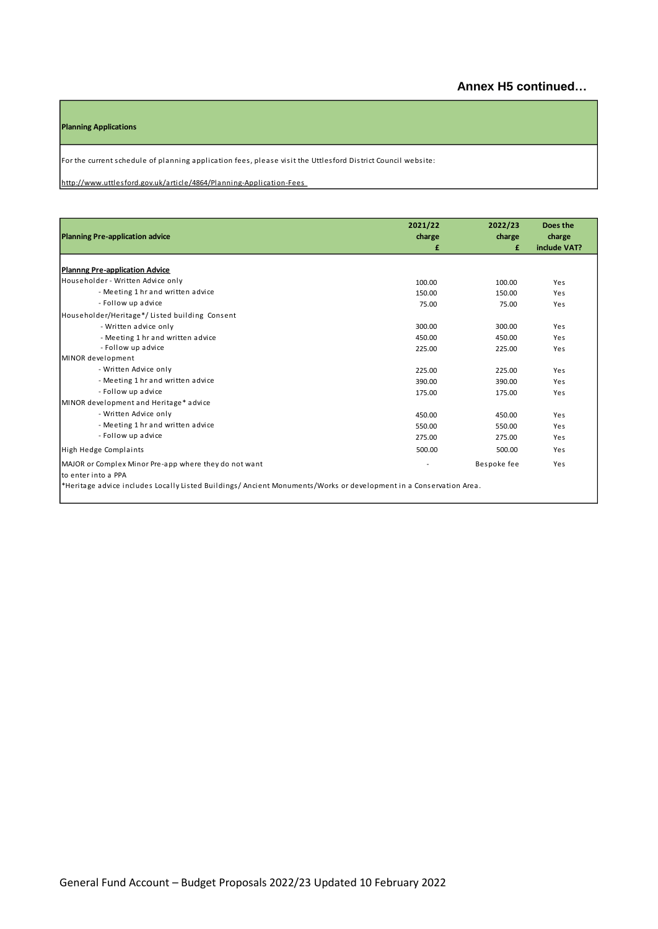#### **Planning Applications**

For the current schedule of planning application fees, please visit the Uttlesford District Council website:

http://www.uttlesford.gov.uk/article/4864/Planning-Application-Fees

| <b>Planning Pre-application advice</b>                                                                            | 2021/22<br>charge<br>£ | 2022/23<br>charge<br>£ | Does the<br>charge<br>include VAT? |
|-------------------------------------------------------------------------------------------------------------------|------------------------|------------------------|------------------------------------|
| <b>Plannng Pre-application Advice</b>                                                                             |                        |                        |                                    |
| Householder - Written Advice only                                                                                 | 100.00                 | 100.00                 | Yes                                |
| - Meeting 1 hr and written advice                                                                                 | 150.00                 | 150.00                 | Yes                                |
| - Follow up advice                                                                                                | 75.00                  | 75.00                  | Yes                                |
| Householder/Heritage*/Listed building Consent                                                                     |                        |                        |                                    |
| - Written advice only                                                                                             | 300.00                 | 300.00                 | Yes                                |
| - Meeting 1 hr and written advice                                                                                 | 450.00                 | 450.00                 | Yes                                |
| - Follow up advice                                                                                                | 225.00                 | 225.00                 | Yes                                |
| MINOR development                                                                                                 |                        |                        |                                    |
| - Written Advice only                                                                                             | 225.00                 | 225.00                 | Yes                                |
| - Meeting 1 hr and written advice                                                                                 | 390.00                 | 390.00                 | Yes                                |
| - Follow up advice                                                                                                | 175.00                 | 175.00                 | Yes                                |
| MINOR development and Heritage* advice                                                                            |                        |                        |                                    |
| - Written Advice only                                                                                             | 450.00                 | 450.00                 | Yes                                |
| - Meeting 1 hr and written advice                                                                                 | 550.00                 | 550.00                 | Yes                                |
| - Follow up advice                                                                                                | 275.00                 | 275.00                 | Yes                                |
| High Hedge Complaints                                                                                             | 500.00                 | 500.00                 | Yes                                |
| MAJOR or Complex Minor Pre-app where they do not want<br>lto enter into a PPA                                     |                        | Bespoke fee            | Yes                                |
| *Heritage advice includes Locally Listed Buildings/Ancient Monuments/Works or development in a Conservation Area. |                        |                        |                                    |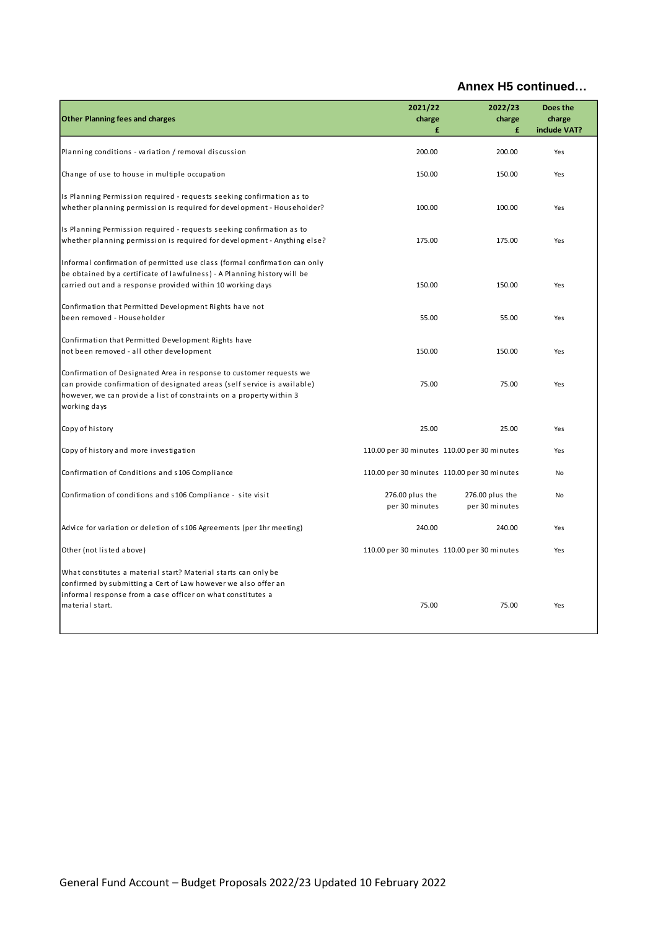| <b>Other Planning fees and charges</b>                                                                                                                                                                                                  | 2021/22<br>charge<br>£            | 2022/23<br>charge<br>£                      | Does the<br>charge<br>include VAT? |
|-----------------------------------------------------------------------------------------------------------------------------------------------------------------------------------------------------------------------------------------|-----------------------------------|---------------------------------------------|------------------------------------|
| Planning conditions - variation / removal discussion                                                                                                                                                                                    | 200.00                            | 200.00                                      | Yes                                |
| Change of use to house in multiple occupation                                                                                                                                                                                           | 150.00                            | 150.00                                      | Yes                                |
| Is Planning Permission required - requests seeking confirmation as to<br>whether planning permission is required for development - Householder?                                                                                         | 100.00                            | 100.00                                      | Yes                                |
| Is Planning Permission required - requests seeking confirmation as to<br>whether planning permission is required for development - Anything else?                                                                                       | 175.00                            | 175.00                                      | Yes                                |
| Informal confirmation of permitted use class (formal confirmation can only<br>be obtained by a certificate of lawfulness) - A Planning history will be<br>carried out and a response provided within 10 working days                    | 150.00                            | 150.00                                      | Yes                                |
| Confirmation that Permitted Development Rights have not<br>been removed - Householder                                                                                                                                                   | 55.00                             | 55.00                                       | Yes                                |
| Confirmation that Permitted Development Rights have<br>not been removed - all other development                                                                                                                                         | 150.00                            | 150.00                                      | Yes                                |
| Confirmation of Designated Area in response to customer requests we<br>can provide confirmation of designated areas (self service is available)<br>however, we can provide a list of constraints on a property within 3<br>working days | 75.00                             | 75.00                                       | Yes                                |
| Copy of history                                                                                                                                                                                                                         | 25.00                             | 25.00                                       | Yes                                |
| Copy of history and more investigation                                                                                                                                                                                                  |                                   | 110.00 per 30 minutes 110.00 per 30 minutes | Yes                                |
| Confirmation of Conditions and s106 Compliance                                                                                                                                                                                          |                                   | 110.00 per 30 minutes 110.00 per 30 minutes | No                                 |
| Confirmation of conditions and s106 Compliance - site visit                                                                                                                                                                             | 276.00 plus the<br>per 30 minutes | 276.00 plus the<br>per 30 minutes           | <b>No</b>                          |
| Advice for variation or deletion of s106 Agreements (per 1hr meeting)                                                                                                                                                                   | 240.00                            | 240.00                                      | Yes                                |
| Other (not listed above)                                                                                                                                                                                                                |                                   | 110.00 per 30 minutes 110.00 per 30 minutes | Yes                                |
| What constitutes a material start? Material starts can only be<br>confirmed by submitting a Cert of Law however we also offer an<br>informal response from a case officer on what constitutes a<br>material start.                      | 75.00                             | 75.00                                       | Yes                                |
|                                                                                                                                                                                                                                         |                                   |                                             |                                    |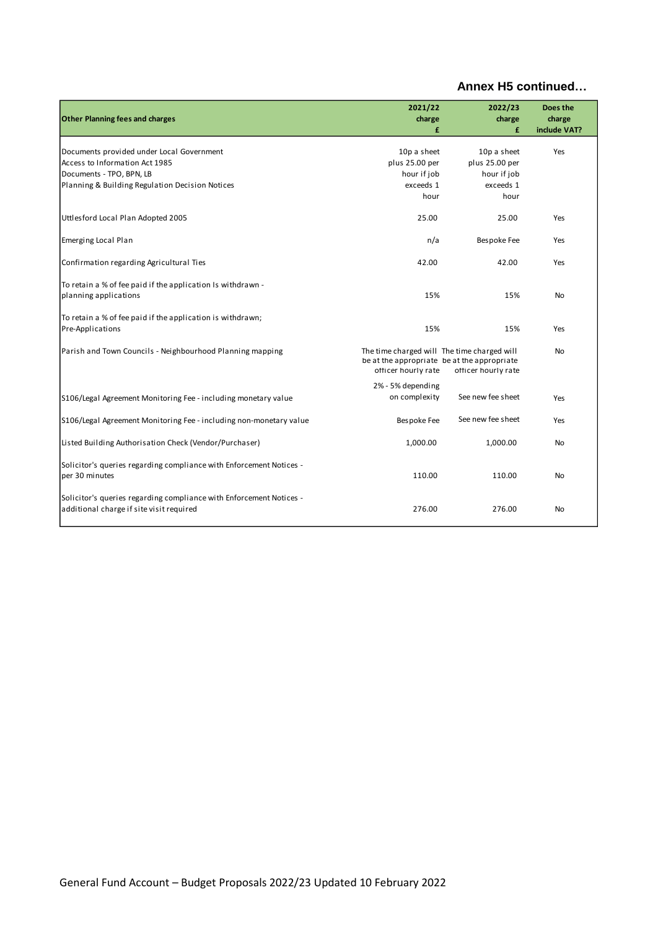| <b>Other Planning fees and charges</b>                                                                          | 2021/22<br>charge<br>£                                             | 2022/23<br>charge<br>£                                             | Does the<br>charge<br>include VAT? |
|-----------------------------------------------------------------------------------------------------------------|--------------------------------------------------------------------|--------------------------------------------------------------------|------------------------------------|
| Documents provided under Local Government                                                                       | 10p a sheet                                                        | 10p a sheet                                                        | Yes                                |
| Access to Information Act 1985                                                                                  | plus 25.00 per                                                     | plus 25.00 per                                                     |                                    |
| Documents - TPO, BPN, LB                                                                                        | hour if job                                                        | hour if job                                                        |                                    |
| Planning & Building Regulation Decision Notices                                                                 | exceeds 1                                                          | exceeds 1<br>hour                                                  |                                    |
|                                                                                                                 | hour                                                               |                                                                    |                                    |
| Uttlesford Local Plan Adopted 2005                                                                              | 25.00                                                              | 25.00                                                              | Yes                                |
| Emerging Local Plan                                                                                             | n/a                                                                | <b>Bespoke Fee</b>                                                 | Yes                                |
| Confirmation regarding Agricultural Ties                                                                        | 42.00                                                              | 42.00                                                              | Yes                                |
| To retain a % of fee paid if the application Is withdrawn -<br>planning applications                            | 15%                                                                | 15%                                                                | <b>No</b>                          |
| To retain a % of fee paid if the application is withdrawn;<br>Pre-Applications                                  | 15%                                                                | 15%                                                                | Yes                                |
| Parish and Town Councils - Neighbourhood Planning mapping                                                       | The time charged will The time charged will<br>officer hourly rate | be at the appropriate be at the appropriate<br>officer hourly rate | <b>No</b>                          |
|                                                                                                                 | 2% - 5% depending                                                  |                                                                    |                                    |
| S106/Legal Agreement Monitoring Fee - including monetary value                                                  | on complexity                                                      | See new fee sheet                                                  | Yes                                |
| S106/Legal Agreement Monitoring Fee - including non-monetary value                                              | Bespoke Fee                                                        | See new fee sheet                                                  | Yes                                |
| Listed Building Authorisation Check (Vendor/Purchaser)                                                          | 1,000.00                                                           | 1,000.00                                                           | No                                 |
| Solicitor's queries regarding compliance with Enforcement Notices -<br>per 30 minutes                           | 110.00                                                             | 110.00                                                             | No                                 |
| Solicitor's queries regarding compliance with Enforcement Notices -<br>additional charge if site visit required | 276.00                                                             | 276.00                                                             | <b>No</b>                          |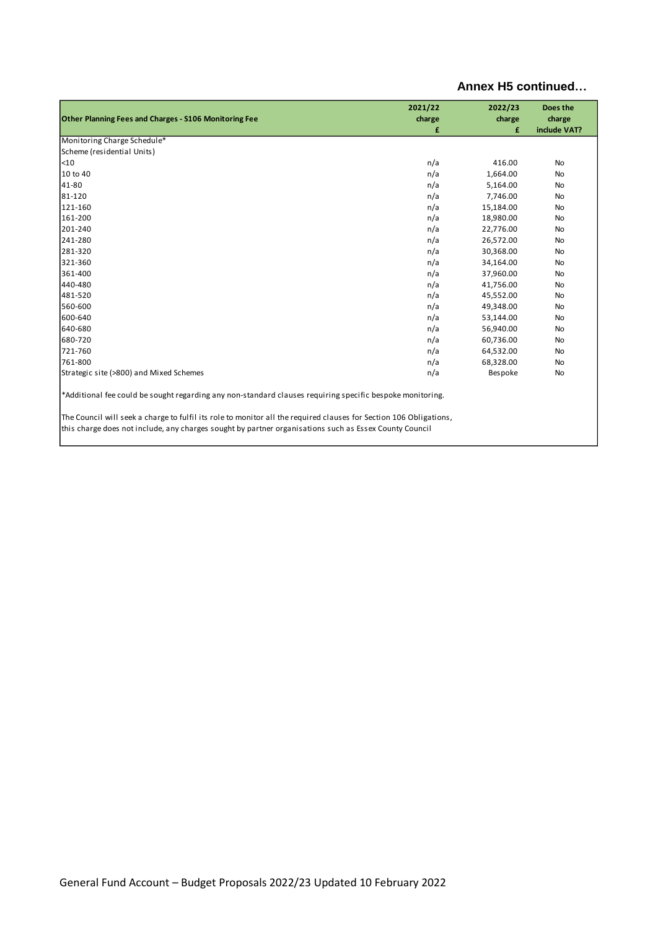|                                                                                                                                                                                                                              | 2021/22 | 2022/23        | Does the     |  |
|------------------------------------------------------------------------------------------------------------------------------------------------------------------------------------------------------------------------------|---------|----------------|--------------|--|
| Other Planning Fees and Charges - S106 Monitoring Fee                                                                                                                                                                        | charge  | charge         | charge       |  |
|                                                                                                                                                                                                                              | £       | £              | include VAT? |  |
| Monitoring Charge Schedule*                                                                                                                                                                                                  |         |                |              |  |
| Scheme (residential Units)                                                                                                                                                                                                   |         |                |              |  |
| $10$                                                                                                                                                                                                                         | n/a     | 416.00         | <b>No</b>    |  |
| 10 to 40                                                                                                                                                                                                                     | n/a     | 1,664.00       | <b>No</b>    |  |
| 41-80                                                                                                                                                                                                                        | n/a     | 5,164.00       | No           |  |
| 81-120                                                                                                                                                                                                                       | n/a     | 7,746.00       | <b>No</b>    |  |
| 121-160                                                                                                                                                                                                                      | n/a     | 15,184.00      | <b>No</b>    |  |
| 161-200                                                                                                                                                                                                                      | n/a     | 18,980.00      | No           |  |
| 201-240                                                                                                                                                                                                                      | n/a     | 22,776.00      | No           |  |
| 241-280                                                                                                                                                                                                                      | n/a     | 26,572.00      | <b>No</b>    |  |
| 281-320                                                                                                                                                                                                                      | n/a     | 30,368.00      | No           |  |
| 321-360                                                                                                                                                                                                                      | n/a     | 34,164.00      | No           |  |
| 361-400                                                                                                                                                                                                                      | n/a     | 37,960.00      | <b>No</b>    |  |
| 440-480                                                                                                                                                                                                                      | n/a     | 41,756.00      | <b>No</b>    |  |
| 481-520                                                                                                                                                                                                                      | n/a     | 45,552.00      | No           |  |
| 560-600                                                                                                                                                                                                                      | n/a     | 49,348.00      | <b>No</b>    |  |
| 600-640                                                                                                                                                                                                                      | n/a     | 53,144.00      | No           |  |
| 640-680                                                                                                                                                                                                                      | n/a     | 56,940.00      | No           |  |
| 680-720                                                                                                                                                                                                                      | n/a     | 60,736.00      | <b>No</b>    |  |
| 721-760                                                                                                                                                                                                                      | n/a     | 64,532.00      | <b>No</b>    |  |
| 761-800                                                                                                                                                                                                                      | n/a     | 68,328.00      | No           |  |
| Strategic site (>800) and Mixed Schemes                                                                                                                                                                                      | n/a     | <b>Bespoke</b> | No           |  |
| *Additional fee could be sought regarding any non-standard clauses requiring specific bespoke monitoring.                                                                                                                    |         |                |              |  |
| The Council will seek a charge to fulfil its role to monitor all the required clauses for Section 106 Obligations,<br>this charge does not include, any charges sought by partner organisations such as Essex County Council |         |                |              |  |
|                                                                                                                                                                                                                              |         |                |              |  |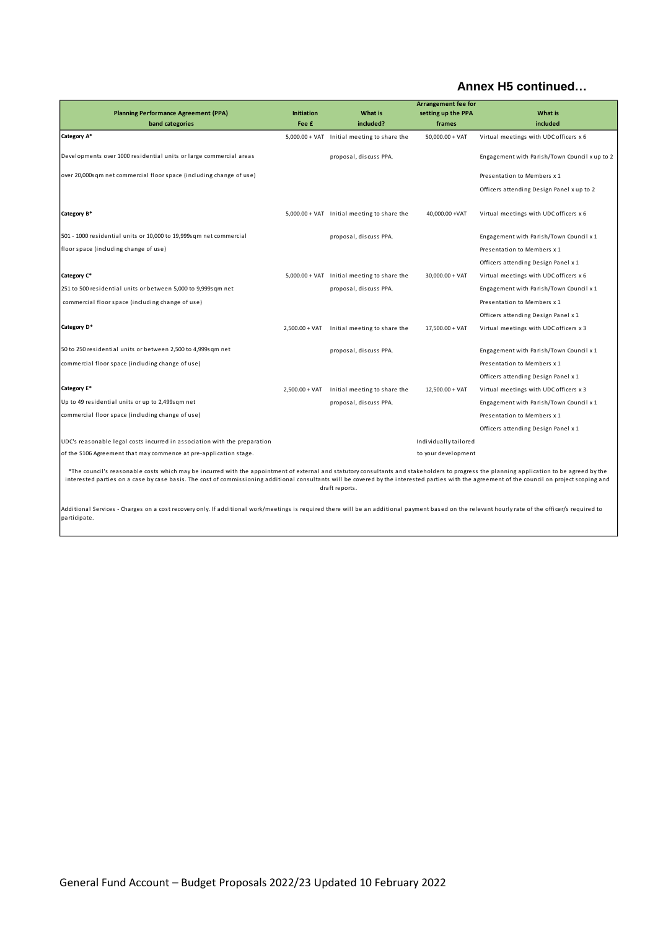|                                                                                                                                                                                                                                                                                                                                                                                               |                   | Arrangement fee for                           |                       |                                               |  |
|-----------------------------------------------------------------------------------------------------------------------------------------------------------------------------------------------------------------------------------------------------------------------------------------------------------------------------------------------------------------------------------------------|-------------------|-----------------------------------------------|-----------------------|-----------------------------------------------|--|
| <b>Planning Performance Agreement (PPA)</b>                                                                                                                                                                                                                                                                                                                                                   | <b>Initiation</b> | <b>What is</b>                                | setting up the PPA    | What is                                       |  |
| band categories                                                                                                                                                                                                                                                                                                                                                                               | Fee £             | included?                                     | frames                | included                                      |  |
| Category A*                                                                                                                                                                                                                                                                                                                                                                                   |                   | $5,000.00 + VAT$ Initial meeting to share the | $50.000.00 + VAT$     | Virtual meetings with UDC officers x 6        |  |
| Developments over 1000 residential units or large commercial areas                                                                                                                                                                                                                                                                                                                            |                   | proposal, discuss PPA.                        |                       | Engagement with Parish/Town Council x up to 2 |  |
| over 20,000sqm net commercial floor space (including change of use)                                                                                                                                                                                                                                                                                                                           |                   |                                               |                       | Presentation to Members x 1                   |  |
|                                                                                                                                                                                                                                                                                                                                                                                               |                   |                                               |                       | Officers attending Design Panel x up to 2     |  |
| Category B*                                                                                                                                                                                                                                                                                                                                                                                   |                   | 5,000.00 + VAT Initial meeting to share the   | 40,000.00 +VAT        | Virtual meetings with UDC officers x 6        |  |
| 501 - 1000 residential units or 10,000 to 19,999s qm net commercial                                                                                                                                                                                                                                                                                                                           |                   | proposal, discuss PPA.                        |                       | Engagement with Parish/Town Council x 1       |  |
| floor space (including change of use)                                                                                                                                                                                                                                                                                                                                                         |                   |                                               |                       | Presentation to Members x 1                   |  |
|                                                                                                                                                                                                                                                                                                                                                                                               |                   |                                               |                       | Officers attending Design Panel x 1           |  |
| Category C*                                                                                                                                                                                                                                                                                                                                                                                   |                   | $5,000.00 + VAT$ Initial meeting to share the | $30,000.00 + VAT$     | Virtual meetings with UDC officers x 6        |  |
| 251 to 500 residential units or between 5,000 to 9,999s gm net                                                                                                                                                                                                                                                                                                                                |                   | proposal, discuss PPA.                        |                       | Engagement with Parish/Town Council x 1       |  |
| commercial floor space (including change of use)                                                                                                                                                                                                                                                                                                                                              |                   |                                               |                       | Presentation to Members x 1                   |  |
|                                                                                                                                                                                                                                                                                                                                                                                               |                   |                                               |                       | Officers attending Design Panel x 1           |  |
| Category D*                                                                                                                                                                                                                                                                                                                                                                                   | $2,500.00 + VAT$  | Initial meeting to share the                  | $17,500.00 + VAT$     | Virtual meetings with UDC officers x 3        |  |
| 50 to 250 residential units or between 2,500 to 4,999sqm net                                                                                                                                                                                                                                                                                                                                  |                   | proposal, discuss PPA.                        |                       | Engagement with Parish/Town Council x 1       |  |
| commercial floor space (including change of use)                                                                                                                                                                                                                                                                                                                                              |                   |                                               |                       | Presentation to Members x 1                   |  |
|                                                                                                                                                                                                                                                                                                                                                                                               |                   |                                               |                       | Officers attending Design Panel x 1           |  |
| Category E*                                                                                                                                                                                                                                                                                                                                                                                   | $2,500.00 + VAT$  | Initial meeting to share the                  | $12,500.00 + VAT$     | Virtual meetings with UDC officers x 3        |  |
| Up to 49 residential units or up to 2,499sqm net                                                                                                                                                                                                                                                                                                                                              |                   | proposal, discuss PPA.                        |                       | Engagement with Parish/Town Council x 1       |  |
| commercial floor space (including change of use)                                                                                                                                                                                                                                                                                                                                              |                   |                                               |                       | Presentation to Members x 1                   |  |
|                                                                                                                                                                                                                                                                                                                                                                                               |                   |                                               |                       | Officers attending Design Panel x 1           |  |
| UDC's reasonable legal costs incurred in association with the preparation                                                                                                                                                                                                                                                                                                                     |                   |                                               | Individually tailored |                                               |  |
| of the S106 Agreement that may commence at pre-application stage.                                                                                                                                                                                                                                                                                                                             |                   |                                               | to your development   |                                               |  |
| *The council's reasonable costs which may be incurred with the appointment of external and statutory consultants and stakeholders to progress the planning application to be agreed by the<br>interested parties on a case by case basis. The cost of commissioning additional consultants will be covered by the interested parties with the agreement of the council on project scoping and |                   | draft reports.                                |                       |                                               |  |

Additional Services - Charges on a cost recovery only. If additional work/meetings is required there will be an additional payment based on the relevant hourly rate of the officer/s required to<br>participate.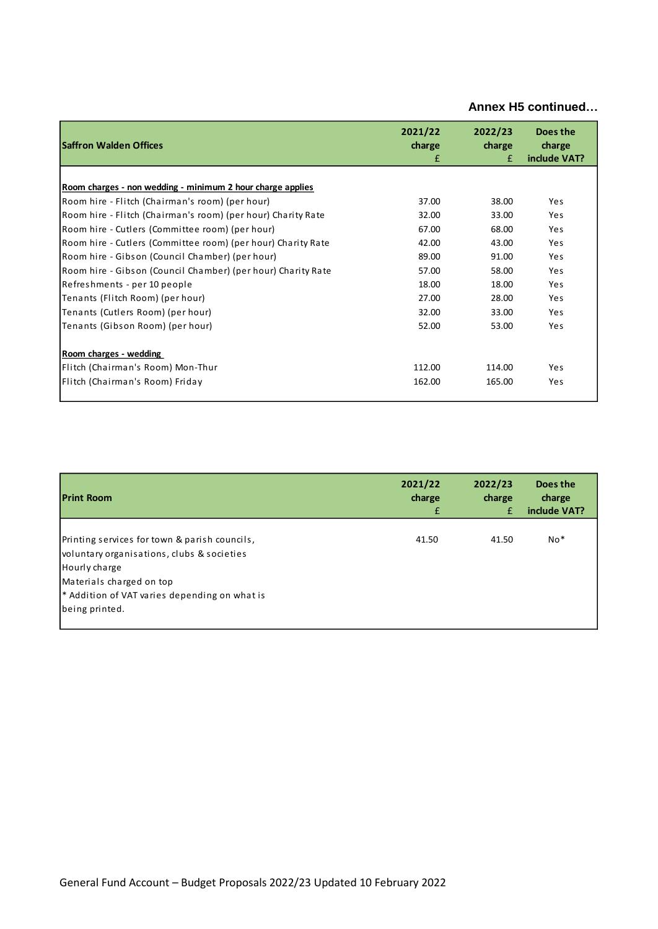| <b>Saffron Walden Offices</b>                                | 2021/22<br>charge<br>£ | 2022/23<br>charge<br>£ | Does the<br>charge<br>include VAT? |
|--------------------------------------------------------------|------------------------|------------------------|------------------------------------|
|                                                              |                        |                        |                                    |
| Room charges - non wedding - minimum 2 hour charge applies   |                        |                        |                                    |
| Room hire - Flitch (Chairman's room) (per hour)              | 37.00                  | 38.00                  | Yes                                |
| Room hire - Flitch (Chairman's room) (per hour) Charity Rate | 32.00                  | 33.00                  | Yes                                |
| Room hire - Cutlers (Committee room) (per hour)              | 67.00                  | 68.00                  | Yes                                |
| Room hire - Cutlers (Committee room) (per hour) Charity Rate | 42.00                  | 43.00                  | <b>Yes</b>                         |
| Room hire - Gibson (Council Chamber) (per hour)              | 89.00                  | 91.00                  | Yes                                |
| Room hire - Gibson (Council Chamber) (per hour) Charity Rate | 57.00                  | 58.00                  | Yes                                |
| Refreshments - per 10 people                                 | 18.00                  | 18.00                  | Yes                                |
| Tenants (Flitch Room) (per hour)                             | 27.00                  | 28.00                  | Yes                                |
| Tenants (Cutlers Room) (per hour)                            | 32.00                  | 33.00                  | Yes                                |
| Tenants (Gibson Room) (per hour)                             | 52.00                  | 53.00                  | Yes                                |
| Room charges - wedding                                       |                        |                        |                                    |
| Flitch (Chairman's Room) Mon-Thur                            | 112.00                 | 114.00                 | Yes                                |
| Flitch (Chairman's Room) Friday                              | 162.00                 | 165.00                 | Yes                                |

| <b>Print Room</b>                                                                                                                                                                                           | 2021/22 | 2022/23 | Does the     |
|-------------------------------------------------------------------------------------------------------------------------------------------------------------------------------------------------------------|---------|---------|--------------|
|                                                                                                                                                                                                             | charge  | charge  | charge       |
|                                                                                                                                                                                                             | £       | £       | include VAT? |
| Printing services for town & parish councils,<br>voluntary organisations, clubs & societies<br>Hourly charge<br>Materials charged on top<br>* Addition of VAT varies depending on what is<br>being printed. | 41.50   | 41.50   | $No*$        |